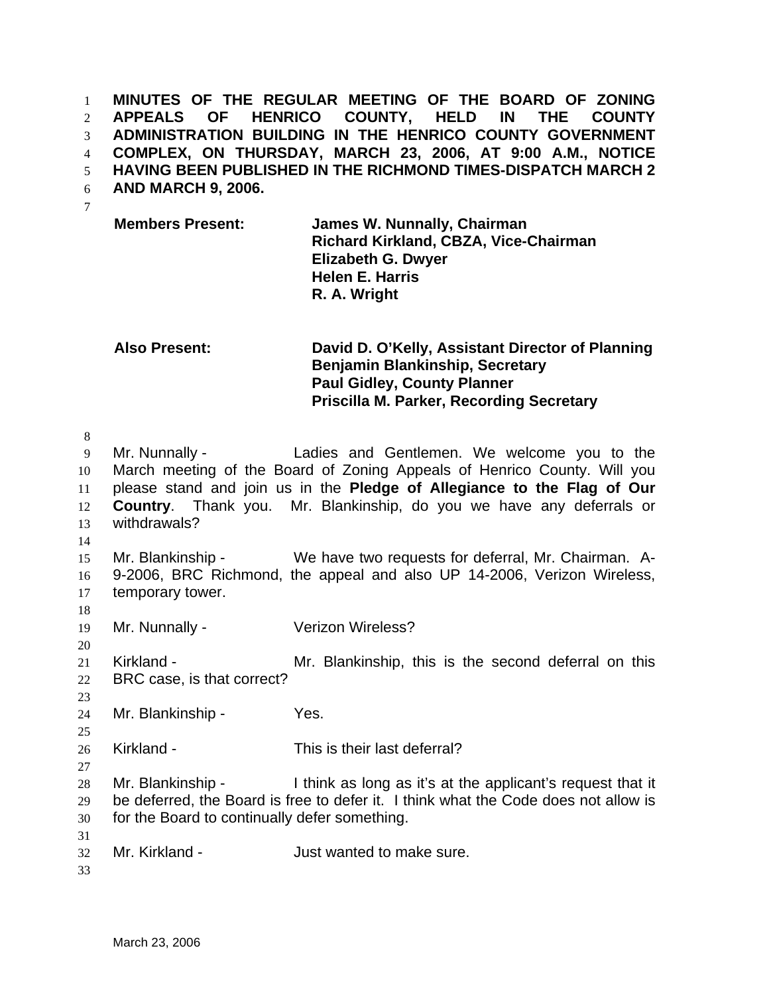**MINUTES OF THE REGULAR MEETING OF THE BOARD OF ZONING APPEALS OF HENRICO COUNTY, HELD IN THE COUNTY ADMINISTRATION BUILDING IN THE HENRICO COUNTY GOVERNMENT COMPLEX, ON THURSDAY, MARCH 23, 2006, AT 9:00 A.M., NOTICE HAVING BEEN PUBLISHED IN THE RICHMOND TIMES-DISPATCH MARCH 2**  1 2 3 4 5

- **AND MARCH 9, 2006.**  6
- 7

**Members Present: James W. Nunnally, Chairman Richard Kirkland, CBZA, Vice-Chairman Elizabeth G. Dwyer Helen E. Harris R. A. Wright** 

## **Also Present: David D. O'Kelly, Assistant Director of Planning Benjamin Blankinship, Secretary Paul Gidley, County Planner Priscilla M. Parker, Recording Secretary**

9 10 11 12 13 14 15 16 17 Mr. Nunnally - Ladies and Gentlemen. We welcome you to the March meeting of the Board of Zoning Appeals of Henrico County. Will you please stand and join us in the **Pledge of Allegiance to the Flag of Our Country**. Thank you. Mr. Blankinship, do you we have any deferrals or withdrawals? Mr. Blankinship - We have two requests for deferral, Mr. Chairman. A-9-2006, BRC Richmond, the appeal and also UP 14-2006, Verizon Wireless, temporary tower.

18

20

23

25

27

8

19 Mr. Nunnally - Verizon Wireless?

21 22 Kirkland - The Mr. Blankinship, this is the second deferral on this BRC case, is that correct?

24 Mr. Blankinship - Yes.

26 Kirkland - This is their last deferral?

28 29 30 Mr. Blankinship - I think as long as it's at the applicant's request that it be deferred, the Board is free to defer it. I think what the Code does not allow is for the Board to continually defer something.

32 Mr. Kirkland - The Suite of Just wanted to make sure.

33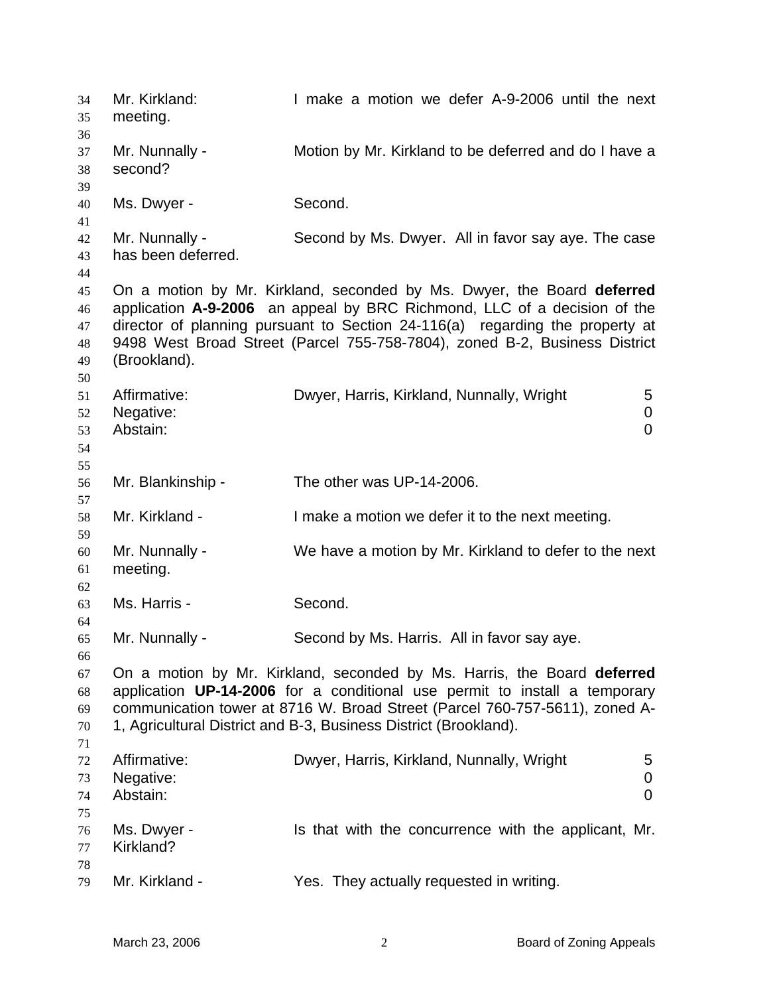Mr. Kirkland: I make a motion we defer A-9-2006 until the next meeting. 34 35 36 37 38 39 40 41 42 43 44 45 46 47 48 49 50 51 52 53 54 55 56 57 58 59 60 61 62 63 64 65 66 67 68 69 70 71 72 73 74 75 76 77 78 79 Mr. Nunnally - Motion by Mr. Kirkland to be deferred and do I have a second? Ms. Dwyer - Second. Mr. Nunnally - Second by Ms. Dwyer. All in favor say aye. The case has been deferred. On a motion by Mr. Kirkland, seconded by Ms. Dwyer, the Board **deferred** application **A-9-2006** an appeal by BRC Richmond, LLC of a decision of the director of planning pursuant to Section 24-116(a) regarding the property at 9498 West Broad Street (Parcel 755-758-7804), zoned B-2, Business District (Brookland). Affirmative: **Dwyer, Harris, Kirkland, Nunnally, Wright** 5 Negative: 0 Abstain: 0 Mr. Blankinship - The other was UP-14-2006. Mr. Kirkland - I make a motion we defer it to the next meeting. Mr. Nunnally - We have a motion by Mr. Kirkland to defer to the next meeting. Ms. Harris - Second. Mr. Nunnally - Second by Ms. Harris. All in favor say aye. On a motion by Mr. Kirkland, seconded by Ms. Harris, the Board **deferred** application **UP-14-2006** for a conditional use permit to install a temporary communication tower at 8716 W. Broad Street (Parcel 760-757-5611), zoned A-1, Agricultural District and B-3, Business District (Brookland). Affirmative: Dwyer, Harris, Kirkland, Nunnally, Wright 5 Negative: 0 Abstain: 0 Ms. Dwyer - The sthat with the concurrence with the applicant, Mr. Kirkland? Mr. Kirkland - They actually requested in writing.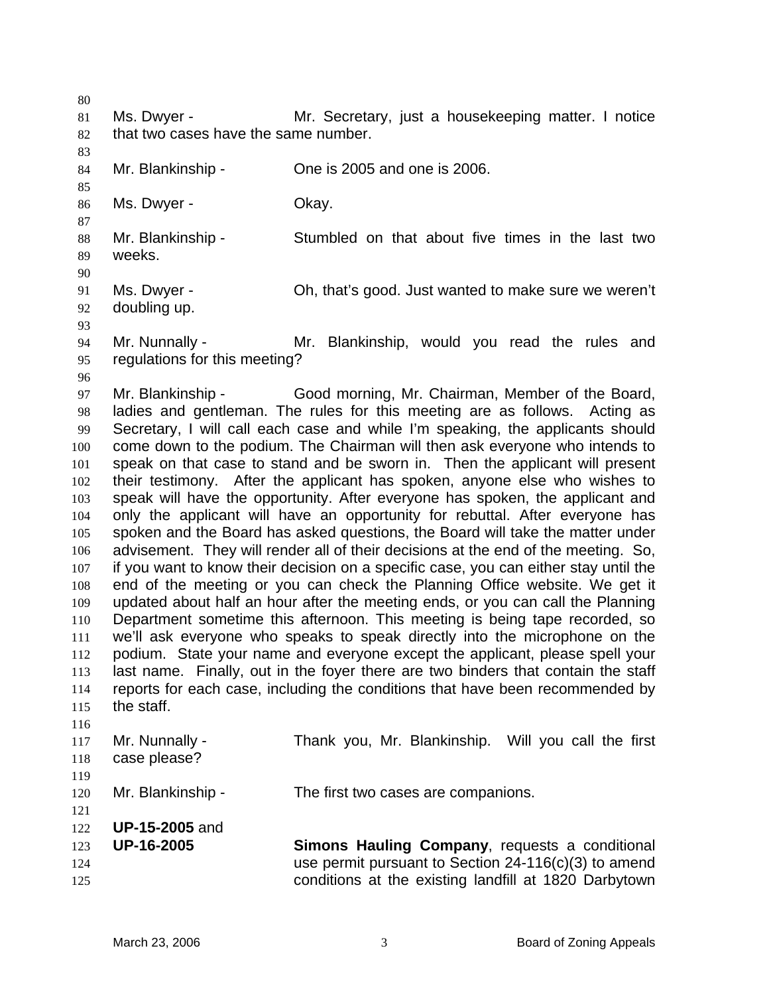80

85

87

90

93

81 82 Ms. Dwyer - **Mr.** Secretary, just a housekeeping matter. I notice that two cases have the same number.

83 84 Mr. Blankinship - Che is 2005 and one is 2006.

86 Ms. Dwyer - Chay.

88 89 Mr. Blankinship - Stumbled on that about five times in the last two weeks.

91 92 Ms. Dwyer - Ch, that's good. Just wanted to make sure we weren't doubling up.

94 95 Mr. Nunnally - Mr. Blankinship, would you read the rules and regulations for this meeting?

96

97 98 99 100 101 102 103 104 105 106 107 108 109 110 111 112 113 114 115 116 Mr. Blankinship - Good morning, Mr. Chairman, Member of the Board, ladies and gentleman. The rules for this meeting are as follows. Acting as Secretary, I will call each case and while I'm speaking, the applicants should come down to the podium. The Chairman will then ask everyone who intends to speak on that case to stand and be sworn in. Then the applicant will present their testimony. After the applicant has spoken, anyone else who wishes to speak will have the opportunity. After everyone has spoken, the applicant and only the applicant will have an opportunity for rebuttal. After everyone has spoken and the Board has asked questions, the Board will take the matter under advisement. They will render all of their decisions at the end of the meeting. So, if you want to know their decision on a specific case, you can either stay until the end of the meeting or you can check the Planning Office website. We get it updated about half an hour after the meeting ends, or you can call the Planning Department sometime this afternoon. This meeting is being tape recorded, so we'll ask everyone who speaks to speak directly into the microphone on the podium. State your name and everyone except the applicant, please spell your last name. Finally, out in the foyer there are two binders that contain the staff reports for each case, including the conditions that have been recommended by the staff.

| 117 | Mr. Nunnally -        | Thank you, Mr. Blankinship. Will you call the first    |
|-----|-----------------------|--------------------------------------------------------|
| 118 | case please?          |                                                        |
| 119 |                       |                                                        |
| 120 | Mr. Blankinship -     | The first two cases are companions.                    |
| 121 |                       |                                                        |
| 122 | <b>UP-15-2005</b> and |                                                        |
| 123 | <b>UP-16-2005</b>     | Simons Hauling Company, requests a conditional         |
| 124 |                       | use permit pursuant to Section $24-116(c)(3)$ to amend |
| 125 |                       | conditions at the existing landfill at 1820 Darbytown  |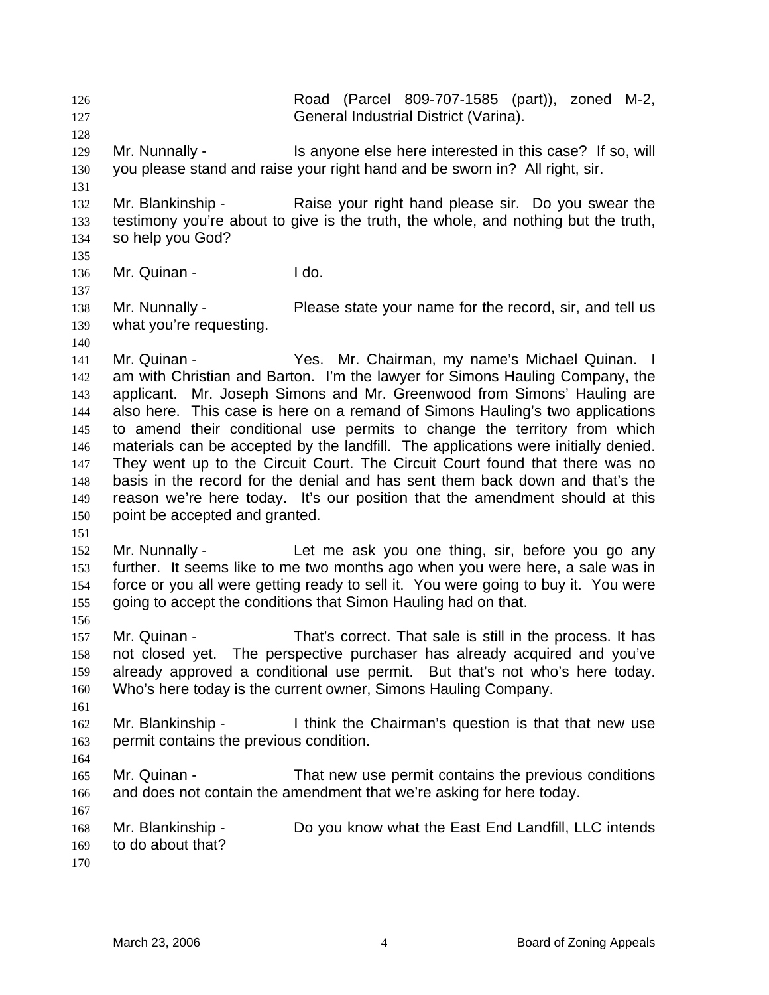Road (Parcel 809-707-1585 (part)), zoned M-2, General Industrial District (Varina). 126 127 128 129 130 131 132 133 134 135 136 137 138 139 140 141 142 143 144 145 146 147 148 149 150 151 152 153 154 155 156 157 158 159 160 161 162 163 164 165 166 167 168 169 170 Mr. Nunnally - Is anyone else here interested in this case? If so, will you please stand and raise your right hand and be sworn in? All right, sir. Mr. Blankinship - Raise your right hand please sir. Do you swear the testimony you're about to give is the truth, the whole, and nothing but the truth, so help you God? Mr. Quinan - I do. Mr. Nunnally - Please state your name for the record, sir, and tell us what you're requesting. Mr. Quinan - Yes. Mr. Chairman, my name's Michael Quinan. I am with Christian and Barton. I'm the lawyer for Simons Hauling Company, the applicant. Mr. Joseph Simons and Mr. Greenwood from Simons' Hauling are also here. This case is here on a remand of Simons Hauling's two applications to amend their conditional use permits to change the territory from which materials can be accepted by the landfill. The applications were initially denied. They went up to the Circuit Court. The Circuit Court found that there was no basis in the record for the denial and has sent them back down and that's the reason we're here today. It's our position that the amendment should at this point be accepted and granted. Mr. Nunnally - Let me ask you one thing, sir, before you go any further. It seems like to me two months ago when you were here, a sale was in force or you all were getting ready to sell it. You were going to buy it. You were going to accept the conditions that Simon Hauling had on that. Mr. Quinan - That's correct. That sale is still in the process. It has not closed yet. The perspective purchaser has already acquired and you've already approved a conditional use permit. But that's not who's here today. Who's here today is the current owner, Simons Hauling Company. Mr. Blankinship - I think the Chairman's question is that that new use permit contains the previous condition. Mr. Quinan - That new use permit contains the previous conditions and does not contain the amendment that we're asking for here today. Mr. Blankinship - Do you know what the East End Landfill, LLC intends to do about that?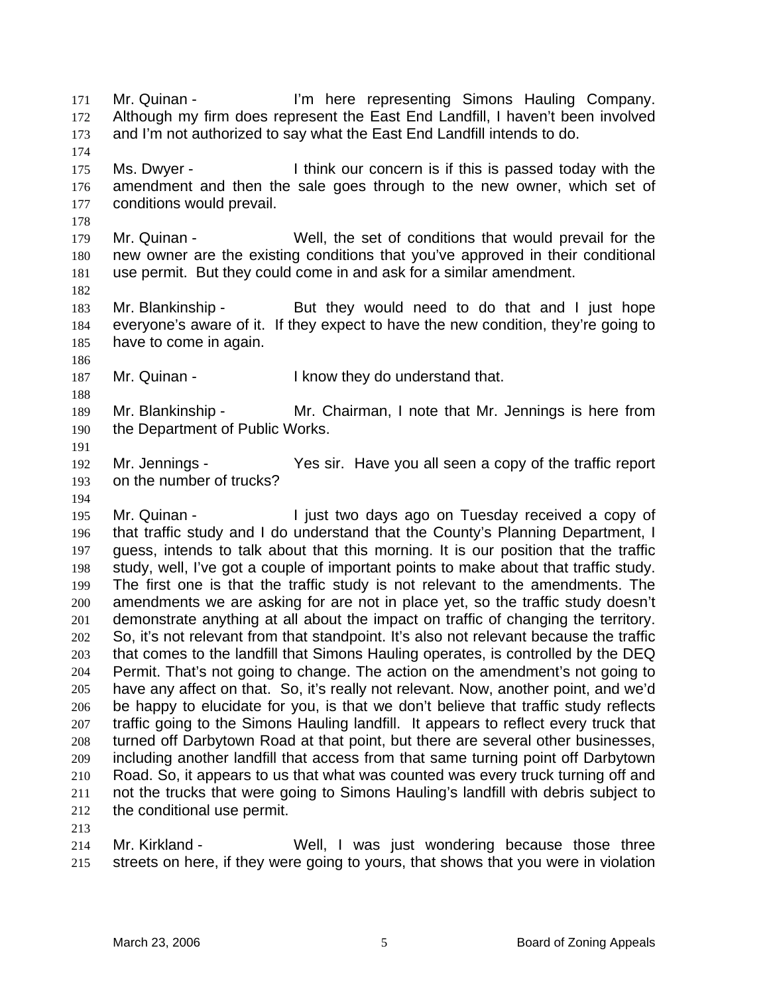Mr. Quinan - I'm here representing Simons Hauling Company. Although my firm does represent the East End Landfill, I haven't been involved and I'm not authorized to say what the East End Landfill intends to do. 171 172 173 174 175 176 177 178 179 180 181 182 183 184 185 186 187 188 189 190 191 192 193 194 195 196 197 198 199 200 201 202 203 204 205 206 207 208 209 210 211 212 213 Ms. Dwyer - I think our concern is if this is passed today with the amendment and then the sale goes through to the new owner, which set of conditions would prevail. Mr. Quinan - Well, the set of conditions that would prevail for the new owner are the existing conditions that you've approved in their conditional use permit. But they could come in and ask for a similar amendment. Mr. Blankinship - But they would need to do that and I just hope everyone's aware of it. If they expect to have the new condition, they're going to have to come in again. Mr. Quinan - The Resettion of the I know they do understand that. Mr. Blankinship - Mr. Chairman, I note that Mr. Jennings is here from the Department of Public Works. Mr. Jennings - Yes sir. Have you all seen a copy of the traffic report on the number of trucks? Mr. Quinan - The Unit two days ago on Tuesday received a copy of that traffic study and I do understand that the County's Planning Department, I guess, intends to talk about that this morning. It is our position that the traffic study, well, I've got a couple of important points to make about that traffic study. The first one is that the traffic study is not relevant to the amendments. The amendments we are asking for are not in place yet, so the traffic study doesn't demonstrate anything at all about the impact on traffic of changing the territory. So, it's not relevant from that standpoint. It's also not relevant because the traffic that comes to the landfill that Simons Hauling operates, is controlled by the DEQ Permit. That's not going to change. The action on the amendment's not going to have any affect on that. So, it's really not relevant. Now, another point, and we'd be happy to elucidate for you, is that we don't believe that traffic study reflects traffic going to the Simons Hauling landfill. It appears to reflect every truck that turned off Darbytown Road at that point, but there are several other businesses, including another landfill that access from that same turning point off Darbytown Road. So, it appears to us that what was counted was every truck turning off and not the trucks that were going to Simons Hauling's landfill with debris subject to the conditional use permit.

214 215 Mr. Kirkland - The Well, I was just wondering because those three streets on here, if they were going to yours, that shows that you were in violation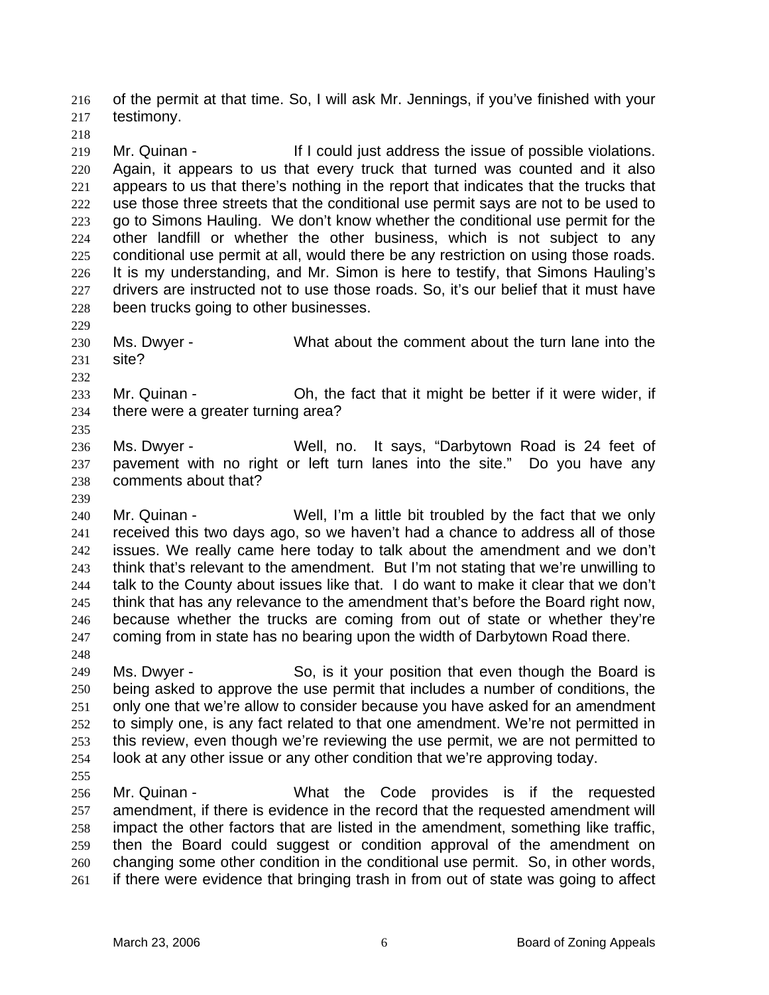of the permit at that time. So, I will ask Mr. Jennings, if you've finished with your testimony. 216 217

219 220 221 222 223 224 225 226 227 228 Mr. Quinan - The If I could just address the issue of possible violations. Again, it appears to us that every truck that turned was counted and it also appears to us that there's nothing in the report that indicates that the trucks that use those three streets that the conditional use permit says are not to be used to go to Simons Hauling. We don't know whether the conditional use permit for the other landfill or whether the other business, which is not subject to any conditional use permit at all, would there be any restriction on using those roads. It is my understanding, and Mr. Simon is here to testify, that Simons Hauling's drivers are instructed not to use those roads. So, it's our belief that it must have been trucks going to other businesses.

230 231 Ms. Dwyer - What about the comment about the turn lane into the site?

232

235

229

218

- 233 234 Mr. Quinan - Oh, the fact that it might be better if it were wider, if there were a greater turning area?
- 236 237 238 Ms. Dwyer - Well, no. It says, "Darbytown Road is 24 feet of pavement with no right or left turn lanes into the site." Do you have any comments about that?
- 239

240 241 242 243 244 245 246 247 Mr. Quinan - Well, I'm a little bit troubled by the fact that we only received this two days ago, so we haven't had a chance to address all of those issues. We really came here today to talk about the amendment and we don't think that's relevant to the amendment. But I'm not stating that we're unwilling to talk to the County about issues like that. I do want to make it clear that we don't think that has any relevance to the amendment that's before the Board right now, because whether the trucks are coming from out of state or whether they're coming from in state has no bearing upon the width of Darbytown Road there.

248

249 250 251 252 253 254 Ms. Dwyer - So, is it your position that even though the Board is being asked to approve the use permit that includes a number of conditions, the only one that we're allow to consider because you have asked for an amendment to simply one, is any fact related to that one amendment. We're not permitted in this review, even though we're reviewing the use permit, we are not permitted to look at any other issue or any other condition that we're approving today.

255

256 257 258 259 260 261 Mr. Quinan - What the Code provides is if the requested amendment, if there is evidence in the record that the requested amendment will impact the other factors that are listed in the amendment, something like traffic, then the Board could suggest or condition approval of the amendment on changing some other condition in the conditional use permit. So, in other words, if there were evidence that bringing trash in from out of state was going to affect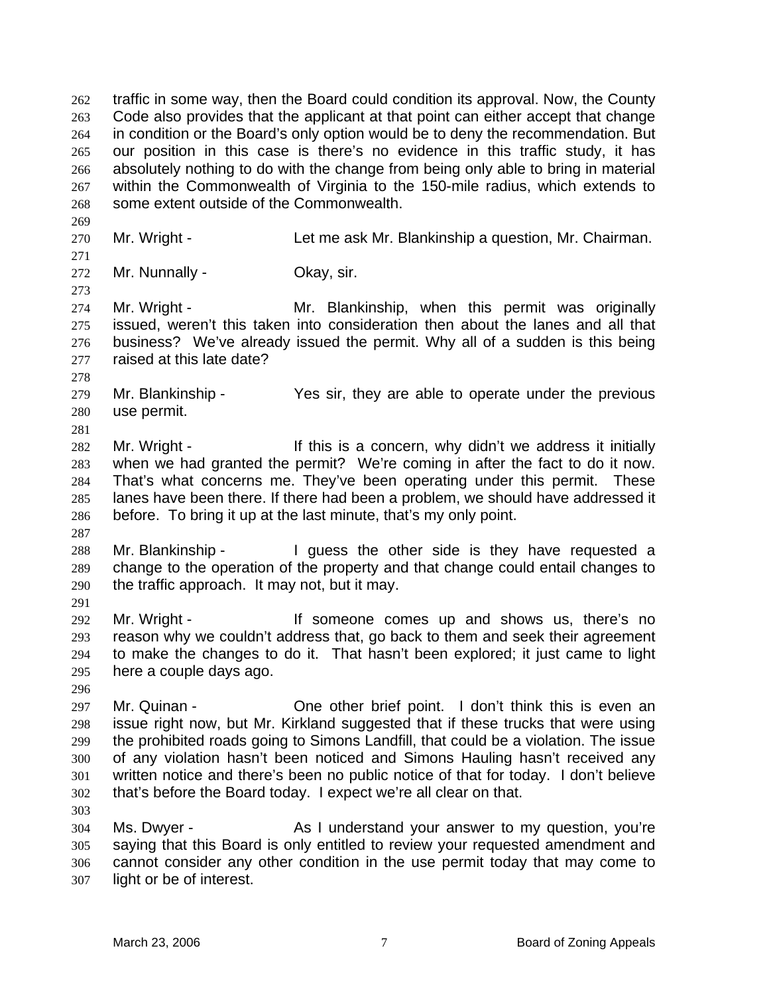traffic in some way, then the Board could condition its approval. Now, the County Code also provides that the applicant at that point can either accept that change in condition or the Board's only option would be to deny the recommendation. But our position in this case is there's no evidence in this traffic study, it has absolutely nothing to do with the change from being only able to bring in material within the Commonwealth of Virginia to the 150-mile radius, which extends to some extent outside of the Commonwealth. 262 263 264 265 266 267 268

270 Mr. Wright - Let me ask Mr. Blankinship a question, Mr. Chairman.

271 272

273

269

Mr. Nunnally - Ckay, sir.

274 275 276 277 Mr. Wright - Mr. Blankinship, when this permit was originally issued, weren't this taken into consideration then about the lanes and all that business? We've already issued the permit. Why all of a sudden is this being raised at this late date?

278

281

287

279 280 Mr. Blankinship - Yes sir, they are able to operate under the previous use permit.

282 283 284 285 286 Mr. Wright - This is a concern, why didn't we address it initially when we had granted the permit? We're coming in after the fact to do it now. That's what concerns me. They've been operating under this permit. These lanes have been there. If there had been a problem, we should have addressed it before. To bring it up at the last minute, that's my only point.

288 289 290 291 Mr. Blankinship - I guess the other side is they have requested a change to the operation of the property and that change could entail changes to the traffic approach. It may not, but it may.

292 293 294 295 Mr. Wright - If someone comes up and shows us, there's no reason why we couldn't address that, go back to them and seek their agreement to make the changes to do it. That hasn't been explored; it just came to light here a couple days ago.

296

297 298 299 300 301 302 Mr. Quinan - One other brief point. I don't think this is even an issue right now, but Mr. Kirkland suggested that if these trucks that were using the prohibited roads going to Simons Landfill, that could be a violation. The issue of any violation hasn't been noticed and Simons Hauling hasn't received any written notice and there's been no public notice of that for today. I don't believe that's before the Board today. I expect we're all clear on that.

303

304 305 306 307 Ms. Dwyer - The As I understand your answer to my question, you're saying that this Board is only entitled to review your requested amendment and cannot consider any other condition in the use permit today that may come to light or be of interest.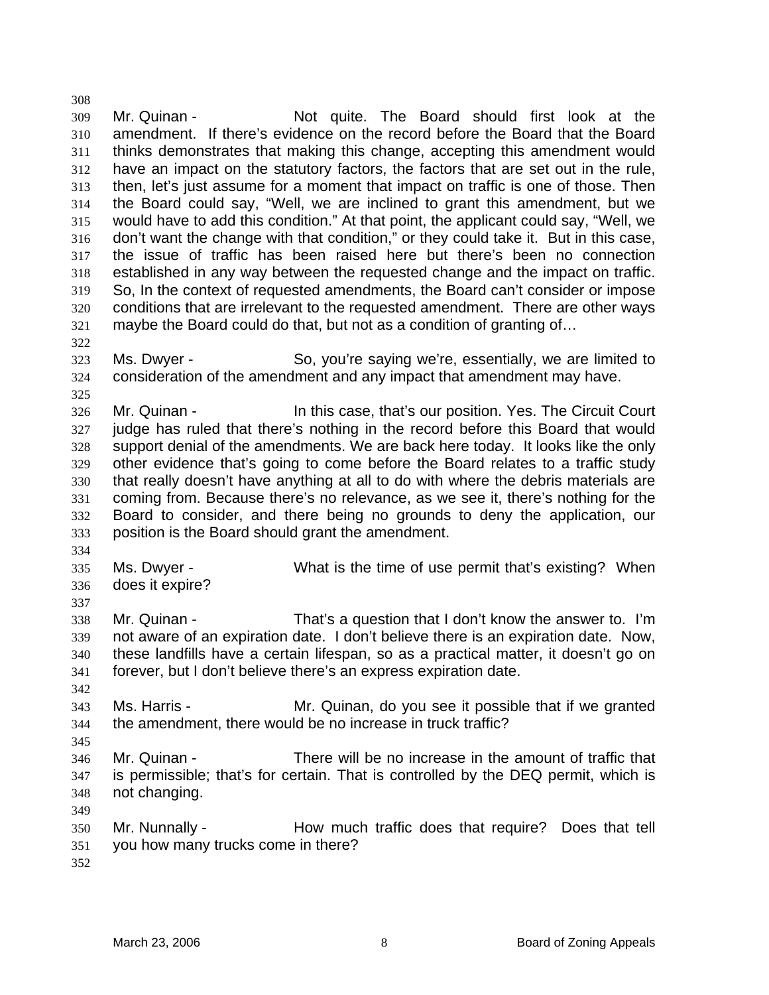309 310 311 312 313 314 315 316 317 318 319 320 321 Mr. Quinan - Not quite. The Board should first look at the amendment. If there's evidence on the record before the Board that the Board thinks demonstrates that making this change, accepting this amendment would have an impact on the statutory factors, the factors that are set out in the rule, then, let's just assume for a moment that impact on traffic is one of those. Then the Board could say, "Well, we are inclined to grant this amendment, but we would have to add this condition." At that point, the applicant could say, "Well, we don't want the change with that condition," or they could take it. But in this case, the issue of traffic has been raised here but there's been no connection established in any way between the requested change and the impact on traffic. So, In the context of requested amendments, the Board can't consider or impose conditions that are irrelevant to the requested amendment. There are other ways maybe the Board could do that, but not as a condition of granting of…

322

325

308

323 324 Ms. Dwyer - So, you're saying we're, essentially, we are limited to consideration of the amendment and any impact that amendment may have.

326 327 328 329 330 331 332 333 Mr. Quinan - In this case, that's our position. Yes. The Circuit Court judge has ruled that there's nothing in the record before this Board that would support denial of the amendments. We are back here today. It looks like the only other evidence that's going to come before the Board relates to a traffic study that really doesn't have anything at all to do with where the debris materials are coming from. Because there's no relevance, as we see it, there's nothing for the Board to consider, and there being no grounds to deny the application, our position is the Board should grant the amendment.

334

335 336 Ms. Dwyer - What is the time of use permit that's existing? When does it expire?

337

342

345

338 339 340 341 Mr. Quinan - That's a question that I don't know the answer to. I'm not aware of an expiration date. I don't believe there is an expiration date. Now, these landfills have a certain lifespan, so as a practical matter, it doesn't go on forever, but I don't believe there's an express expiration date.

343 344 Ms. Harris - Mr. Quinan, do you see it possible that if we granted the amendment, there would be no increase in truck traffic?

346 347 348 Mr. Quinan - There will be no increase in the amount of traffic that is permissible; that's for certain. That is controlled by the DEQ permit, which is not changing.

349

350 351 Mr. Nunnally - The How much traffic does that require? Does that tell you how many trucks come in there?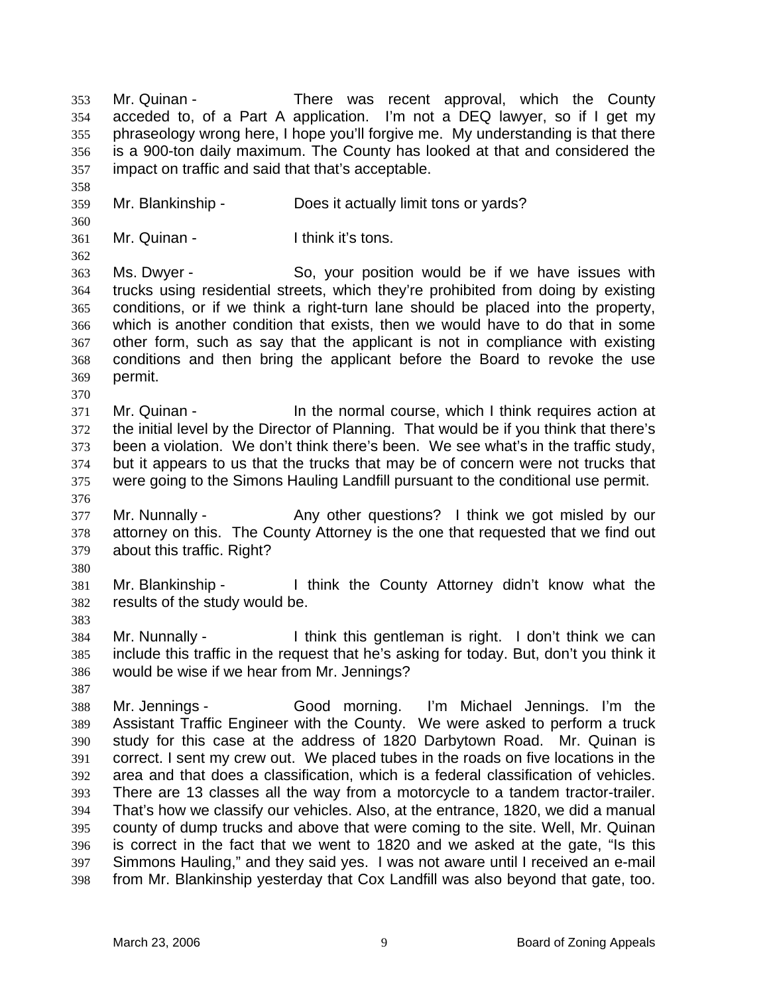Mr. Quinan - There was recent approval, which the County acceded to, of a Part A application. I'm not a DEQ lawyer, so if I get my phraseology wrong here, I hope you'll forgive me. My understanding is that there is a 900-ton daily maximum. The County has looked at that and considered the impact on traffic and said that that's acceptable. 353 354 355 356 357 358 359 360 361 362 363 364 365 366 367 368 369 370 371 372 373 374 375 376 377 378 379 380 381 382 383 384 385 386 387 388 389 390 391 392 393 394 395 396 397 Mr. Blankinship - Does it actually limit tons or yards? Mr. Quinan - Think it's tons. Ms. Dwyer - So, your position would be if we have issues with trucks using residential streets, which they're prohibited from doing by existing conditions, or if we think a right-turn lane should be placed into the property, which is another condition that exists, then we would have to do that in some other form, such as say that the applicant is not in compliance with existing conditions and then bring the applicant before the Board to revoke the use permit. Mr. Quinan - The the normal course, which I think requires action at the initial level by the Director of Planning. That would be if you think that there's been a violation. We don't think there's been. We see what's in the traffic study, but it appears to us that the trucks that may be of concern were not trucks that were going to the Simons Hauling Landfill pursuant to the conditional use permit. Mr. Nunnally - Any other questions? I think we got misled by our attorney on this. The County Attorney is the one that requested that we find out about this traffic. Right? Mr. Blankinship - Think the County Attorney didn't know what the results of the study would be. Mr. Nunnally - I think this gentleman is right. I don't think we can include this traffic in the request that he's asking for today. But, don't you think it would be wise if we hear from Mr. Jennings? Mr. Jennings - Good morning. I'm Michael Jennings. I'm the Assistant Traffic Engineer with the County. We were asked to perform a truck study for this case at the address of 1820 Darbytown Road. Mr. Quinan is correct. I sent my crew out. We placed tubes in the roads on five locations in the area and that does a classification, which is a federal classification of vehicles. There are 13 classes all the way from a motorcycle to a tandem tractor-trailer. That's how we classify our vehicles. Also, at the entrance, 1820, we did a manual county of dump trucks and above that were coming to the site. Well, Mr. Quinan is correct in the fact that we went to 1820 and we asked at the gate, "Is this Simmons Hauling," and they said yes. I was not aware until I received an e-mail

398 from Mr. Blankinship yesterday that Cox Landfill was also beyond that gate, too.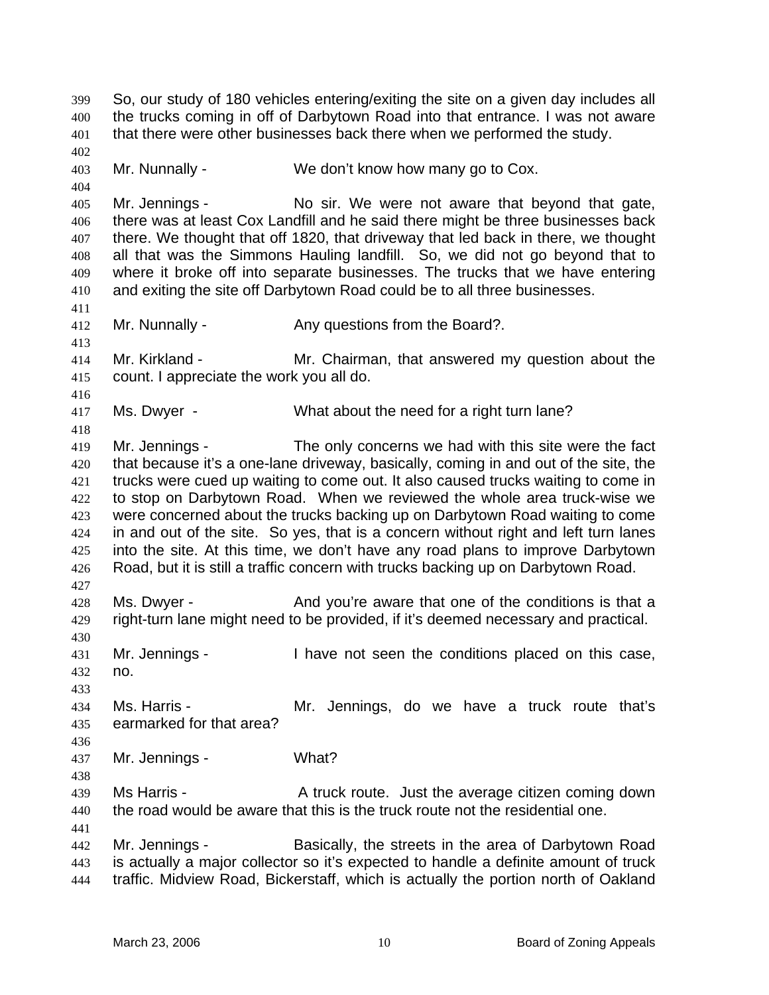So, our study of 180 vehicles entering/exiting the site on a given day includes all the trucks coming in off of Darbytown Road into that entrance. I was not aware that there were other businesses back there when we performed the study. 399 400 401 402 403 404 405 406 407 408 409 410 411 412 413 414 415 416 417 418 419 420 421 422 423 424 425 426 427 428 429 430 431 432 433 434 435 436 437 438 439 440 441 442 443 444 Mr. Nunnally - We don't know how many go to Cox. Mr. Jennings - No sir. We were not aware that beyond that gate, there was at least Cox Landfill and he said there might be three businesses back there. We thought that off 1820, that driveway that led back in there, we thought all that was the Simmons Hauling landfill. So, we did not go beyond that to where it broke off into separate businesses. The trucks that we have entering and exiting the site off Darbytown Road could be to all three businesses. Mr. Nunnally - Any questions from the Board?. Mr. Kirkland - The Mr. Chairman, that answered my question about the count. I appreciate the work you all do. Ms. Dwyer - What about the need for a right turn lane? Mr. Jennings - The only concerns we had with this site were the fact that because it's a one-lane driveway, basically, coming in and out of the site, the trucks were cued up waiting to come out. It also caused trucks waiting to come in to stop on Darbytown Road. When we reviewed the whole area truck-wise we were concerned about the trucks backing up on Darbytown Road waiting to come in and out of the site. So yes, that is a concern without right and left turn lanes into the site. At this time, we don't have any road plans to improve Darbytown Road, but it is still a traffic concern with trucks backing up on Darbytown Road. Ms. Dwyer - And you're aware that one of the conditions is that a right-turn lane might need to be provided, if it's deemed necessary and practical. Mr. Jennings - Thave not seen the conditions placed on this case, no. Ms. Harris - The Mr. Jennings, do we have a truck route that's earmarked for that area? Mr. Jennings - What? Ms Harris - The A truck route. Just the average citizen coming down the road would be aware that this is the truck route not the residential one. Mr. Jennings - Basically, the streets in the area of Darbytown Road is actually a major collector so it's expected to handle a definite amount of truck traffic. Midview Road, Bickerstaff, which is actually the portion north of Oakland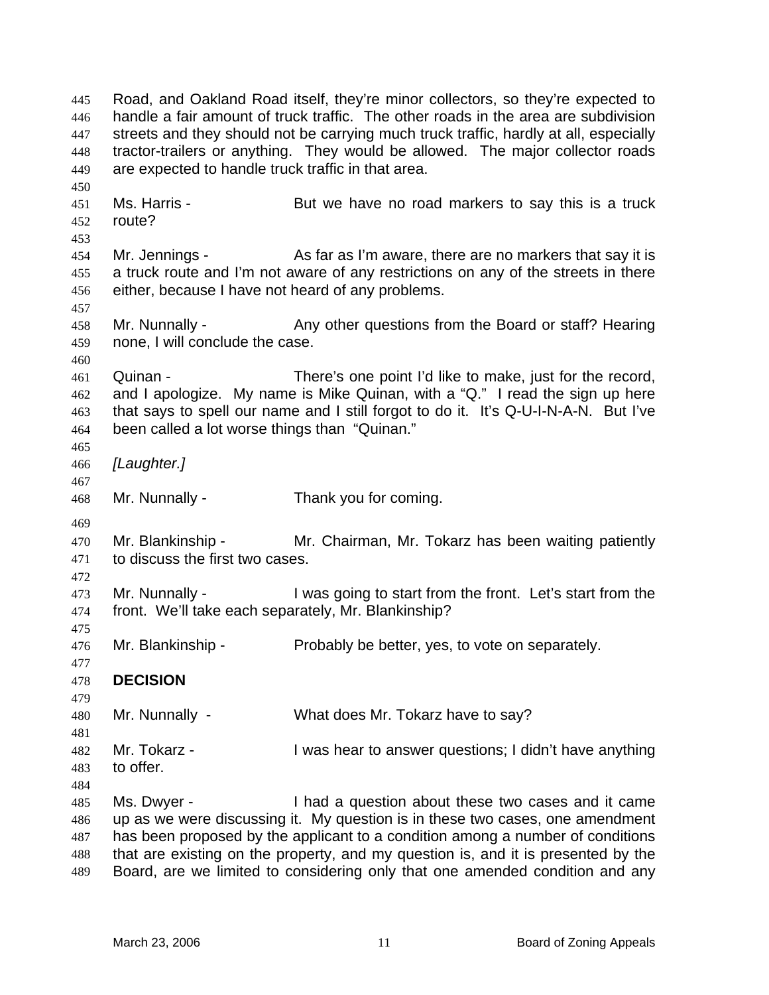Road, and Oakland Road itself, they're minor collectors, so they're expected to handle a fair amount of truck traffic. The other roads in the area are subdivision streets and they should not be carrying much truck traffic, hardly at all, especially tractor-trailers or anything. They would be allowed. The major collector roads are expected to handle truck traffic in that area. 445 446 447 448 449 450 451 452 453 454 455 456 457 458 459 460 461 462 463 464 465 466 467 468 469 470 471 472 473 474 475 476 477 478 479 480 481 482 483 484 485 486 487 488 489 Ms. Harris - **But we have no road markers to say this is a truck** route? Mr. Jennings - As far as I'm aware, there are no markers that say it is a truck route and I'm not aware of any restrictions on any of the streets in there either, because I have not heard of any problems. Mr. Nunnally - Any other questions from the Board or staff? Hearing none, I will conclude the case. Quinan - There's one point I'd like to make, just for the record, and I apologize. My name is Mike Quinan, with a "Q." I read the sign up here that says to spell our name and I still forgot to do it. It's Q-U-I-N-A-N. But I've been called a lot worse things than "Quinan." *[Laughter.]* Mr. Nunnally - Thank you for coming. Mr. Blankinship - Mr. Chairman, Mr. Tokarz has been waiting patiently to discuss the first two cases. Mr. Nunnally - I was going to start from the front. Let's start from the front. We'll take each separately, Mr. Blankinship? Mr. Blankinship - Probably be better, yes, to vote on separately. **DECISION**  Mr. Nunnally - What does Mr. Tokarz have to say? Mr. Tokarz - I was hear to answer questions; I didn't have anything to offer. Ms. Dwyer - Thad a question about these two cases and it came up as we were discussing it. My question is in these two cases, one amendment has been proposed by the applicant to a condition among a number of conditions that are existing on the property, and my question is, and it is presented by the Board, are we limited to considering only that one amended condition and any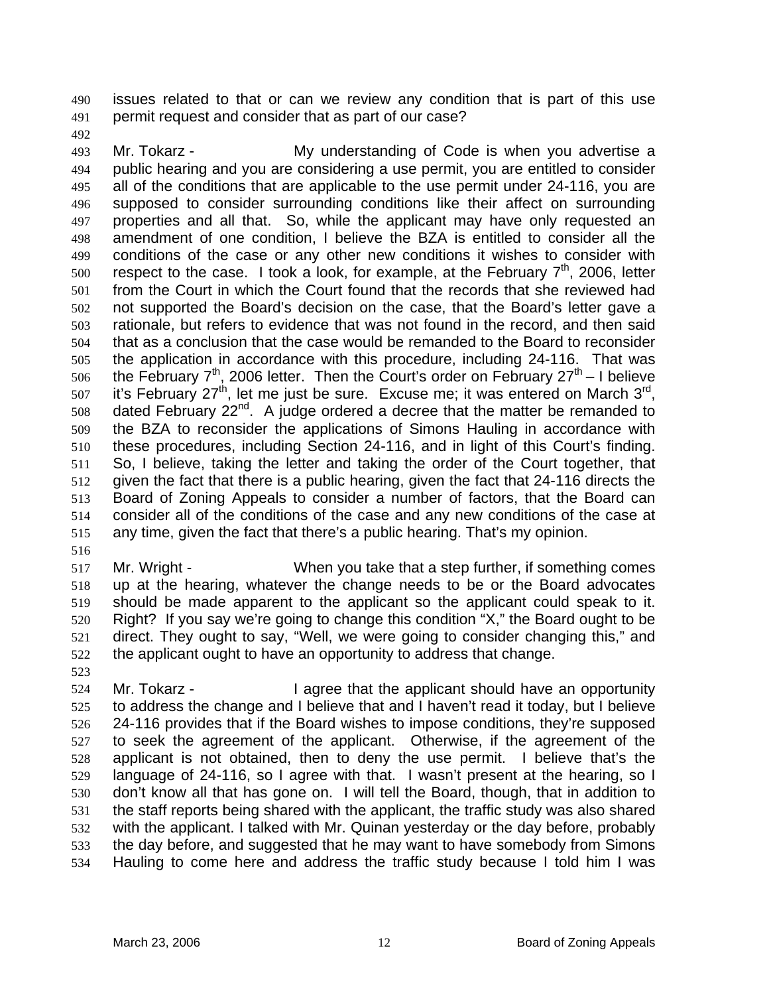issues related to that or can we review any condition that is part of this use permit request and consider that as part of our case? 490 491

492

493 494 495 496 497 498 499 500 501 502 503 504 505 506 507 508 509 510 511 512 513 514 515 Mr. Tokarz - My understanding of Code is when you advertise a public hearing and you are considering a use permit, you are entitled to consider all of the conditions that are applicable to the use permit under 24-116, you are supposed to consider surrounding conditions like their affect on surrounding properties and all that. So, while the applicant may have only requested an amendment of one condition, I believe the BZA is entitled to consider all the conditions of the case or any other new conditions it wishes to consider with respect to the case. I took a look, for example, at the February  $7<sup>th</sup>$ , 2006, letter from the Court in which the Court found that the records that she reviewed had not supported the Board's decision on the case, that the Board's letter gave a rationale, but refers to evidence that was not found in the record, and then said that as a conclusion that the case would be remanded to the Board to reconsider the application in accordance with this procedure, including 24-116. That was the February  $7^{th}$ , 2006 letter. Then the Court's order on February 27 $^{th}$  – I believe it's February 27<sup>th</sup>, let me just be sure. Excuse me; it was entered on March 3<sup>rd</sup>, dated February  $22^{nd}$ . A judge ordered a decree that the matter be remanded to the BZA to reconsider the applications of Simons Hauling in accordance with these procedures, including Section 24-116, and in light of this Court's finding. So, I believe, taking the letter and taking the order of the Court together, that given the fact that there is a public hearing, given the fact that 24-116 directs the Board of Zoning Appeals to consider a number of factors, that the Board can consider all of the conditions of the case and any new conditions of the case at any time, given the fact that there's a public hearing. That's my opinion.

516

517 518 519 520 521 522 Mr. Wright - When you take that a step further, if something comes up at the hearing, whatever the change needs to be or the Board advocates should be made apparent to the applicant so the applicant could speak to it. Right? If you say we're going to change this condition "X," the Board ought to be direct. They ought to say, "Well, we were going to consider changing this," and the applicant ought to have an opportunity to address that change.

523

524 525 526 527 528 529 530 531 532 533 534 Mr. Tokarz - I agree that the applicant should have an opportunity to address the change and I believe that and I haven't read it today, but I believe 24-116 provides that if the Board wishes to impose conditions, they're supposed to seek the agreement of the applicant. Otherwise, if the agreement of the applicant is not obtained, then to deny the use permit. I believe that's the language of 24-116, so I agree with that. I wasn't present at the hearing, so I don't know all that has gone on. I will tell the Board, though, that in addition to the staff reports being shared with the applicant, the traffic study was also shared with the applicant. I talked with Mr. Quinan yesterday or the day before, probably the day before, and suggested that he may want to have somebody from Simons Hauling to come here and address the traffic study because I told him I was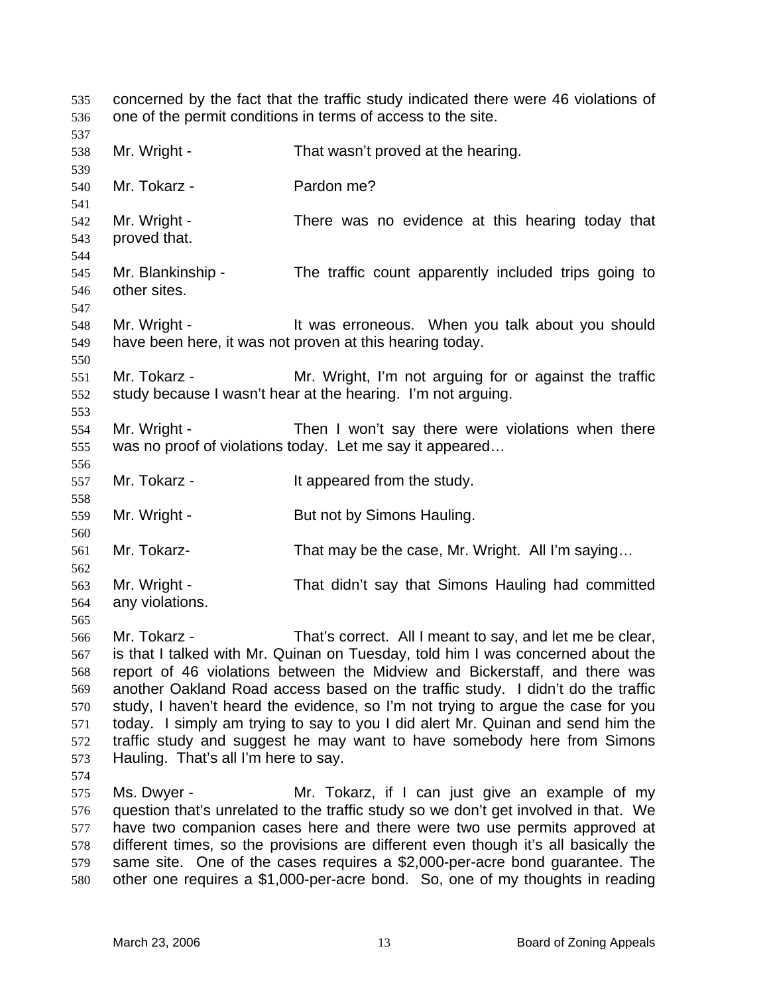concerned by the fact that the traffic study indicated there were 46 violations of one of the permit conditions in terms of access to the site. 535 536 537 538 539 540 541 542 543 544 545 546 547 548 549 550 551 552 553 554 555 556 557 558 559 560 561 562 563 564 565 566 567 568 569 570 571 572 573 574 575 576 577 578 579 580 Mr. Wright - That wasn't proved at the hearing. Mr. Tokarz - Pardon me? Mr. Wright - There was no evidence at this hearing today that proved that. Mr. Blankinship - The traffic count apparently included trips going to other sites. Mr. Wright - The Muster oneous. When you talk about you should have been here, it was not proven at this hearing today. Mr. Tokarz - **Mr.** Wright, I'm not arguing for or against the traffic study because I wasn't hear at the hearing. I'm not arguing. Mr. Wright - Then I won't say there were violations when there was no proof of violations today. Let me say it appeared… Mr. Tokarz - The Muslim School is appeared from the study. Mr. Wright - But not by Simons Hauling. Mr. Tokarz- That may be the case, Mr. Wright. All I'm saying... Mr. Wright - That didn't say that Simons Hauling had committed any violations. Mr. Tokarz - That's correct. All I meant to say, and let me be clear, is that I talked with Mr. Quinan on Tuesday, told him I was concerned about the report of 46 violations between the Midview and Bickerstaff, and there was another Oakland Road access based on the traffic study. I didn't do the traffic study, I haven't heard the evidence, so I'm not trying to argue the case for you today. I simply am trying to say to you I did alert Mr. Quinan and send him the traffic study and suggest he may want to have somebody here from Simons Hauling. That's all I'm here to say. Ms. Dwyer - The Mr. Tokarz, if I can just give an example of my question that's unrelated to the traffic study so we don't get involved in that. We have two companion cases here and there were two use permits approved at different times, so the provisions are different even though it's all basically the same site. One of the cases requires a \$2,000-per-acre bond guarantee. The other one requires a \$1,000-per-acre bond. So, one of my thoughts in reading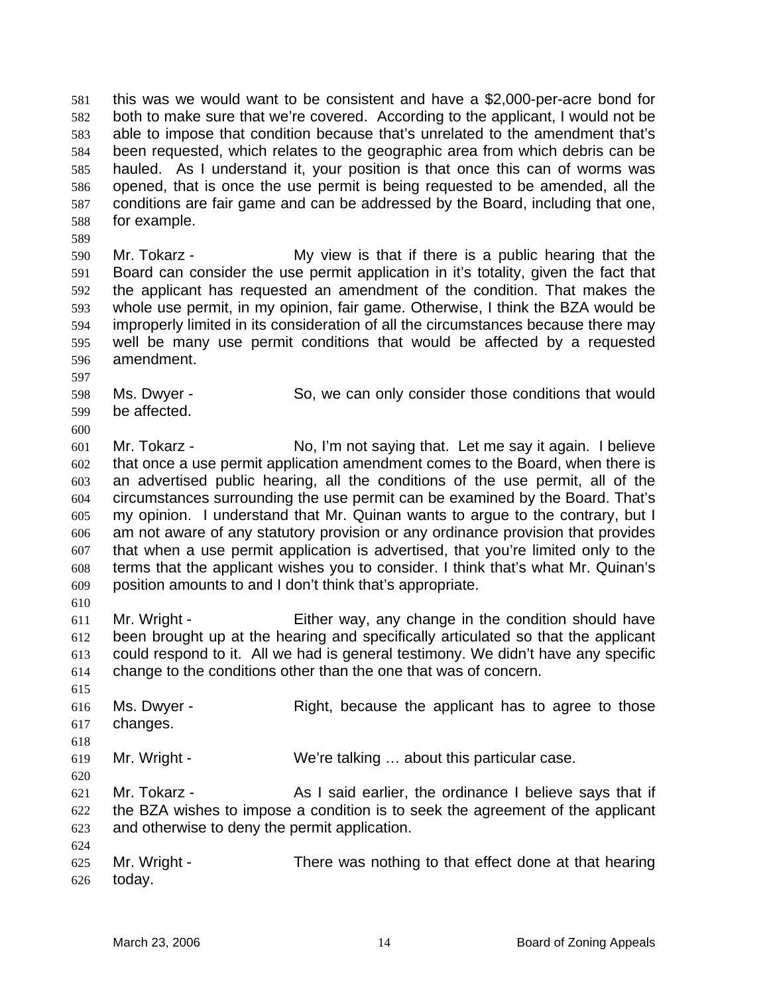this was we would want to be consistent and have a \$2,000-per-acre bond for both to make sure that we're covered. According to the applicant, I would not be able to impose that condition because that's unrelated to the amendment that's been requested, which relates to the geographic area from which debris can be hauled. As I understand it, your position is that once this can of worms was opened, that is once the use permit is being requested to be amended, all the conditions are fair game and can be addressed by the Board, including that one, for example. 581 582 583 584 585 586 587 588

589

597

600

610

618

620

624

590 591 592 593 594 595 596 Mr. Tokarz - The My view is that if there is a public hearing that the Board can consider the use permit application in it's totality, given the fact that the applicant has requested an amendment of the condition. That makes the whole use permit, in my opinion, fair game. Otherwise, I think the BZA would be improperly limited in its consideration of all the circumstances because there may well be many use permit conditions that would be affected by a requested amendment.

- 598 599 Ms. Dwyer - So, we can only consider those conditions that would be affected.
- 601 602 603 604 605 606 607 608 609 Mr. Tokarz - **No, I'm not saying that.** Let me say it again. I believe that once a use permit application amendment comes to the Board, when there is an advertised public hearing, all the conditions of the use permit, all of the circumstances surrounding the use permit can be examined by the Board. That's my opinion. I understand that Mr. Quinan wants to argue to the contrary, but I am not aware of any statutory provision or any ordinance provision that provides that when a use permit application is advertised, that you're limited only to the terms that the applicant wishes you to consider. I think that's what Mr. Quinan's position amounts to and I don't think that's appropriate.
- 611 612 613 614 Mr. Wright - Either way, any change in the condition should have been brought up at the hearing and specifically articulated so that the applicant could respond to it. All we had is general testimony. We didn't have any specific change to the conditions other than the one that was of concern.
- 615 616 617 Ms. Dwyer - Right, because the applicant has to agree to those changes.
- 619 Mr. Wright - We're talking ... about this particular case.
- 621 622 623 Mr. Tokarz - **As I said earlier, the ordinance I believe says that if** the BZA wishes to impose a condition is to seek the agreement of the applicant and otherwise to deny the permit application.
- 625 626 Mr. Wright - There was nothing to that effect done at that hearing today.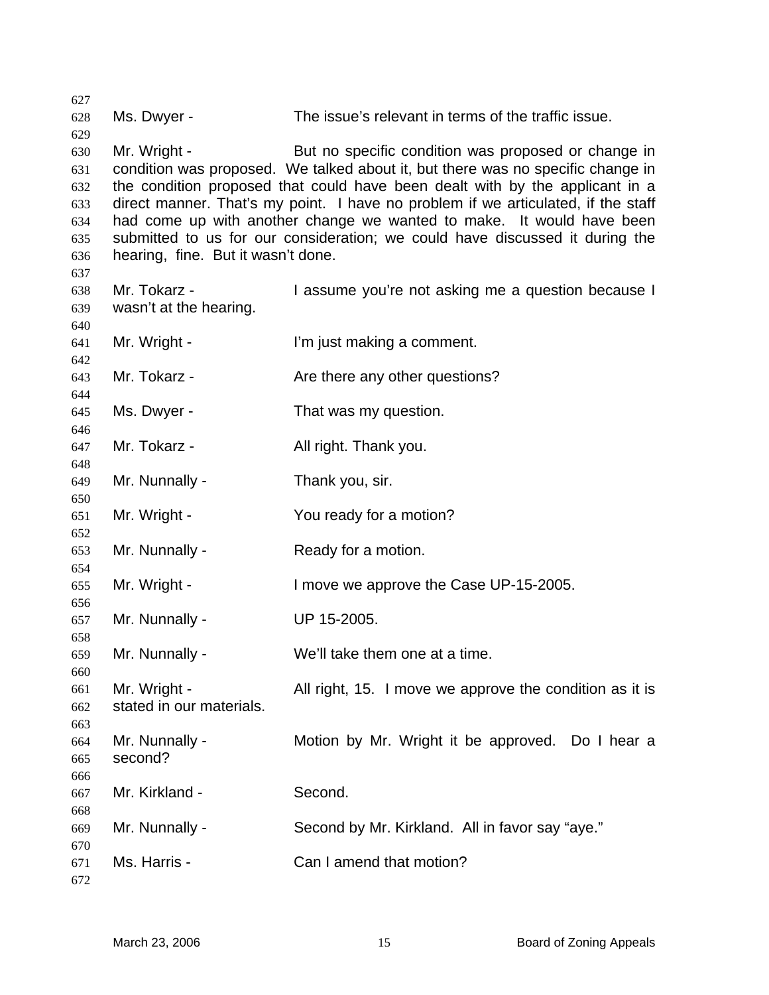Ms. Dwyer - The issue's relevant in terms of the traffic issue. Mr. Wright - But no specific condition was proposed or change in condition was proposed. We talked about it, but there was no specific change in the condition proposed that could have been dealt with by the applicant in a direct manner. That's my point. I have no problem if we articulated, if the staff had come up with another change we wanted to make. It would have been submitted to us for our consideration; we could have discussed it during the hearing, fine. But it wasn't done. Mr. Tokarz - I assume you're not asking me a question because I wasn't at the hearing. Mr. Wright - I'm just making a comment. Mr. Tokarz - Are there any other questions? Ms. Dwyer - That was my question. Mr. Tokarz - **All right. Thank you.** Mr. Nunnally - Thank you, sir. Mr. Wright - The You ready for a motion? Mr. Nunnally - Ready for a motion. Mr. Wright - I move we approve the Case UP-15-2005. Mr. Nunnally - UP 15-2005. Mr. Nunnally - We'll take them one at a time. Mr. Wright - All right, 15. I move we approve the condition as it is stated in our materials. Mr. Nunnally - Motion by Mr. Wright it be approved. Do I hear a second? Mr. Kirkland - Second. Mr. Nunnally - Second by Mr. Kirkland. All in favor say "aye." Ms. Harris - Can I amend that motion?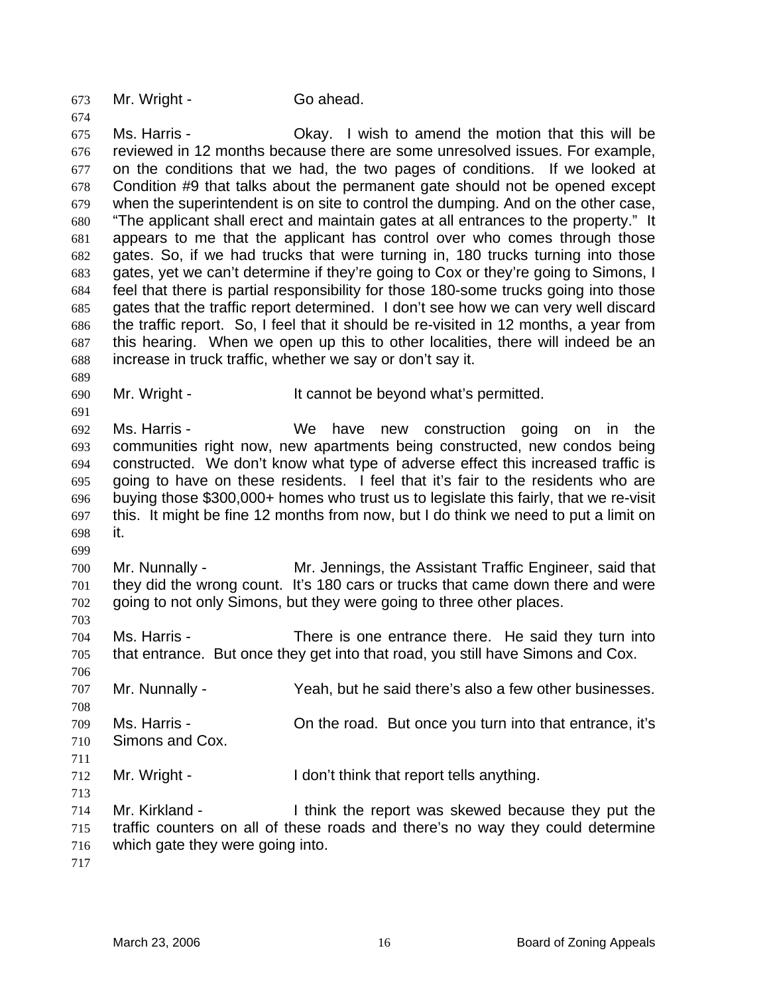673 Mr. Wright - Go ahead.

674

689

691

699

703

706

711

713

675 676 677 678 679 680 681 682 683 684 685 686 687 688 Ms. Harris - Ckay. I wish to amend the motion that this will be reviewed in 12 months because there are some unresolved issues. For example, on the conditions that we had, the two pages of conditions. If we looked at Condition #9 that talks about the permanent gate should not be opened except when the superintendent is on site to control the dumping. And on the other case, "The applicant shall erect and maintain gates at all entrances to the property." It appears to me that the applicant has control over who comes through those gates. So, if we had trucks that were turning in, 180 trucks turning into those gates, yet we can't determine if they're going to Cox or they're going to Simons, I feel that there is partial responsibility for those 180-some trucks going into those gates that the traffic report determined. I don't see how we can very well discard the traffic report. So, I feel that it should be re-visited in 12 months, a year from this hearing. When we open up this to other localities, there will indeed be an increase in truck traffic, whether we say or don't say it.

690 Mr. Wright - It cannot be beyond what's permitted.

692 693 694 695 696 697 698 Ms. Harris - The Me have new construction going on in the communities right now, new apartments being constructed, new condos being constructed. We don't know what type of adverse effect this increased traffic is going to have on these residents. I feel that it's fair to the residents who are buying those \$300,000+ homes who trust us to legislate this fairly, that we re-visit this. It might be fine 12 months from now, but I do think we need to put a limit on it.

700 701 702 Mr. Nunnally - Mr. Jennings, the Assistant Traffic Engineer, said that they did the wrong count. It's 180 cars or trucks that came down there and were going to not only Simons, but they were going to three other places.

704 705 Ms. Harris - There is one entrance there. He said they turn into that entrance. But once they get into that road, you still have Simons and Cox.

707 Mr. Nunnally - Yeah, but he said there's also a few other businesses.

708 709 710 Ms. Harris - Christian Constantial But once you turn into that entrance, it's Simons and Cox.

712 Mr. Wright - I don't think that report tells anything.

714 715 716 Mr. Kirkland - I think the report was skewed because they put the traffic counters on all of these roads and there's no way they could determine which gate they were going into.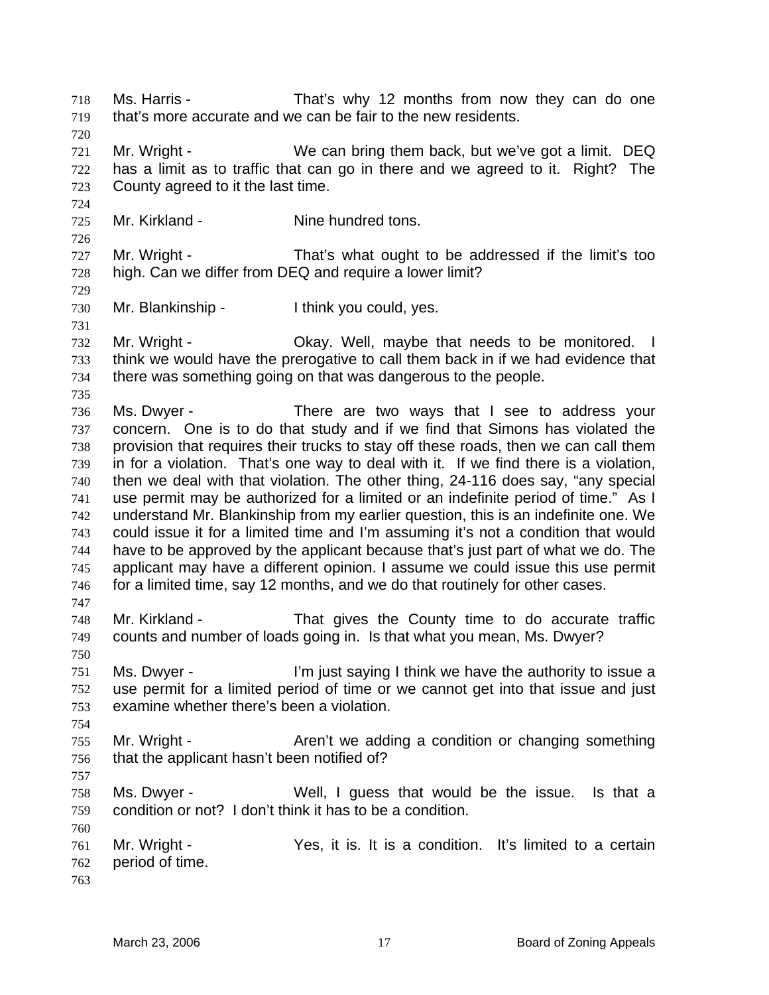Ms. Harris - That's why 12 months from now they can do one that's more accurate and we can be fair to the new residents. 718 719 720 721 722 723 724 725 726 727 728 729 730 731 732 733 734 735 736 737 738 739 740 741 742 743 744 745 746 747 748 749 750 751 752 753 754 755 756 757 758 759 760 761 762 763 Mr. Wright - We can bring them back, but we've got a limit. DEQ has a limit as to traffic that can go in there and we agreed to it. Right? The County agreed to it the last time. Mr. Kirkland - The Nine hundred tons. Mr. Wright - That's what ought to be addressed if the limit's too high. Can we differ from DEQ and require a lower limit? Mr. Blankinship - Think you could, yes. Mr. Wright - Chay. Well, maybe that needs to be monitored. I think we would have the prerogative to call them back in if we had evidence that there was something going on that was dangerous to the people. Ms. Dwyer - There are two ways that I see to address your concern. One is to do that study and if we find that Simons has violated the provision that requires their trucks to stay off these roads, then we can call them in for a violation. That's one way to deal with it. If we find there is a violation, then we deal with that violation. The other thing, 24-116 does say, "any special use permit may be authorized for a limited or an indefinite period of time." As I understand Mr. Blankinship from my earlier question, this is an indefinite one. We could issue it for a limited time and I'm assuming it's not a condition that would have to be approved by the applicant because that's just part of what we do. The applicant may have a different opinion. I assume we could issue this use permit for a limited time, say 12 months, and we do that routinely for other cases. Mr. Kirkland - That gives the County time to do accurate traffic counts and number of loads going in. Is that what you mean, Ms. Dwyer? Ms. Dwyer - I'm just saying I think we have the authority to issue a use permit for a limited period of time or we cannot get into that issue and just examine whether there's been a violation. Mr. Wright - Aren't we adding a condition or changing something that the applicant hasn't been notified of? Ms. Dwyer - Well, I guess that would be the issue. Is that a condition or not? I don't think it has to be a condition. Mr. Wright - The Yes, it is. It is a condition. It's limited to a certain period of time.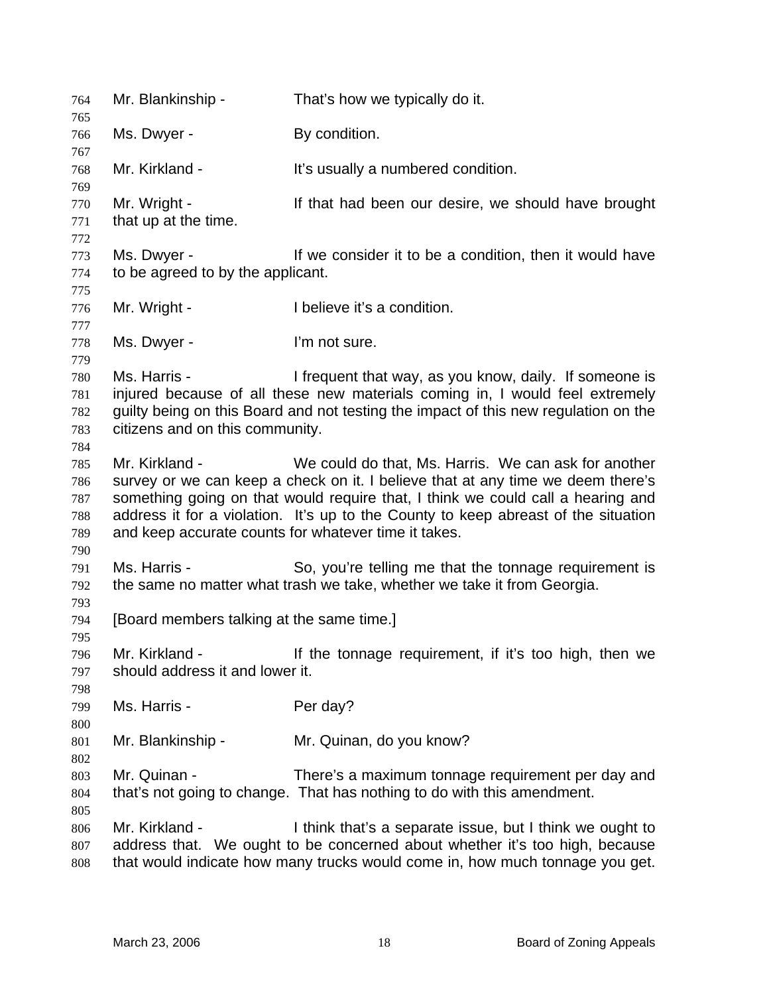| 764                                           | Mr. Blankinship -                                                                                                                                                                                                                                                                                                                                                                          | That's how we typically do it.                                                                                                                                                                                          |  |
|-----------------------------------------------|--------------------------------------------------------------------------------------------------------------------------------------------------------------------------------------------------------------------------------------------------------------------------------------------------------------------------------------------------------------------------------------------|-------------------------------------------------------------------------------------------------------------------------------------------------------------------------------------------------------------------------|--|
| 765<br>766                                    | Ms. Dwyer -                                                                                                                                                                                                                                                                                                                                                                                | By condition.                                                                                                                                                                                                           |  |
| 767<br>768                                    | Mr. Kirkland -                                                                                                                                                                                                                                                                                                                                                                             | It's usually a numbered condition.                                                                                                                                                                                      |  |
| 769<br>770<br>771<br>772                      | Mr. Wright -<br>that up at the time.                                                                                                                                                                                                                                                                                                                                                       | If that had been our desire, we should have brought                                                                                                                                                                     |  |
| 773<br>774                                    | Ms. Dwyer -<br>to be agreed to by the applicant.                                                                                                                                                                                                                                                                                                                                           | If we consider it to be a condition, then it would have                                                                                                                                                                 |  |
| 775<br>776<br>777                             | Mr. Wright -                                                                                                                                                                                                                                                                                                                                                                               | I believe it's a condition.                                                                                                                                                                                             |  |
| 778<br>779                                    | Ms. Dwyer -                                                                                                                                                                                                                                                                                                                                                                                | I'm not sure.                                                                                                                                                                                                           |  |
| 780<br>781<br>782<br>783                      | Ms. Harris -<br>I frequent that way, as you know, daily. If someone is<br>injured because of all these new materials coming in, I would feel extremely<br>guilty being on this Board and not testing the impact of this new regulation on the<br>citizens and on this community.                                                                                                           |                                                                                                                                                                                                                         |  |
| 784<br>785<br>786<br>787<br>788<br>789<br>790 | Mr. Kirkland -<br>We could do that, Ms. Harris. We can ask for another<br>survey or we can keep a check on it. I believe that at any time we deem there's<br>something going on that would require that, I think we could call a hearing and<br>address it for a violation. It's up to the County to keep abreast of the situation<br>and keep accurate counts for whatever time it takes. |                                                                                                                                                                                                                         |  |
| 791<br>792                                    | Ms. Harris -                                                                                                                                                                                                                                                                                                                                                                               | So, you're telling me that the tonnage requirement is<br>the same no matter what trash we take, whether we take it from Georgia.                                                                                        |  |
| 793<br>794                                    | [Board members talking at the same time.]                                                                                                                                                                                                                                                                                                                                                  |                                                                                                                                                                                                                         |  |
| 795<br>796<br>797<br>798                      | Mr. Kirkland -<br>should address it and lower it.                                                                                                                                                                                                                                                                                                                                          | If the tonnage requirement, if it's too high, then we                                                                                                                                                                   |  |
| 799<br>800                                    | Ms. Harris -                                                                                                                                                                                                                                                                                                                                                                               | Per day?                                                                                                                                                                                                                |  |
| 801<br>802                                    | Mr. Blankinship -                                                                                                                                                                                                                                                                                                                                                                          | Mr. Quinan, do you know?                                                                                                                                                                                                |  |
| 803<br>804<br>805                             | Mr. Quinan -                                                                                                                                                                                                                                                                                                                                                                               | There's a maximum tonnage requirement per day and<br>that's not going to change. That has nothing to do with this amendment.                                                                                            |  |
| 806<br>807<br>808                             | Mr. Kirkland -                                                                                                                                                                                                                                                                                                                                                                             | I think that's a separate issue, but I think we ought to<br>address that. We ought to be concerned about whether it's too high, because<br>that would indicate how many trucks would come in, how much tonnage you get. |  |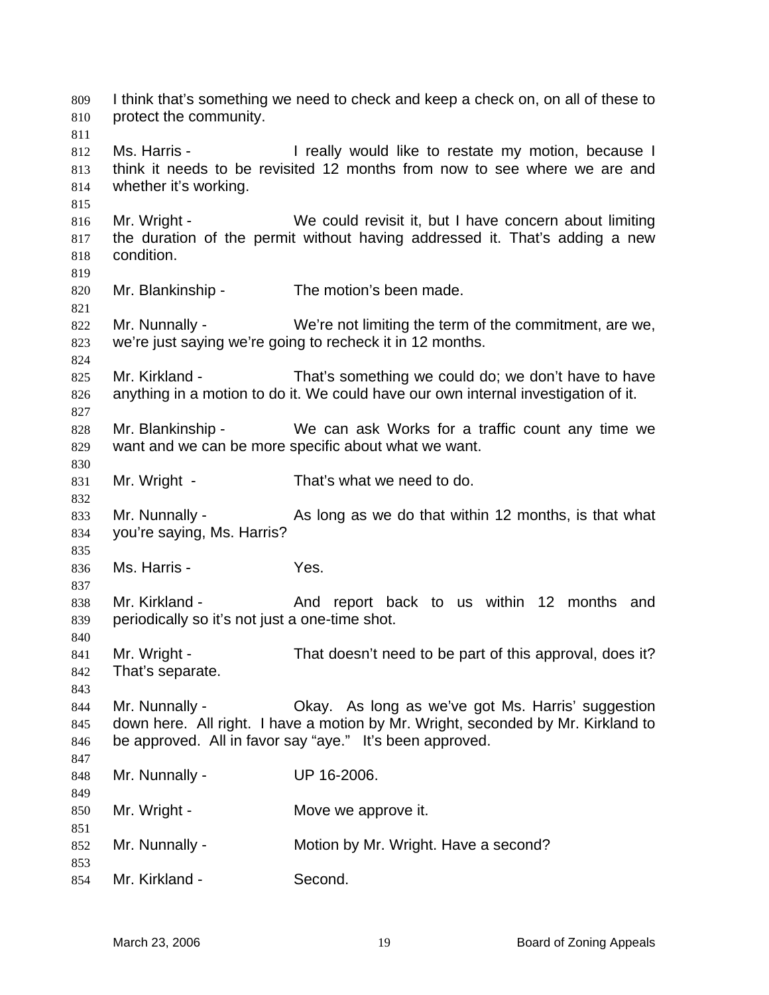I think that's something we need to check and keep a check on, on all of these to protect the community. 809 810 811 812 813 814 815 816 817 818 819 820 821 822 823 824 825 826 827 828 829 830 831 832 833 834 835 836 837 838 839 840 841 842 843 844 845 846 847 848 849 850 851 852 853 854 Ms. Harris - The ally would like to restate my motion, because I think it needs to be revisited 12 months from now to see where we are and whether it's working. Mr. Wright - We could revisit it, but I have concern about limiting the duration of the permit without having addressed it. That's adding a new condition. Mr. Blankinship - The motion's been made. Mr. Nunnally - We're not limiting the term of the commitment, are we, we're just saying we're going to recheck it in 12 months. Mr. Kirkland - That's something we could do; we don't have to have anything in a motion to do it. We could have our own internal investigation of it. Mr. Blankinship - We can ask Works for a traffic count any time we want and we can be more specific about what we want. Mr. Wright - That's what we need to do. Mr. Nunnally - As long as we do that within 12 months, is that what you're saying, Ms. Harris? Ms. Harris - The Yes. Mr. Kirkland - The And report back to us within 12 months and periodically so it's not just a one-time shot. Mr. Wright - That doesn't need to be part of this approval, does it? That's separate. Mr. Nunnally - Okay. As long as we've got Ms. Harris' suggestion down here. All right. I have a motion by Mr. Wright, seconded by Mr. Kirkland to be approved. All in favor say "aye." It's been approved. Mr. Nunnally - UP 16-2006. Mr. Wright - **Move we approve it.** Mr. Nunnally - Motion by Mr. Wright. Have a second? Mr. Kirkland - Second.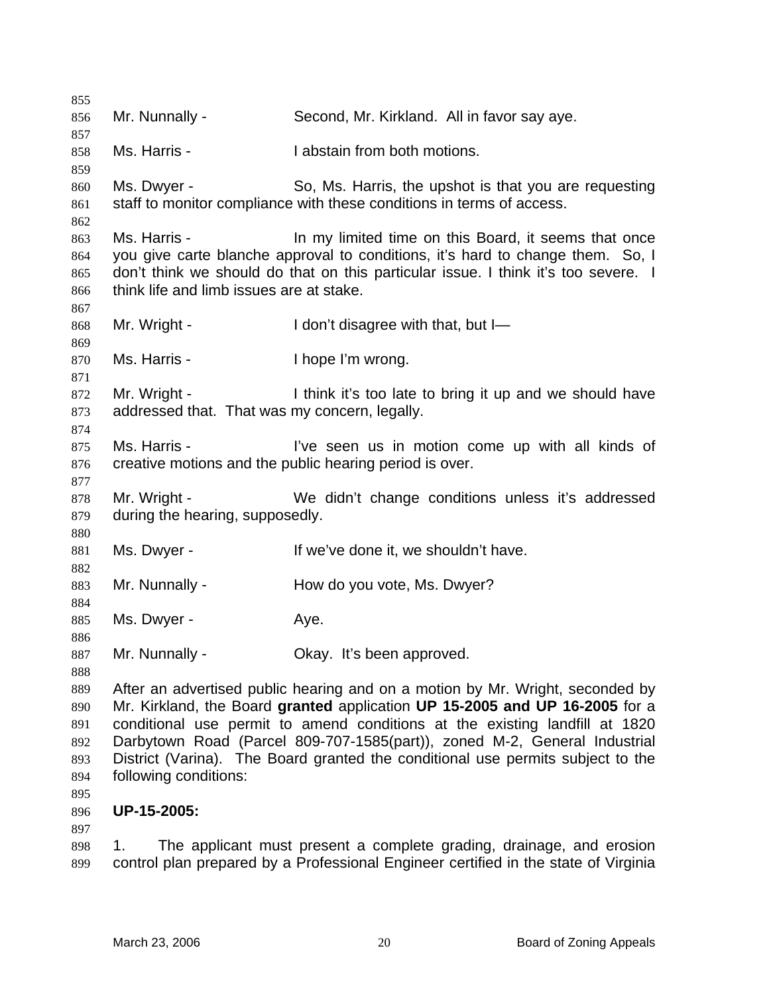855 856 857 858 859 860 861 862 863 864 865 866 867 868 869 870 871 872 873 874 875 876 877 878 879 880 881 882 883 884 885 886 887 888 889 890 891 892 893 894 895 896 897 898 Mr. Nunnally - Second, Mr. Kirkland. All in favor say aye. Ms. Harris - **I** abstain from both motions. Ms. Dwyer - So, Ms. Harris, the upshot is that you are requesting staff to monitor compliance with these conditions in terms of access. Ms. Harris - In my limited time on this Board, it seems that once you give carte blanche approval to conditions, it's hard to change them. So, I don't think we should do that on this particular issue. I think it's too severe. I think life and limb issues are at stake. Mr. Wright - I don't disagree with that, but I-Ms. Harris - Thope I'm wrong. Mr. Wright - Think it's too late to bring it up and we should have addressed that. That was my concern, legally. Ms. Harris - The Time seen us in motion come up with all kinds of creative motions and the public hearing period is over. Mr. Wright - We didn't change conditions unless it's addressed during the hearing, supposedly. Ms. Dwyer - The Music of the Ve done it, we shouldn't have. Mr. Nunnally - **How do you vote, Ms. Dwyer?** Ms. Dwyer - Aye. Mr. Nunnally - Ckay. It's been approved. After an advertised public hearing and on a motion by Mr. Wright, seconded by Mr. Kirkland, the Board **granted** application **UP 15-2005 and UP 16-2005** for a conditional use permit to amend conditions at the existing landfill at 1820 Darbytown Road (Parcel 809-707-1585(part)), zoned M-2, General Industrial District (Varina). The Board granted the conditional use permits subject to the following conditions: **UP-15-2005:**  1. The applicant must present a complete grading, drainage, and erosion

899 control plan prepared by a Professional Engineer certified in the state of Virginia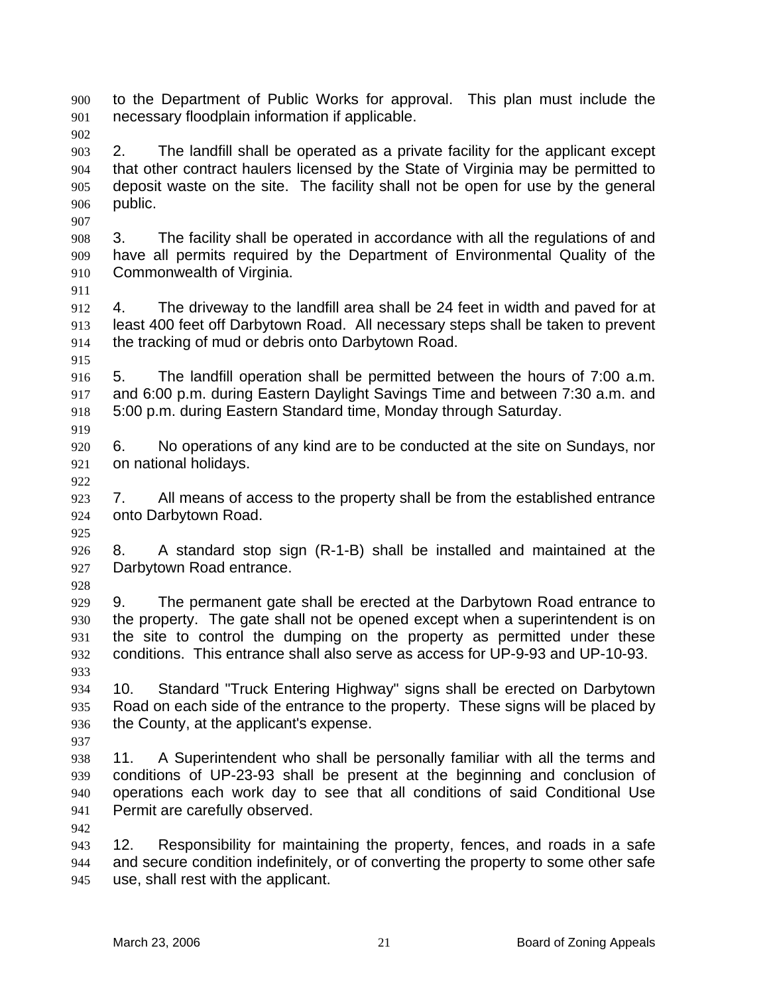to the Department of Public Works for approval. This plan must include the necessary floodplain information if applicable. 900 901

902

903 904 905 906 2. The landfill shall be operated as a private facility for the applicant except that other contract haulers licensed by the State of Virginia may be permitted to deposit waste on the site. The facility shall not be open for use by the general public.

908 909 910 3. The facility shall be operated in accordance with all the regulations of and have all permits required by the Department of Environmental Quality of the Commonwealth of Virginia.

911

907

912 913 914 4. The driveway to the landfill area shall be 24 feet in width and paved for at least 400 feet off Darbytown Road. All necessary steps shall be taken to prevent the tracking of mud or debris onto Darbytown Road.

915

916 917 918 919 5. The landfill operation shall be permitted between the hours of 7:00 a.m. and 6:00 p.m. during Eastern Daylight Savings Time and between 7:30 a.m. and 5:00 p.m. during Eastern Standard time, Monday through Saturday.

920 921 6. No operations of any kind are to be conducted at the site on Sundays, nor on national holidays.

922

925

923 924 7. All means of access to the property shall be from the established entrance onto Darbytown Road.

926 927 8. A standard stop sign (R-1-B) shall be installed and maintained at the Darbytown Road entrance.

928

937

942

929 930 931 932 933 9. The permanent gate shall be erected at the Darbytown Road entrance to the property. The gate shall not be opened except when a superintendent is on the site to control the dumping on the property as permitted under these conditions. This entrance shall also serve as access for UP-9-93 and UP-10-93.

934 935 936 10. Standard "Truck Entering Highway" signs shall be erected on Darbytown Road on each side of the entrance to the property. These signs will be placed by the County, at the applicant's expense.

938 939 940 941 11. A Superintendent who shall be personally familiar with all the terms and conditions of UP-23-93 shall be present at the beginning and conclusion of operations each work day to see that all conditions of said Conditional Use Permit are carefully observed.

943 944 945 12. Responsibility for maintaining the property, fences, and roads in a safe and secure condition indefinitely, or of converting the property to some other safe use, shall rest with the applicant.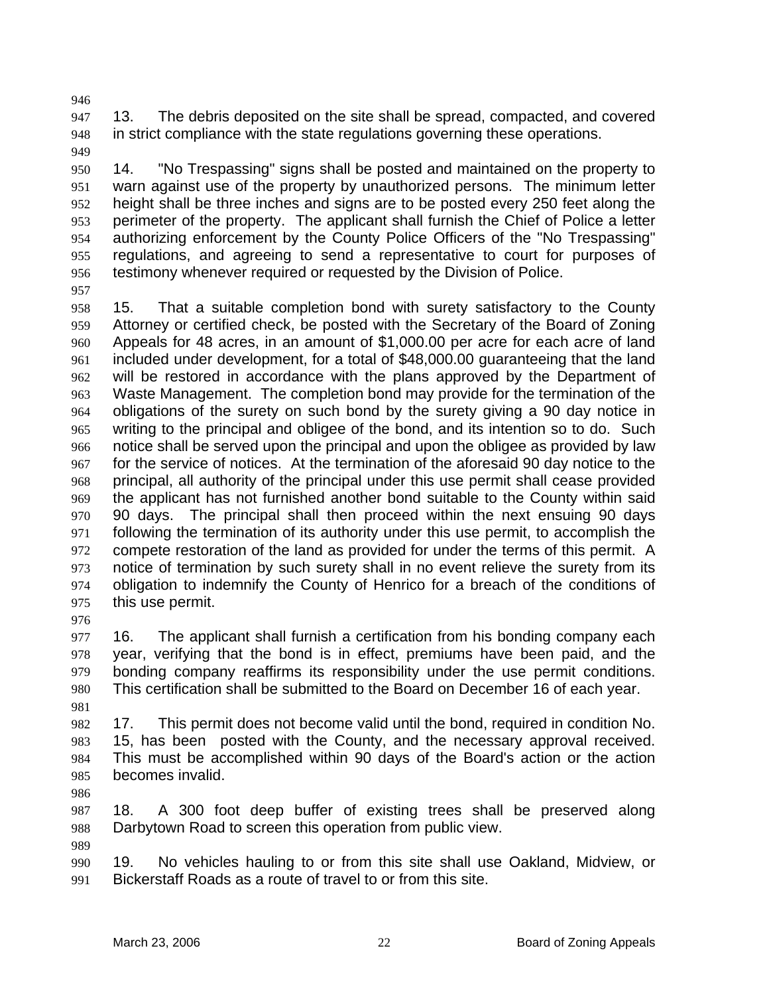947 948 949 13. The debris deposited on the site shall be spread, compacted, and covered in strict compliance with the state regulations governing these operations.

950 951 952 953 954 955 956 14. "No Trespassing" signs shall be posted and maintained on the property to warn against use of the property by unauthorized persons. The minimum letter height shall be three inches and signs are to be posted every 250 feet along the perimeter of the property. The applicant shall furnish the Chief of Police a letter authorizing enforcement by the County Police Officers of the "No Trespassing" regulations, and agreeing to send a representative to court for purposes of testimony whenever required or requested by the Division of Police.

957

946

958 959 960 961 962 963 964 965 966 967 968 969 970 971 972 973 974 975 976 15. That a suitable completion bond with surety satisfactory to the County Attorney or certified check, be posted with the Secretary of the Board of Zoning Appeals for 48 acres, in an amount of \$1,000.00 per acre for each acre of land included under development, for a total of \$48,000.00 guaranteeing that the land will be restored in accordance with the plans approved by the Department of Waste Management. The completion bond may provide for the termination of the obligations of the surety on such bond by the surety giving a 90 day notice in writing to the principal and obligee of the bond, and its intention so to do. Such notice shall be served upon the principal and upon the obligee as provided by law for the service of notices. At the termination of the aforesaid 90 day notice to the principal, all authority of the principal under this use permit shall cease provided the applicant has not furnished another bond suitable to the County within said 90 days. The principal shall then proceed within the next ensuing 90 days following the termination of its authority under this use permit, to accomplish the compete restoration of the land as provided for under the terms of this permit. A notice of termination by such surety shall in no event relieve the surety from its obligation to indemnify the County of Henrico for a breach of the conditions of this use permit.

977 978 979 980 16. The applicant shall furnish a certification from his bonding company each year, verifying that the bond is in effect, premiums have been paid, and the bonding company reaffirms its responsibility under the use permit conditions. This certification shall be submitted to the Board on December 16 of each year.

981

982 983 984 985 17. This permit does not become valid until the bond, required in condition No. 15, has been posted with the County, and the necessary approval received. This must be accomplished within 90 days of the Board's action or the action becomes invalid.

986

989

987 988 18. A 300 foot deep buffer of existing trees shall be preserved along Darbytown Road to screen this operation from public view.

990 991 19. No vehicles hauling to or from this site shall use Oakland, Midview, or Bickerstaff Roads as a route of travel to or from this site.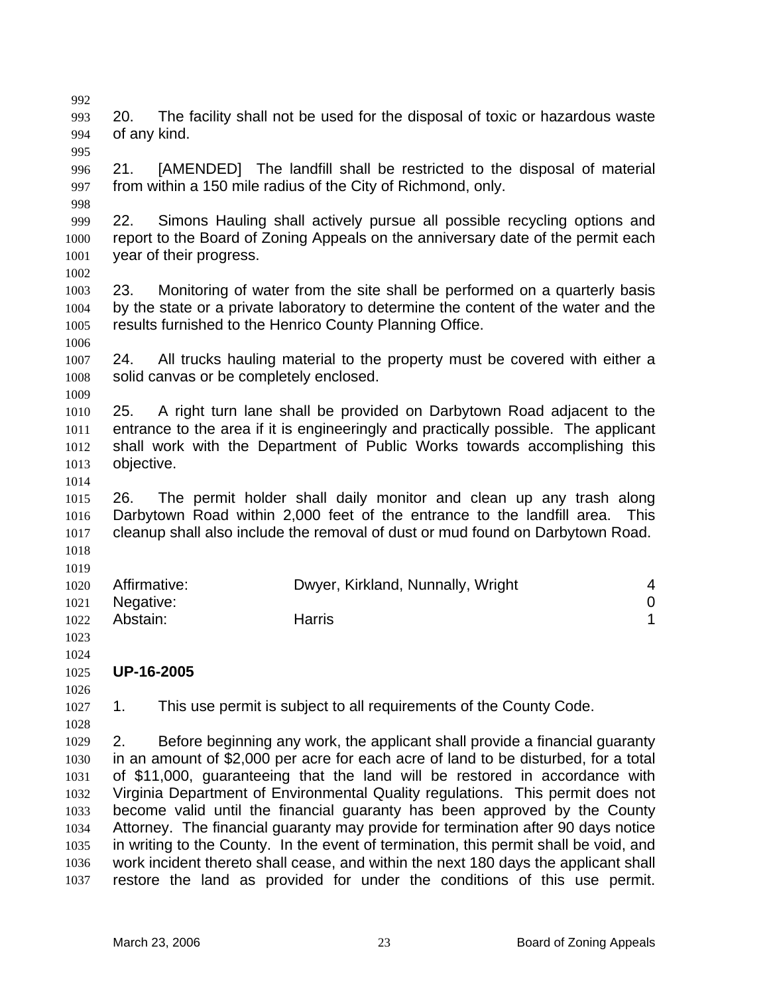993 994 995 996 997 998 999 1000 1001 1002 1003 1004 1005 1006 1007 1008 1009 1010 1011 1012 1013 1014 1015 1016 1017 1018 1019 1020 1021 1022 1023 1024 1025 1026 1027 1028 1029 1030 1031 1032 1033 1034 1035 1036 1037 20. The facility shall not be used for the disposal of toxic or hazardous waste of any kind. 21. [AMENDED] The landfill shall be restricted to the disposal of material from within a 150 mile radius of the City of Richmond, only. 22. Simons Hauling shall actively pursue all possible recycling options and report to the Board of Zoning Appeals on the anniversary date of the permit each year of their progress. 23. Monitoring of water from the site shall be performed on a quarterly basis by the state or a private laboratory to determine the content of the water and the results furnished to the Henrico County Planning Office. 24. All trucks hauling material to the property must be covered with either a solid canvas or be completely enclosed. 25. A right turn lane shall be provided on Darbytown Road adjacent to the entrance to the area if it is engineeringly and practically possible. The applicant shall work with the Department of Public Works towards accomplishing this objective. 26. The permit holder shall daily monitor and clean up any trash along Darbytown Road within 2,000 feet of the entrance to the landfill area. This cleanup shall also include the removal of dust or mud found on Darbytown Road. Affirmative: Dwyer, Kirkland, Nunnally, Wright 4 Negative: 0 Abstain: The Harris **Harris 1 UP-16-2005**  1. This use permit is subject to all requirements of the County Code. 2. Before beginning any work, the applicant shall provide a financial guaranty in an amount of \$2,000 per acre for each acre of land to be disturbed, for a total of \$11,000, guaranteeing that the land will be restored in accordance with Virginia Department of Environmental Quality regulations. This permit does not become valid until the financial guaranty has been approved by the County Attorney. The financial guaranty may provide for termination after 90 days notice in writing to the County. In the event of termination, this permit shall be void, and work incident thereto shall cease, and within the next 180 days the applicant shall restore the land as provided for under the conditions of this use permit.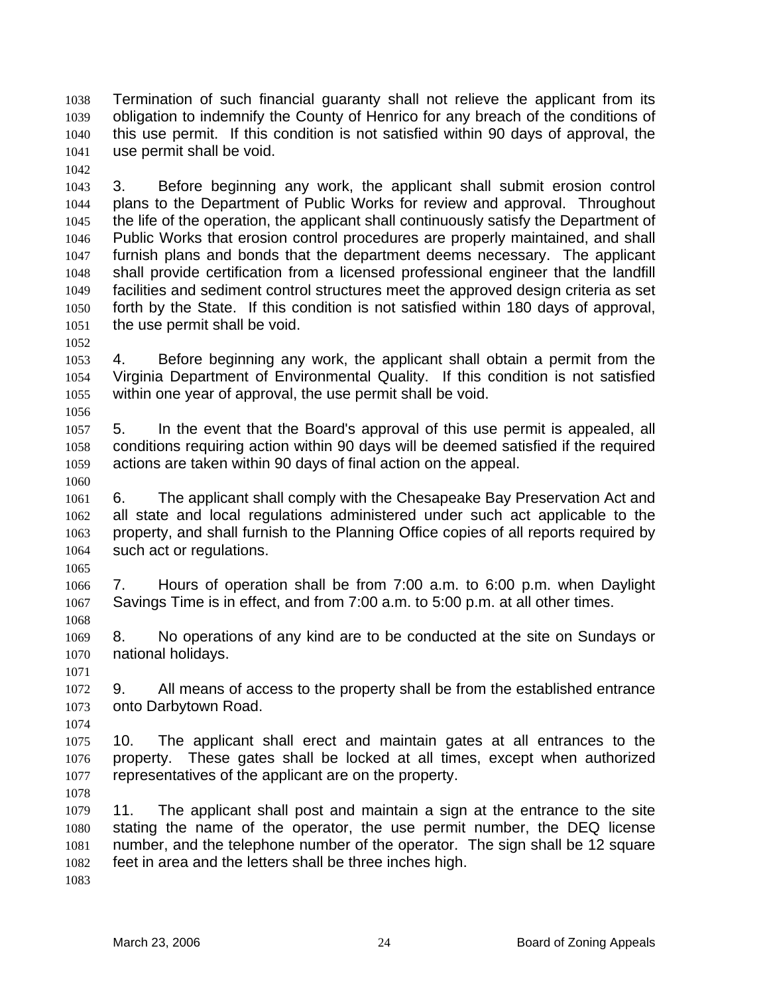Termination of such financial guaranty shall not relieve the applicant from its obligation to indemnify the County of Henrico for any breach of the conditions of this use permit. If this condition is not satisfied within 90 days of approval, the use permit shall be void. 1038 1039 1040 1041

1042

1043 1044 1045 1046 1047 1048 1049 1050 1051 3. Before beginning any work, the applicant shall submit erosion control plans to the Department of Public Works for review and approval. Throughout the life of the operation, the applicant shall continuously satisfy the Department of Public Works that erosion control procedures are properly maintained, and shall furnish plans and bonds that the department deems necessary. The applicant shall provide certification from a licensed professional engineer that the landfill facilities and sediment control structures meet the approved design criteria as set forth by the State. If this condition is not satisfied within 180 days of approval, the use permit shall be void.

1052

1056

1060

1053 1054 1055 4. Before beginning any work, the applicant shall obtain a permit from the Virginia Department of Environmental Quality. If this condition is not satisfied within one year of approval, the use permit shall be void.

1057 1058 1059 5. In the event that the Board's approval of this use permit is appealed, all conditions requiring action within 90 days will be deemed satisfied if the required actions are taken within 90 days of final action on the appeal.

1061 1062 1063 1064 6. The applicant shall comply with the Chesapeake Bay Preservation Act and all state and local regulations administered under such act applicable to the property, and shall furnish to the Planning Office copies of all reports required by such act or regulations.

1065

1068

1066 1067 7. Hours of operation shall be from 7:00 a.m. to 6:00 p.m. when Daylight Savings Time is in effect, and from 7:00 a.m. to 5:00 p.m. at all other times.

1069 1070 8. No operations of any kind are to be conducted at the site on Sundays or national holidays.

1071

1074

1072 1073 9. All means of access to the property shall be from the established entrance onto Darbytown Road.

1075 1076 1077 10. The applicant shall erect and maintain gates at all entrances to the property. These gates shall be locked at all times, except when authorized representatives of the applicant are on the property.

1078

1079 1080 1081 1082 11. The applicant shall post and maintain a sign at the entrance to the site stating the name of the operator, the use permit number, the DEQ license number, and the telephone number of the operator. The sign shall be 12 square feet in area and the letters shall be three inches high.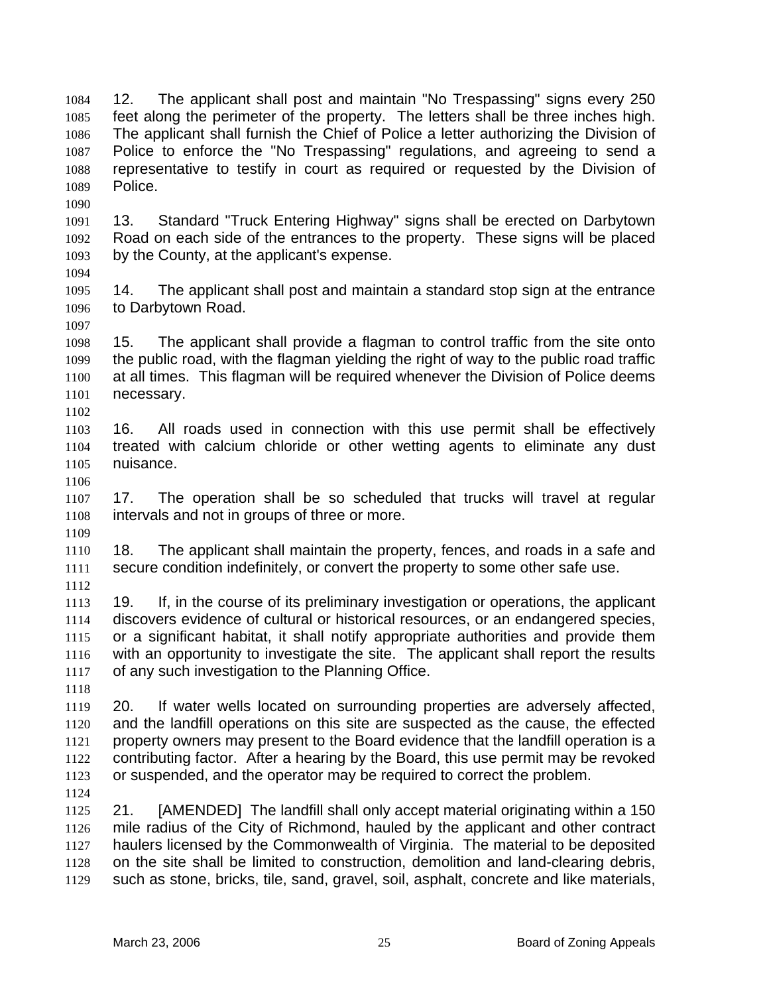12. The applicant shall post and maintain "No Trespassing" signs every 250 feet along the perimeter of the property. The letters shall be three inches high. The applicant shall furnish the Chief of Police a letter authorizing the Division of Police to enforce the "No Trespassing" regulations, and agreeing to send a representative to testify in court as required or requested by the Division of Police. 1084 1085 1086 1087 1088 1089

1091 1092 1093 13. Standard "Truck Entering Highway" signs shall be erected on Darbytown Road on each side of the entrances to the property. These signs will be placed by the County, at the applicant's expense.

1094

1090

1095 1096 1097 14. The applicant shall post and maintain a standard stop sign at the entrance to Darbytown Road.

1098 1099 1100 1101 15. The applicant shall provide a flagman to control traffic from the site onto the public road, with the flagman yielding the right of way to the public road traffic at all times. This flagman will be required whenever the Division of Police deems necessary.

1103 1104 1105 16. All roads used in connection with this use permit shall be effectively treated with calcium chloride or other wetting agents to eliminate any dust nuisance.

1106

1109

1102

1107 1108 17. The operation shall be so scheduled that trucks will travel at regular intervals and not in groups of three or more.

1110 1111 18. The applicant shall maintain the property, fences, and roads in a safe and secure condition indefinitely, or convert the property to some other safe use.

1112

1113 1114 1115 1116 1117 19. If, in the course of its preliminary investigation or operations, the applicant discovers evidence of cultural or historical resources, or an endangered species, or a significant habitat, it shall notify appropriate authorities and provide them with an opportunity to investigate the site. The applicant shall report the results of any such investigation to the Planning Office.

1118

1119 1120 1121 1122 1123 20. If water wells located on surrounding properties are adversely affected, and the landfill operations on this site are suspected as the cause, the effected property owners may present to the Board evidence that the landfill operation is a contributing factor. After a hearing by the Board, this use permit may be revoked or suspended, and the operator may be required to correct the problem.

1124

1125 1126 1127 1128 1129 21. [AMENDED] The landfill shall only accept material originating within a 150 mile radius of the City of Richmond, hauled by the applicant and other contract haulers licensed by the Commonwealth of Virginia. The material to be deposited on the site shall be limited to construction, demolition and land-clearing debris, such as stone, bricks, tile, sand, gravel, soil, asphalt, concrete and like materials,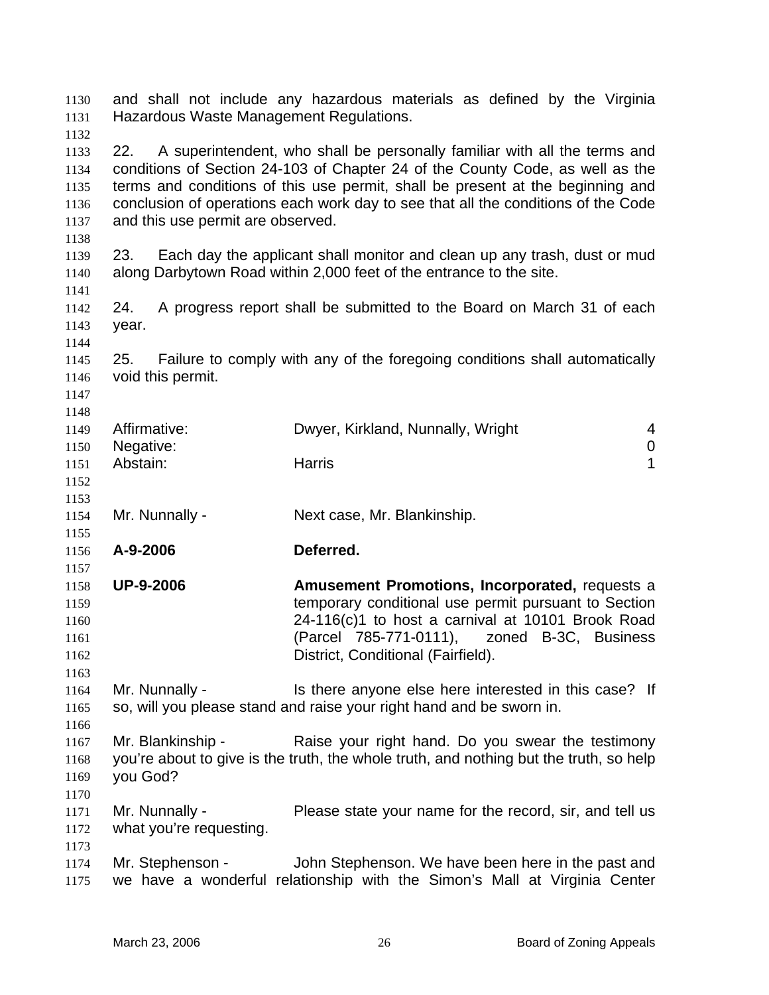and shall not include any hazardous materials as defined by the Virginia Hazardous Waste Management Regulations. 1130 1131 1132 1133 1134 1135 1136 1137 1138 1139 1140 1141 1142 1143 1144 1145 1146 1147 1148 1149 1150 1151 1152 1153 1154 1155 1156 1157 1158 1159 1160 1161 1162 1163 1164 1165 1166 1167 1168 1169 1170 1171 1172 1173 1174 1175 22. A superintendent, who shall be personally familiar with all the terms and conditions of Section 24-103 of Chapter 24 of the County Code, as well as the terms and conditions of this use permit, shall be present at the beginning and conclusion of operations each work day to see that all the conditions of the Code and this use permit are observed. 23. Each day the applicant shall monitor and clean up any trash, dust or mud along Darbytown Road within 2,000 feet of the entrance to the site. 24. A progress report shall be submitted to the Board on March 31 of each year. 25. Failure to comply with any of the foregoing conditions shall automatically void this permit. Affirmative: Dwyer, Kirkland, Nunnally, Wright 4 Negative: 0 Abstain: **Harris 1** Harris 1 Mr. Nunnally - Next case, Mr. Blankinship. **A-9-2006 Deferred. UP-9-2006 Amusement Promotions, Incorporated,** requests a temporary conditional use permit pursuant to Section 24-116(c)1 to host a carnival at 10101 Brook Road (Parcel 785-771-0111), zoned B-3C, Business District, Conditional (Fairfield). Mr. Nunnally - This there anyone else here interested in this case? If so, will you please stand and raise your right hand and be sworn in. Mr. Blankinship - Raise your right hand. Do you swear the testimony you're about to give is the truth, the whole truth, and nothing but the truth, so help you God? Mr. Nunnally - Please state your name for the record, sir, and tell us what you're requesting. Mr. Stephenson - John Stephenson. We have been here in the past and we have a wonderful relationship with the Simon's Mall at Virginia Center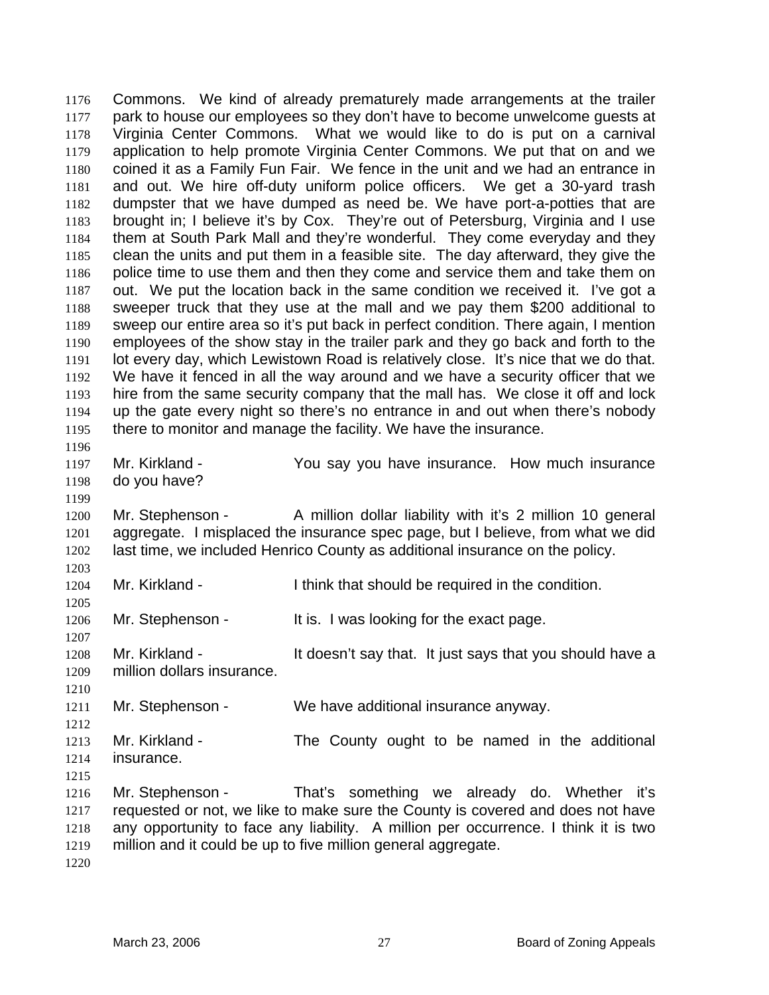Commons. We kind of already prematurely made arrangements at the trailer park to house our employees so they don't have to become unwelcome guests at Virginia Center Commons. What we would like to do is put on a carnival application to help promote Virginia Center Commons. We put that on and we coined it as a Family Fun Fair. We fence in the unit and we had an entrance in and out. We hire off-duty uniform police officers. We get a 30-yard trash dumpster that we have dumped as need be. We have port-a-potties that are brought in; I believe it's by Cox. They're out of Petersburg, Virginia and I use them at South Park Mall and they're wonderful. They come everyday and they clean the units and put them in a feasible site. The day afterward, they give the police time to use them and then they come and service them and take them on out. We put the location back in the same condition we received it. I've got a sweeper truck that they use at the mall and we pay them \$200 additional to sweep our entire area so it's put back in perfect condition. There again, I mention employees of the show stay in the trailer park and they go back and forth to the lot every day, which Lewistown Road is relatively close. It's nice that we do that. We have it fenced in all the way around and we have a security officer that we hire from the same security company that the mall has. We close it off and lock up the gate every night so there's no entrance in and out when there's nobody there to monitor and manage the facility. We have the insurance. 1176 1177 1178 1179 1180 1181 1182 1183 1184 1185 1186 1187 1188 1189 1190 1191 1192 1193 1194 1195 1196 1197 1198 1199 1200 1201 1202 1203 1204 1205 1206 1207 1208 1209 1210 1211 1212 1213 1214 1215 1216 1217 1218 1219 Mr. Kirkland - You say you have insurance. How much insurance do you have? Mr. Stephenson - A million dollar liability with it's 2 million 10 general aggregate. I misplaced the insurance spec page, but I believe, from what we did last time, we included Henrico County as additional insurance on the policy. Mr. Kirkland - I think that should be required in the condition. Mr. Stephenson - It is. I was looking for the exact page. Mr. Kirkland - It doesn't say that. It just says that you should have a million dollars insurance. Mr. Stephenson - We have additional insurance anyway. Mr. Kirkland - The County ought to be named in the additional insurance. Mr. Stephenson - That's something we already do. Whether it's requested or not, we like to make sure the County is covered and does not have any opportunity to face any liability. A million per occurrence. I think it is two million and it could be up to five million general aggregate.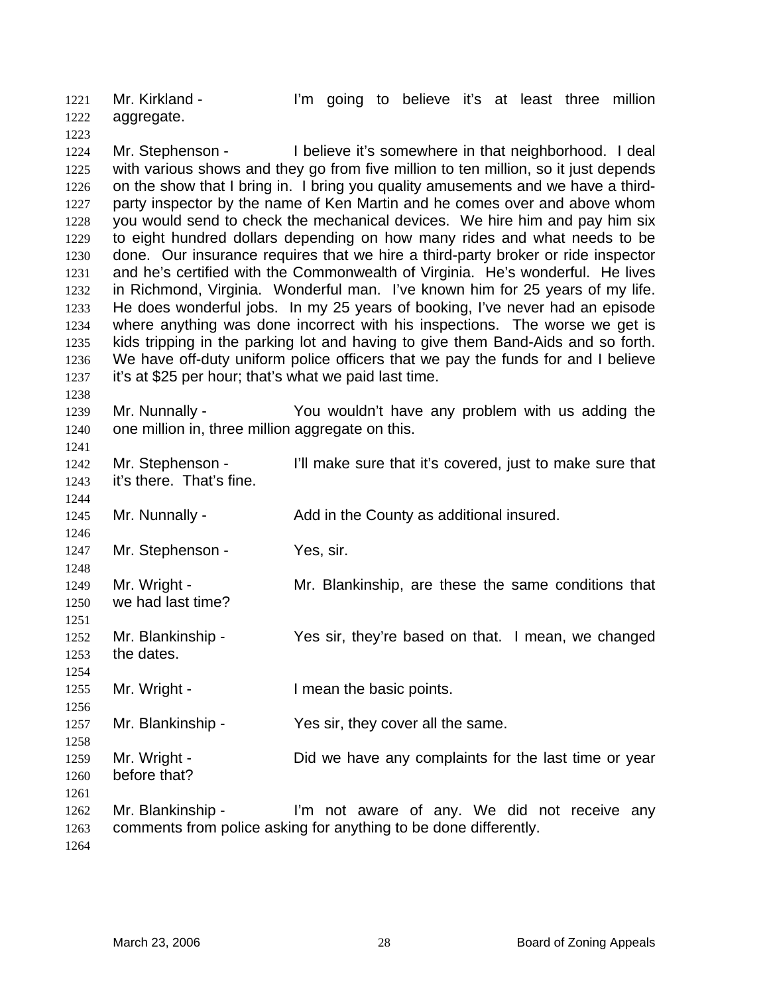Mr. Kirkland - I'm going to believe it's at least three million aggregate. 1221 1222

1224 1225 1226 1227 1228 1229 1230 1231 1232 1233 1234 1235 1236 1237 Mr. Stephenson - I believe it's somewhere in that neighborhood. I deal with various shows and they go from five million to ten million, so it just depends on the show that I bring in. I bring you quality amusements and we have a thirdparty inspector by the name of Ken Martin and he comes over and above whom you would send to check the mechanical devices. We hire him and pay him six to eight hundred dollars depending on how many rides and what needs to be done. Our insurance requires that we hire a third-party broker or ride inspector and he's certified with the Commonwealth of Virginia. He's wonderful. He lives in Richmond, Virginia. Wonderful man. I've known him for 25 years of my life. He does wonderful jobs. In my 25 years of booking, I've never had an episode where anything was done incorrect with his inspections. The worse we get is kids tripping in the parking lot and having to give them Band-Aids and so forth. We have off-duty uniform police officers that we pay the funds for and I believe it's at \$25 per hour; that's what we paid last time.

1239 1240 Mr. Nunnally - You wouldn't have any problem with us adding the one million in, three million aggregate on this.

1242 1243 1244 1245 1246 Mr. Stephenson - I'll make sure that it's covered, just to make sure that it's there. That's fine. Mr. Nunnally - Add in the County as additional insured.

1247 1248 Mr. Stephenson - Yes, sir.

- 1249 1250 Mr. Wright - Mr. Blankinship, are these the same conditions that we had last time?
- 1252 1253 Mr. Blankinship - Yes sir, they're based on that. I mean, we changed the dates.
- 1255 Mr. Wright - I mean the basic points.
- 1257 Mr. Blankinship - Yes sir, they cover all the same.
- 1259 1260 Mr. Wright - Did we have any complaints for the last time or year before that?
- 1262 1263 Mr. Blankinship - I'm not aware of any. We did not receive any comments from police asking for anything to be done differently.
- 1264

1261

1223

1238

1241

1251

1254

1256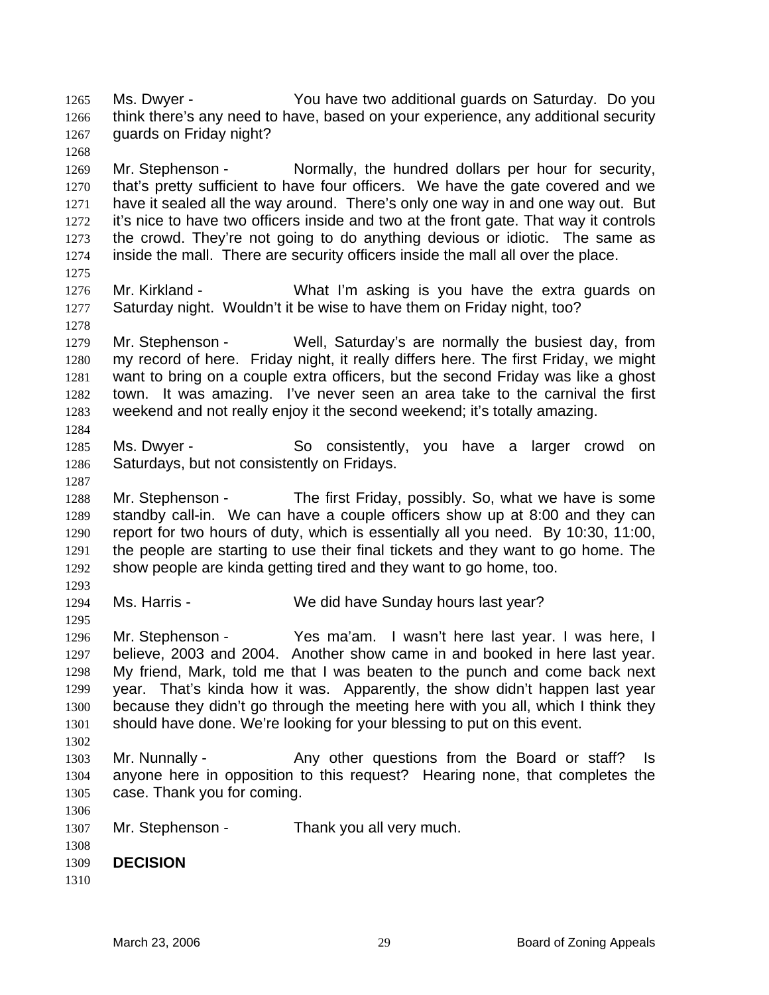Ms. Dwyer - You have two additional guards on Saturday. Do you think there's any need to have, based on your experience, any additional security guards on Friday night? 1265 1266 1267

1269 1270 1271 1272 1273 1274 Mr. Stephenson - Normally, the hundred dollars per hour for security, that's pretty sufficient to have four officers. We have the gate covered and we have it sealed all the way around. There's only one way in and one way out. But it's nice to have two officers inside and two at the front gate. That way it controls the crowd. They're not going to do anything devious or idiotic. The same as inside the mall. There are security officers inside the mall all over the place.

1276 1277 Mr. Kirkland - What I'm asking is you have the extra guards on Saturday night. Wouldn't it be wise to have them on Friday night, too?

1279 1280 1281 1282 1283 Mr. Stephenson - Well, Saturday's are normally the busiest day, from my record of here. Friday night, it really differs here. The first Friday, we might want to bring on a couple extra officers, but the second Friday was like a ghost town. It was amazing. I've never seen an area take to the carnival the first weekend and not really enjoy it the second weekend; it's totally amazing.

1285 1286 Ms. Dwyer - So consistently, you have a larger crowd on Saturdays, but not consistently on Fridays.

1288 1289 1290 1291 1292 Mr. Stephenson - The first Friday, possibly. So, what we have is some standby call-in. We can have a couple officers show up at 8:00 and they can report for two hours of duty, which is essentially all you need. By 10:30, 11:00, the people are starting to use their final tickets and they want to go home. The show people are kinda getting tired and they want to go home, too.

1293 1294

1295

1268

1275

1278

1284

1287

Ms. Harris - We did have Sunday hours last year?

1296 1297 1298 1299 1300 1301 1302 Mr. Stephenson - Yes ma'am. I wasn't here last year. I was here, I believe, 2003 and 2004. Another show came in and booked in here last year. My friend, Mark, told me that I was beaten to the punch and come back next year. That's kinda how it was. Apparently, the show didn't happen last year because they didn't go through the meeting here with you all, which I think they should have done. We're looking for your blessing to put on this event.

1303 1304 1305 Mr. Nunnally - Any other questions from the Board or staff? Is anyone here in opposition to this request? Hearing none, that completes the case. Thank you for coming.

1307 Mr. Stephenson - Thank you all very much.

1308 1309 **DECISION** 

1310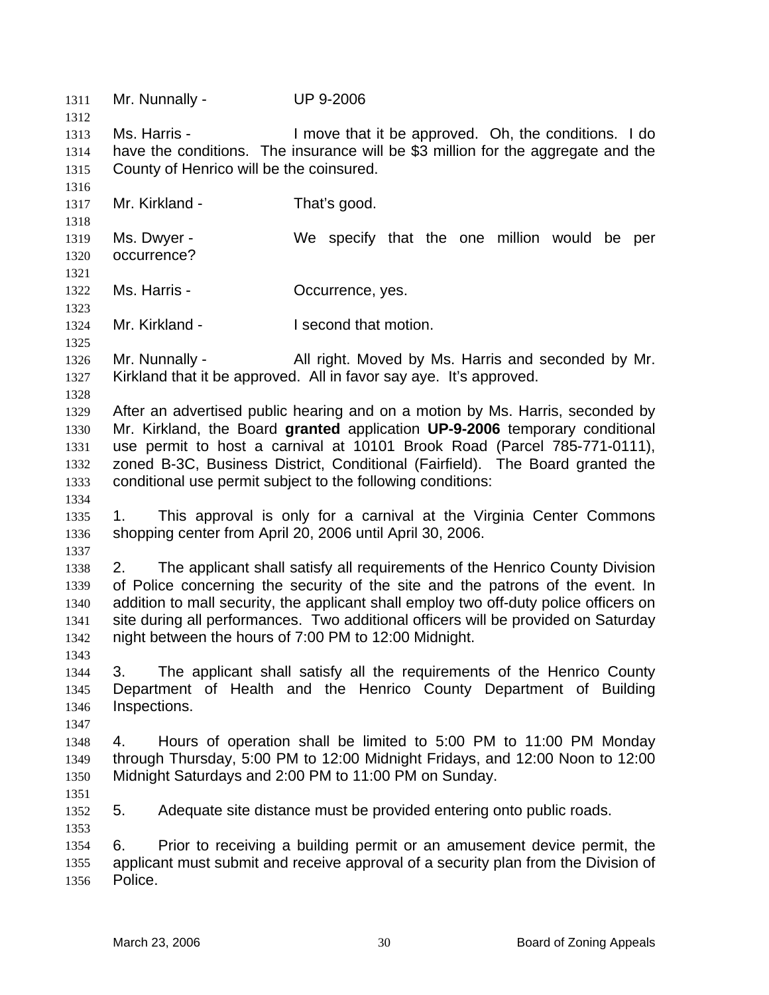1311 Mr. Nunnally - UP 9-2006 1312 1313 1314 1315 1316 1317 1318 1319 1320 1321 1322 1323 1324 1325 1326 1327 1328 1329 1330 1331 1332 1333 1334 1335 1336 1337 1338 1339 1340 1341 1342 1343 1344 1345 1346 1347 1348 1349 1350 1351 1352 1353 1354 1355 1356 Ms. Harris - The Music Herric Herric in the approved. Oh, the conditions. I do have the conditions. The insurance will be \$3 million for the aggregate and the County of Henrico will be the coinsured. Mr. Kirkland - That's good. Ms. Dwyer - We specify that the one million would be per occurrence? Ms. Harris - Cocurrence, yes. Mr. Kirkland - **I** second that motion. Mr. Nunnally - All right. Moved by Ms. Harris and seconded by Mr. Kirkland that it be approved. All in favor say aye. It's approved. After an advertised public hearing and on a motion by Ms. Harris, seconded by Mr. Kirkland, the Board **granted** application **UP-9-2006** temporary conditional use permit to host a carnival at 10101 Brook Road (Parcel 785-771-0111), zoned B-3C, Business District, Conditional (Fairfield). The Board granted the conditional use permit subject to the following conditions: 1. This approval is only for a carnival at the Virginia Center Commons shopping center from April 20, 2006 until April 30, 2006. 2. The applicant shall satisfy all requirements of the Henrico County Division of Police concerning the security of the site and the patrons of the event. In addition to mall security, the applicant shall employ two off-duty police officers on site during all performances. Two additional officers will be provided on Saturday night between the hours of 7:00 PM to 12:00 Midnight. 3. The applicant shall satisfy all the requirements of the Henrico County Department of Health and the Henrico County Department of Building Inspections. 4. Hours of operation shall be limited to 5:00 PM to 11:00 PM Monday through Thursday, 5:00 PM to 12:00 Midnight Fridays, and 12:00 Noon to 12:00 Midnight Saturdays and 2:00 PM to 11:00 PM on Sunday. 5. Adequate site distance must be provided entering onto public roads. 6. Prior to receiving a building permit or an amusement device permit, the applicant must submit and receive approval of a security plan from the Division of Police.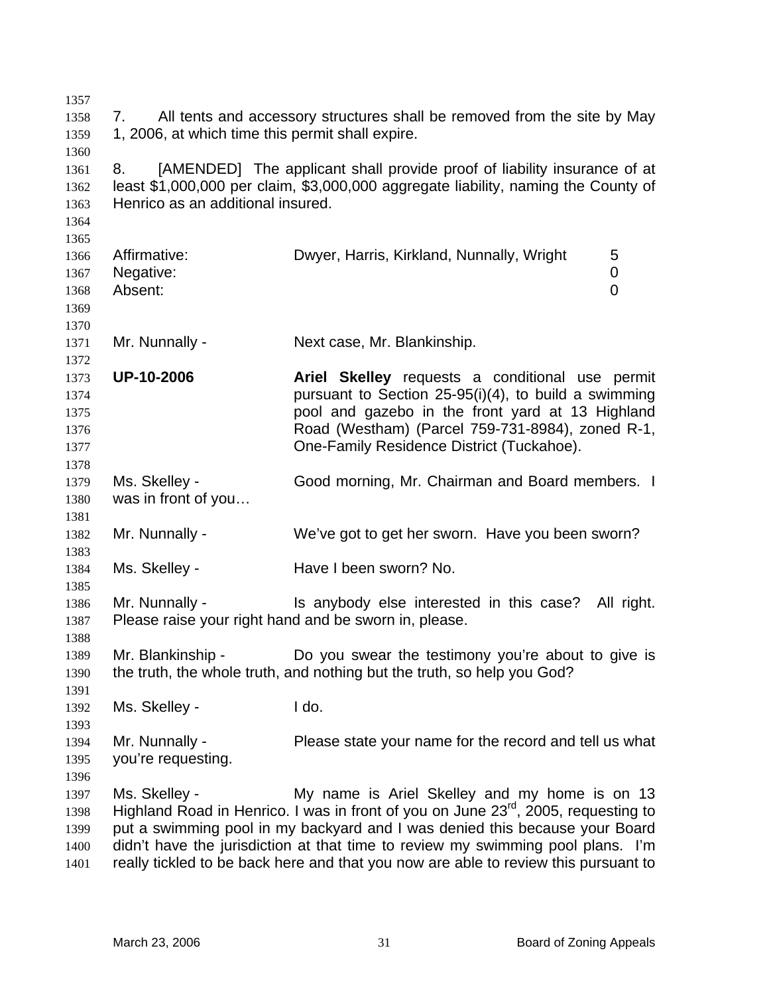| 1357         |                                                                                |                                                                                                         |  |
|--------------|--------------------------------------------------------------------------------|---------------------------------------------------------------------------------------------------------|--|
| 1358         | All tents and accessory structures shall be removed from the site by May<br>7. |                                                                                                         |  |
| 1359         | 1, 2006, at which time this permit shall expire.                               |                                                                                                         |  |
| 1360         |                                                                                |                                                                                                         |  |
| 1361         | 8.                                                                             | [AMENDED] The applicant shall provide proof of liability insurance of at                                |  |
| 1362         |                                                                                | least \$1,000,000 per claim, \$3,000,000 aggregate liability, naming the County of                      |  |
| 1363         | Henrico as an additional insured.                                              |                                                                                                         |  |
| 1364         |                                                                                |                                                                                                         |  |
| 1365         |                                                                                |                                                                                                         |  |
| 1366         | Affirmative:                                                                   | Dwyer, Harris, Kirkland, Nunnally, Wright<br>5                                                          |  |
| 1367         | Negative:                                                                      | 0                                                                                                       |  |
| 1368         | Absent:                                                                        | $\overline{0}$                                                                                          |  |
| 1369         |                                                                                |                                                                                                         |  |
| 1370         |                                                                                |                                                                                                         |  |
| 1371         | Mr. Nunnally -                                                                 | Next case, Mr. Blankinship.                                                                             |  |
| 1372         |                                                                                |                                                                                                         |  |
| 1373         | <b>UP-10-2006</b>                                                              | Ariel Skelley requests a conditional use permit<br>pursuant to Section 25-95(i)(4), to build a swimming |  |
| 1374         |                                                                                | pool and gazebo in the front yard at 13 Highland                                                        |  |
| 1375<br>1376 |                                                                                | Road (Westham) (Parcel 759-731-8984), zoned R-1,                                                        |  |
| 1377         |                                                                                | One-Family Residence District (Tuckahoe).                                                               |  |
| 1378         |                                                                                |                                                                                                         |  |
| 1379         | Ms. Skelley -                                                                  | Good morning, Mr. Chairman and Board members. I                                                         |  |
| 1380         | was in front of you                                                            |                                                                                                         |  |
| 1381         |                                                                                |                                                                                                         |  |
| 1382         | Mr. Nunnally -                                                                 | We've got to get her sworn. Have you been sworn?                                                        |  |
| 1383         |                                                                                |                                                                                                         |  |
| 1384         | Ms. Skelley -                                                                  | Have I been sworn? No.                                                                                  |  |
| 1385         |                                                                                |                                                                                                         |  |
| 1386         | Mr. Nunnally -                                                                 | Is anybody else interested in this case? All right.                                                     |  |
| 1387         |                                                                                | Please raise your right hand and be sworn in, please.                                                   |  |
| 1388         |                                                                                |                                                                                                         |  |
| 1389         | Mr. Blankinship -                                                              | Do you swear the testimony you're about to give is                                                      |  |
| 1390         |                                                                                | the truth, the whole truth, and nothing but the truth, so help you God?                                 |  |
| 1391         |                                                                                |                                                                                                         |  |
| 1392         | Ms. Skelley -                                                                  | I do.                                                                                                   |  |
| 1393         |                                                                                |                                                                                                         |  |
| 1394         | Mr. Nunnally -                                                                 | Please state your name for the record and tell us what                                                  |  |
| 1395         | you're requesting.                                                             |                                                                                                         |  |
| 1396         |                                                                                |                                                                                                         |  |
| 1397         | Ms. Skelley -                                                                  | My name is Ariel Skelley and my home is on 13                                                           |  |
| 1398         |                                                                                | Highland Road in Henrico. I was in front of you on June 23 <sup>rd</sup> , 2005, requesting to          |  |
| 1399         |                                                                                | put a swimming pool in my backyard and I was denied this because your Board                             |  |
| 1400         |                                                                                | didn't have the jurisdiction at that time to review my swimming pool plans. I'm                         |  |
| 1401         |                                                                                | really tickled to be back here and that you now are able to review this pursuant to                     |  |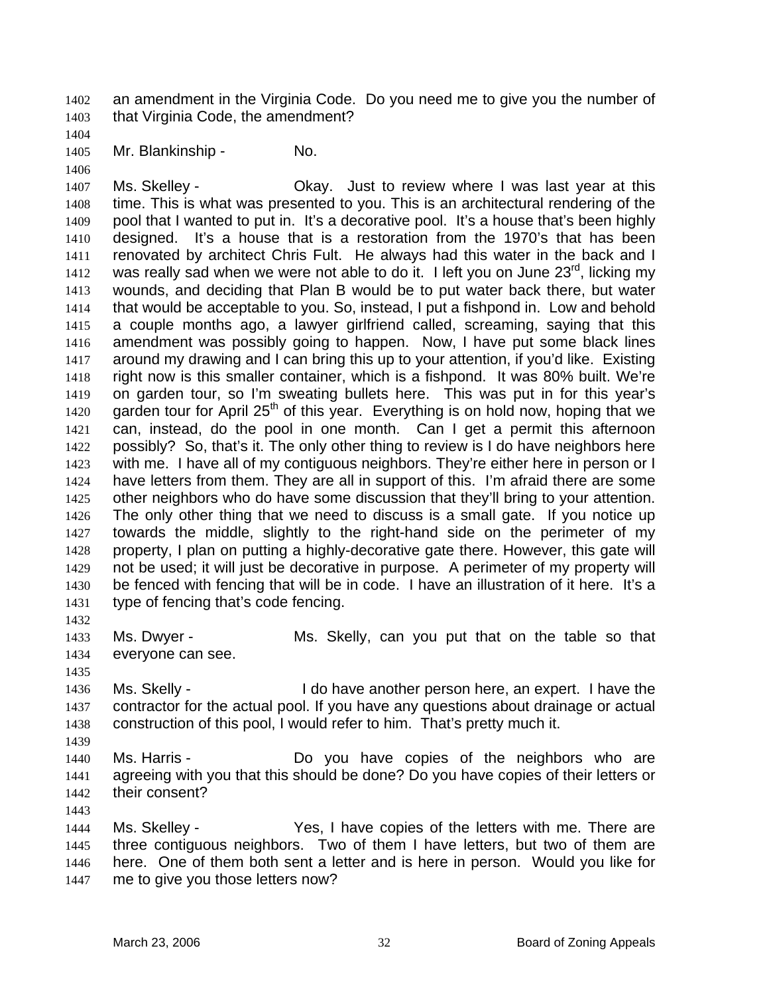an amendment in the Virginia Code. Do you need me to give you the number of that Virginia Code, the amendment? 1402 1403

1404

1406

1405 Mr. Blankinship - No.

1407 1408 1409 1410 1411 1412 1413 1414 1415 1416 1417 1418 1419 1420 1421 1422 1423 1424 1425 1426 1427 1428 1429 1430 1431 Ms. Skelley - Ckay. Just to review where I was last year at this time. This is what was presented to you. This is an architectural rendering of the pool that I wanted to put in. It's a decorative pool. It's a house that's been highly designed. It's a house that is a restoration from the 1970's that has been renovated by architect Chris Fult. He always had this water in the back and I was really sad when we were not able to do it. I left you on June  $23<sup>rd</sup>$ , licking my wounds, and deciding that Plan B would be to put water back there, but water that would be acceptable to you. So, instead, I put a fishpond in. Low and behold a couple months ago, a lawyer girlfriend called, screaming, saying that this amendment was possibly going to happen. Now, I have put some black lines around my drawing and I can bring this up to your attention, if you'd like. Existing right now is this smaller container, which is a fishpond. It was 80% built. We're on garden tour, so I'm sweating bullets here. This was put in for this year's garden tour for April  $25<sup>th</sup>$  of this year. Everything is on hold now, hoping that we can, instead, do the pool in one month. Can I get a permit this afternoon possibly? So, that's it. The only other thing to review is I do have neighbors here with me. I have all of my contiguous neighbors. They're either here in person or I have letters from them. They are all in support of this. I'm afraid there are some other neighbors who do have some discussion that they'll bring to your attention. The only other thing that we need to discuss is a small gate. If you notice up towards the middle, slightly to the right-hand side on the perimeter of my property, I plan on putting a highly-decorative gate there. However, this gate will not be used; it will just be decorative in purpose. A perimeter of my property will be fenced with fencing that will be in code. I have an illustration of it here. It's a type of fencing that's code fencing.

1433 1434 Ms. Dwyer - Ms. Skelly, can you put that on the table so that everyone can see.

- 1436 1437 1438 Ms. Skelly - I do have another person here, an expert. I have the contractor for the actual pool. If you have any questions about drainage or actual construction of this pool, I would refer to him. That's pretty much it.
- 1440 1441 1442 Ms. Harris - Do you have copies of the neighbors who are agreeing with you that this should be done? Do you have copies of their letters or their consent?

1443

1432

1435

1439

1444 1445 1446 1447 Ms. Skelley - Yes, I have copies of the letters with me. There are three contiguous neighbors. Two of them I have letters, but two of them are here. One of them both sent a letter and is here in person. Would you like for me to give you those letters now?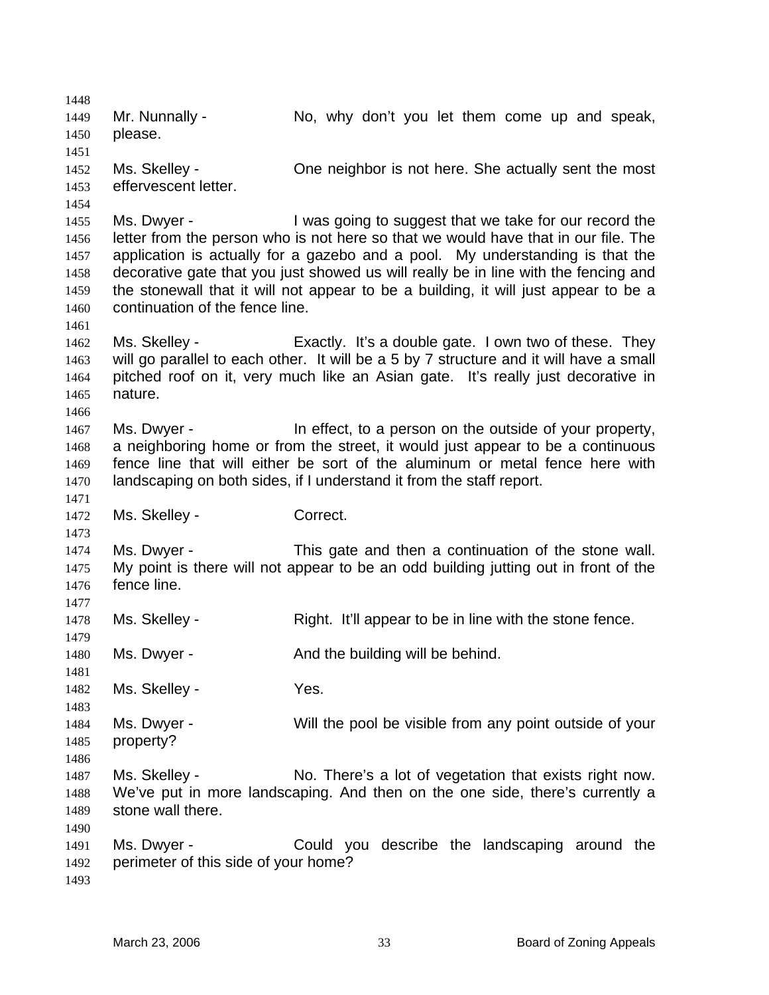1448 1449 1450 1451 1452 1453 1454 1455 1456 1457 1458 1459 1460 1461 1462 1463 1464 1465 1466 1467 1468 1469 1470 1471 1472 1473 1474 1475 1476 1477 1478 1479 1480 1481 1482 1483 1484 1485 1486 1487 1488 1489 1490 1491 1492 1493 Mr. Nunnally - No, why don't you let them come up and speak, please. Ms. Skelley - One neighbor is not here. She actually sent the most effervescent letter. Ms. Dwyer - I was going to suggest that we take for our record the letter from the person who is not here so that we would have that in our file. The application is actually for a gazebo and a pool. My understanding is that the decorative gate that you just showed us will really be in line with the fencing and the stonewall that it will not appear to be a building, it will just appear to be a continuation of the fence line. Ms. Skelley - Exactly. It's a double gate. I own two of these. They will go parallel to each other. It will be a 5 by 7 structure and it will have a small pitched roof on it, very much like an Asian gate. It's really just decorative in nature. Ms. Dwyer - In effect, to a person on the outside of your property, a neighboring home or from the street, it would just appear to be a continuous fence line that will either be sort of the aluminum or metal fence here with landscaping on both sides, if I understand it from the staff report. Ms. Skelley - Correct. Ms. Dwyer - This gate and then a continuation of the stone wall. My point is there will not appear to be an odd building jutting out in front of the fence line. Ms. Skelley - The Right. It'll appear to be in line with the stone fence. Ms. Dwyer - The And the building will be behind. Ms. Skelley - The Yes. Ms. Dwyer - Will the pool be visible from any point outside of your property? Ms. Skelley - No. There's a lot of vegetation that exists right now. We've put in more landscaping. And then on the one side, there's currently a stone wall there. Ms. Dwyer - Could you describe the landscaping around the perimeter of this side of your home?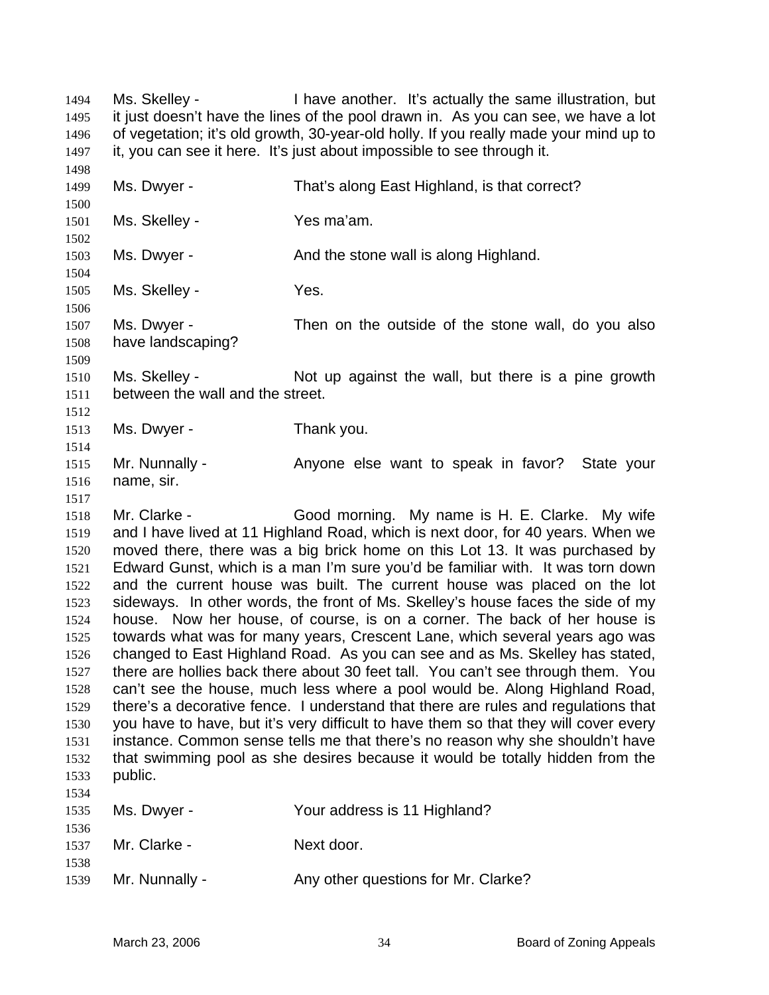Ms. Skelley - Thave another. It's actually the same illustration, but it just doesn't have the lines of the pool drawn in. As you can see, we have a lot of vegetation; it's old growth, 30-year-old holly. If you really made your mind up to it, you can see it here. It's just about impossible to see through it. 1494 1495 1496 1497 1498

Ms. Dwyer - That's along East Highland, is that correct?

1502 1503 1504 1505 1506 1507 1508 1509 Ms. Dwyer - The Stone wall is along Highland. Ms. Skelley - Yes. Ms. Dwyer - Then on the outside of the stone wall, do you also have landscaping?

1510 1511 Ms. Skelley - The Not up against the wall, but there is a pine growth between the wall and the street.

1513 Ms. Dwyer - Thank you.

Ms. Skelley - Yes ma'am.

1499 1500 1501

1512

1514

1517

1515 1516 Mr. Nunnally - Anyone else want to speak in favor? State your name, sir.

1518 1519 1520 1521 1522 1523 1524 1525 1526 1527 1528 1529 1530 1531 1532 1533 1534 Mr. Clarke - Good morning. My name is H. E. Clarke. My wife and I have lived at 11 Highland Road, which is next door, for 40 years. When we moved there, there was a big brick home on this Lot 13. It was purchased by Edward Gunst, which is a man I'm sure you'd be familiar with. It was torn down and the current house was built. The current house was placed on the lot sideways. In other words, the front of Ms. Skelley's house faces the side of my house. Now her house, of course, is on a corner. The back of her house is towards what was for many years, Crescent Lane, which several years ago was changed to East Highland Road. As you can see and as Ms. Skelley has stated, there are hollies back there about 30 feet tall. You can't see through them. You can't see the house, much less where a pool would be. Along Highland Road, there's a decorative fence. I understand that there are rules and regulations that you have to have, but it's very difficult to have them so that they will cover every instance. Common sense tells me that there's no reason why she shouldn't have that swimming pool as she desires because it would be totally hidden from the public.

| 1535         | Ms. Dwyer -    | Your address is 11 Highland?        |
|--------------|----------------|-------------------------------------|
| 1536<br>1537 | Mr. Clarke -   | Next door.                          |
| 1538<br>1539 | Mr. Nunnally - | Any other questions for Mr. Clarke? |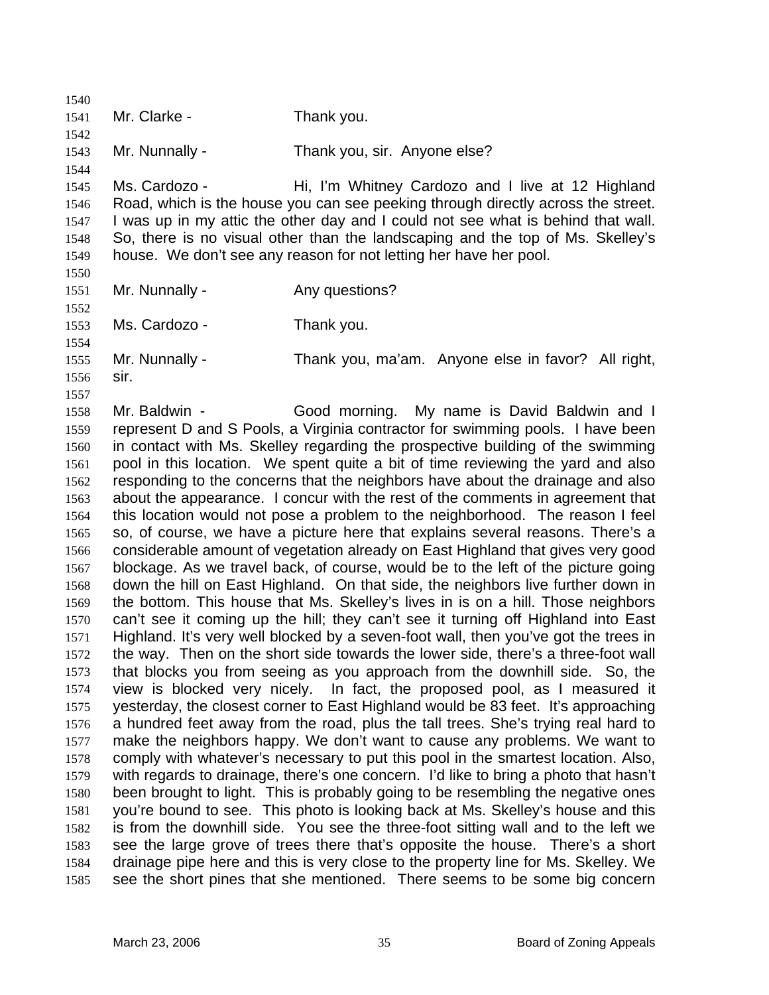1540 1541 1542 1543 1544 1545 1546 1547 1548 1549 1550 1551 1552 1553 1554 1555 1556 1557 1558 1559 1560 1561 1562 1563 1564 1565 1566 1567 1568 1569 1570 1571 1572 1573 1574 1575 1576 1577 1578 1579 1580 1581 1582 1583 1584 1585 Mr. Clarke - Thank you. Mr. Nunnally - Thank you, sir. Anyone else? Ms. Cardozo - Hi, I'm Whitney Cardozo and I live at 12 Highland Road, which is the house you can see peeking through directly across the street. I was up in my attic the other day and I could not see what is behind that wall. So, there is no visual other than the landscaping and the top of Ms. Skelley's house. We don't see any reason for not letting her have her pool. Mr. Nunnally - Any questions? Ms. Cardozo - Thank you. Mr. Nunnally - Thank you, ma'am. Anyone else in favor? All right, sir. Mr. Baldwin - Good morning. My name is David Baldwin and I represent D and S Pools, a Virginia contractor for swimming pools. I have been in contact with Ms. Skelley regarding the prospective building of the swimming pool in this location. We spent quite a bit of time reviewing the yard and also responding to the concerns that the neighbors have about the drainage and also about the appearance. I concur with the rest of the comments in agreement that this location would not pose a problem to the neighborhood. The reason I feel so, of course, we have a picture here that explains several reasons. There's a considerable amount of vegetation already on East Highland that gives very good blockage. As we travel back, of course, would be to the left of the picture going down the hill on East Highland. On that side, the neighbors live further down in the bottom. This house that Ms. Skelley's lives in is on a hill. Those neighbors can't see it coming up the hill; they can't see it turning off Highland into East Highland. It's very well blocked by a seven-foot wall, then you've got the trees in the way. Then on the short side towards the lower side, there's a three-foot wall that blocks you from seeing as you approach from the downhill side. So, the view is blocked very nicely. In fact, the proposed pool, as I measured it yesterday, the closest corner to East Highland would be 83 feet. It's approaching a hundred feet away from the road, plus the tall trees. She's trying real hard to make the neighbors happy. We don't want to cause any problems. We want to comply with whatever's necessary to put this pool in the smartest location. Also, with regards to drainage, there's one concern. I'd like to bring a photo that hasn't been brought to light. This is probably going to be resembling the negative ones you're bound to see. This photo is looking back at Ms. Skelley's house and this is from the downhill side. You see the three-foot sitting wall and to the left we see the large grove of trees there that's opposite the house. There's a short drainage pipe here and this is very close to the property line for Ms. Skelley. We see the short pines that she mentioned. There seems to be some big concern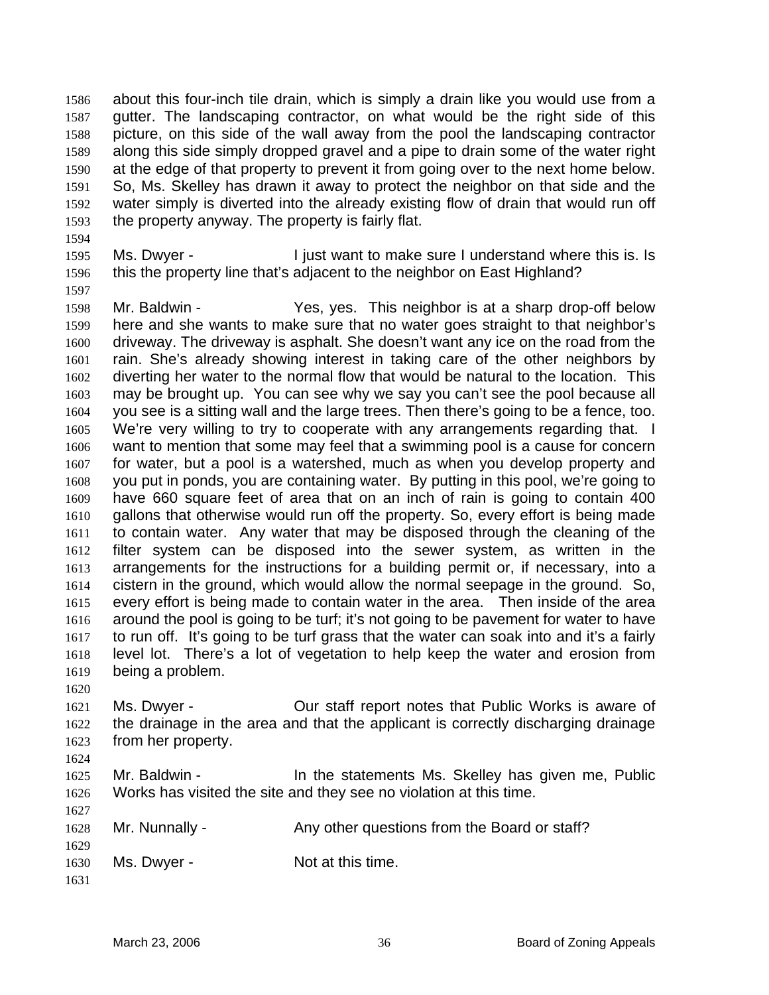about this four-inch tile drain, which is simply a drain like you would use from a gutter. The landscaping contractor, on what would be the right side of this picture, on this side of the wall away from the pool the landscaping contractor along this side simply dropped gravel and a pipe to drain some of the water right at the edge of that property to prevent it from going over to the next home below. So, Ms. Skelley has drawn it away to protect the neighbor on that side and the water simply is diverted into the already existing flow of drain that would run off the property anyway. The property is fairly flat. 1586 1587 1588 1589 1590 1591 1592 1593

1594

1597

1595 1596 Ms. Dwyer - I just want to make sure I understand where this is. Is this the property line that's adjacent to the neighbor on East Highland?

1598 1599 1600 1601 1602 1603 1604 1605 1606 1607 1608 1609 1610 1611 1612 1613 1614 1615 1616 1617 1618 1619 Mr. Baldwin - Yes, yes. This neighbor is at a sharp drop-off below here and she wants to make sure that no water goes straight to that neighbor's driveway. The driveway is asphalt. She doesn't want any ice on the road from the rain. She's already showing interest in taking care of the other neighbors by diverting her water to the normal flow that would be natural to the location. This may be brought up. You can see why we say you can't see the pool because all you see is a sitting wall and the large trees. Then there's going to be a fence, too. We're very willing to try to cooperate with any arrangements regarding that. I want to mention that some may feel that a swimming pool is a cause for concern for water, but a pool is a watershed, much as when you develop property and you put in ponds, you are containing water. By putting in this pool, we're going to have 660 square feet of area that on an inch of rain is going to contain 400 gallons that otherwise would run off the property. So, every effort is being made to contain water. Any water that may be disposed through the cleaning of the filter system can be disposed into the sewer system, as written in the arrangements for the instructions for a building permit or, if necessary, into a cistern in the ground, which would allow the normal seepage in the ground. So, every effort is being made to contain water in the area. Then inside of the area around the pool is going to be turf; it's not going to be pavement for water to have to run off. It's going to be turf grass that the water can soak into and it's a fairly level lot. There's a lot of vegetation to help keep the water and erosion from being a problem.

1620

1627

1621 1622 1623 1624 Ms. Dwyer - Cur staff report notes that Public Works is aware of the drainage in the area and that the applicant is correctly discharging drainage from her property.

1625 1626 Mr. Baldwin - The statements Ms. Skelley has given me, Public Works has visited the site and they see no violation at this time.

1628 1629 1630 1631 Mr. Nunnally - **Any other questions from the Board or staff?** Ms. Dwyer - Not at this time.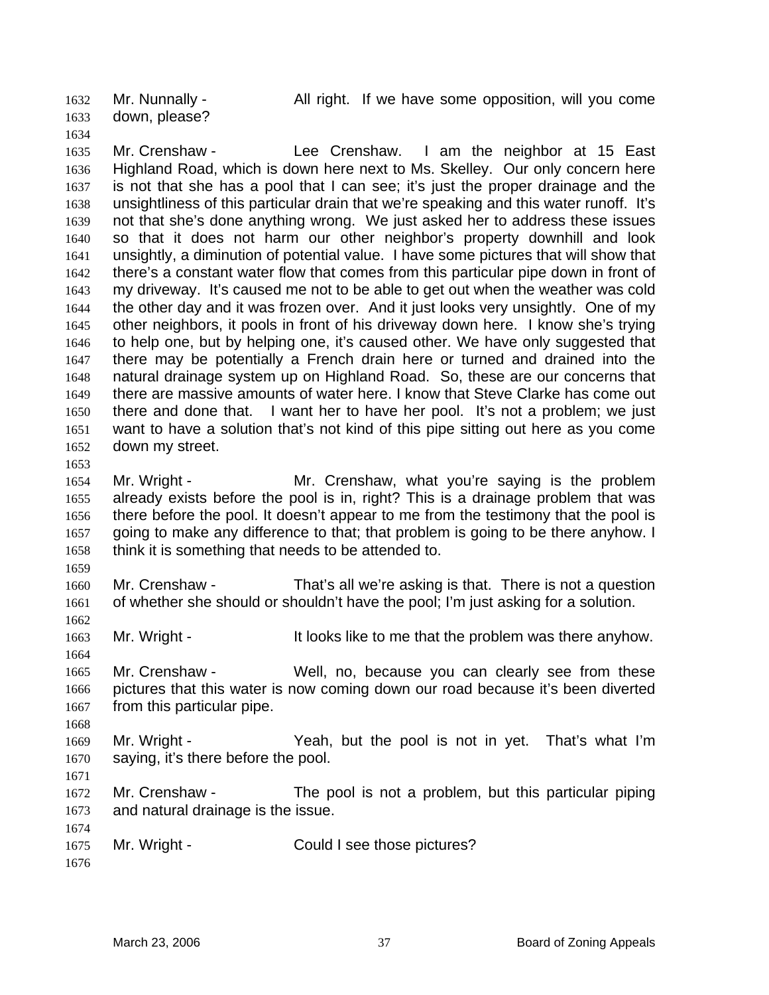down, please? 1632 1633

1634

Mr. Nunnally - All right. If we have some opposition, will you come

1635 1636 1637 1638 1639 1640 1641 1642 1643 1644 1645 1646 1647 1648 1649 1650 1651 1652 1653 Mr. Crenshaw - Lee Crenshaw. I am the neighbor at 15 East Highland Road, which is down here next to Ms. Skelley. Our only concern here is not that she has a pool that I can see; it's just the proper drainage and the unsightliness of this particular drain that we're speaking and this water runoff. It's not that she's done anything wrong. We just asked her to address these issues so that it does not harm our other neighbor's property downhill and look unsightly, a diminution of potential value. I have some pictures that will show that there's a constant water flow that comes from this particular pipe down in front of my driveway. It's caused me not to be able to get out when the weather was cold the other day and it was frozen over. And it just looks very unsightly. One of my other neighbors, it pools in front of his driveway down here. I know she's trying to help one, but by helping one, it's caused other. We have only suggested that there may be potentially a French drain here or turned and drained into the natural drainage system up on Highland Road. So, these are our concerns that there are massive amounts of water here. I know that Steve Clarke has come out there and done that. I want her to have her pool. It's not a problem; we just want to have a solution that's not kind of this pipe sitting out here as you come down my street.

1654 1655 1656 1657 1658 Mr. Wright - Mr. Crenshaw, what you're saying is the problem already exists before the pool is in, right? This is a drainage problem that was there before the pool. It doesn't appear to me from the testimony that the pool is going to make any difference to that; that problem is going to be there anyhow. I think it is something that needs to be attended to.

1660 1661 Mr. Crenshaw - That's all we're asking is that. There is not a question of whether she should or shouldn't have the pool; I'm just asking for a solution.

1663 Mr. Wright - The It looks like to me that the problem was there anyhow.

1664 1665 1666 1667 Mr. Crenshaw - Well, no, because you can clearly see from these pictures that this water is now coming down our road because it's been diverted from this particular pipe.

1669 1670 Mr. Wright - The Yeah, but the pool is not in yet. That's what I'm saying, it's there before the pool.

1671

1668

1659

1662

1672 1673 1674 Mr. Crenshaw - The pool is not a problem, but this particular piping and natural drainage is the issue.

1675 Mr. Wright - Could I see those pictures?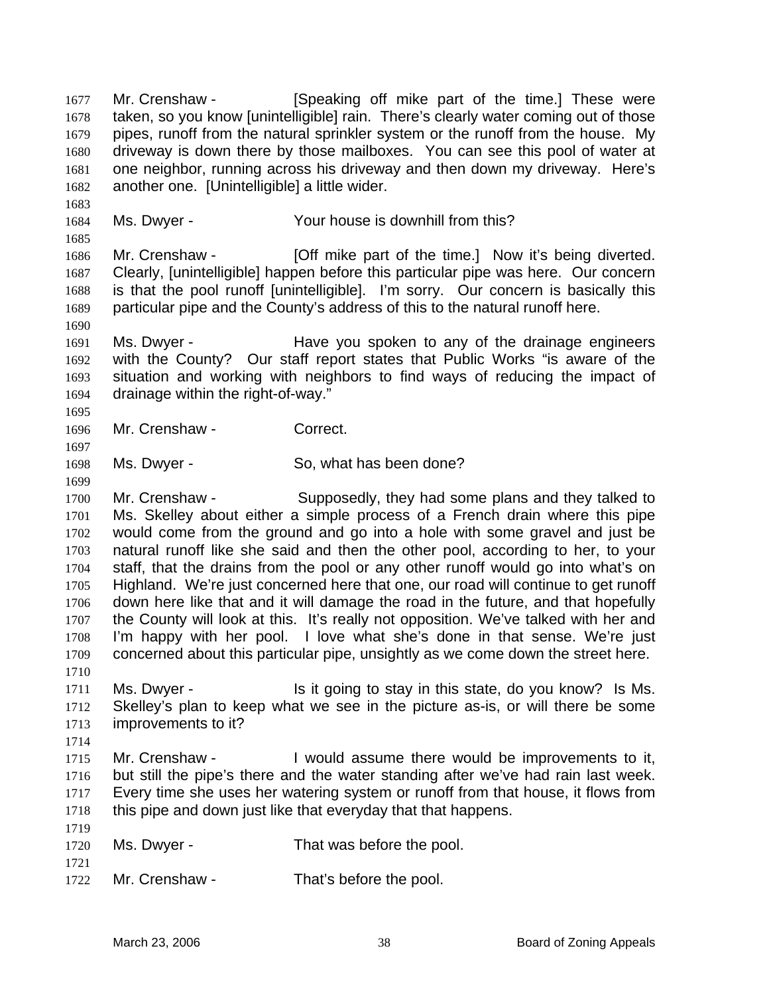Mr. Crenshaw - **[Speaking off mike part of the time.**] These were taken, so you know [unintelligible] rain. There's clearly water coming out of those pipes, runoff from the natural sprinkler system or the runoff from the house. My driveway is down there by those mailboxes. You can see this pool of water at one neighbor, running across his driveway and then down my driveway. Here's another one. [Unintelligible] a little wider. 1677 1678 1679 1680 1681 1682 1683 1684 1685 1686 1687 1688 1689 1690 1691 1692 1693 1694 1695 1696 1697 1698 1699 1700 1701 1702 1703 1704 1705 1706 1707 1708 1709 1710 1711 1712 1713 1714 1715 1716 1717 1718 1719 1720 1721 1722 Ms. Dwyer - The Your house is downhill from this? Mr. Crenshaw - **[Off mike part of the time.]** Now it's being diverted. Clearly, [unintelligible] happen before this particular pipe was here. Our concern is that the pool runoff [unintelligible]. I'm sorry. Our concern is basically this particular pipe and the County's address of this to the natural runoff here. Ms. Dwyer - Have you spoken to any of the drainage engineers with the County? Our staff report states that Public Works "is aware of the situation and working with neighbors to find ways of reducing the impact of drainage within the right-of-way." Mr. Crenshaw - Correct. Ms. Dwyer - So, what has been done? Mr. Crenshaw - Supposedly, they had some plans and they talked to Ms. Skelley about either a simple process of a French drain where this pipe would come from the ground and go into a hole with some gravel and just be natural runoff like she said and then the other pool, according to her, to your staff, that the drains from the pool or any other runoff would go into what's on Highland. We're just concerned here that one, our road will continue to get runoff down here like that and it will damage the road in the future, and that hopefully the County will look at this. It's really not opposition. We've talked with her and I'm happy with her pool. I love what she's done in that sense. We're just concerned about this particular pipe, unsightly as we come down the street here. Ms. Dwyer - This it going to stay in this state, do you know? Is Ms. Skelley's plan to keep what we see in the picture as-is, or will there be some improvements to it? Mr. Crenshaw - I would assume there would be improvements to it, but still the pipe's there and the water standing after we've had rain last week. Every time she uses her watering system or runoff from that house, it flows from this pipe and down just like that everyday that that happens. Ms. Dwyer - That was before the pool. Mr. Crenshaw - That's before the pool.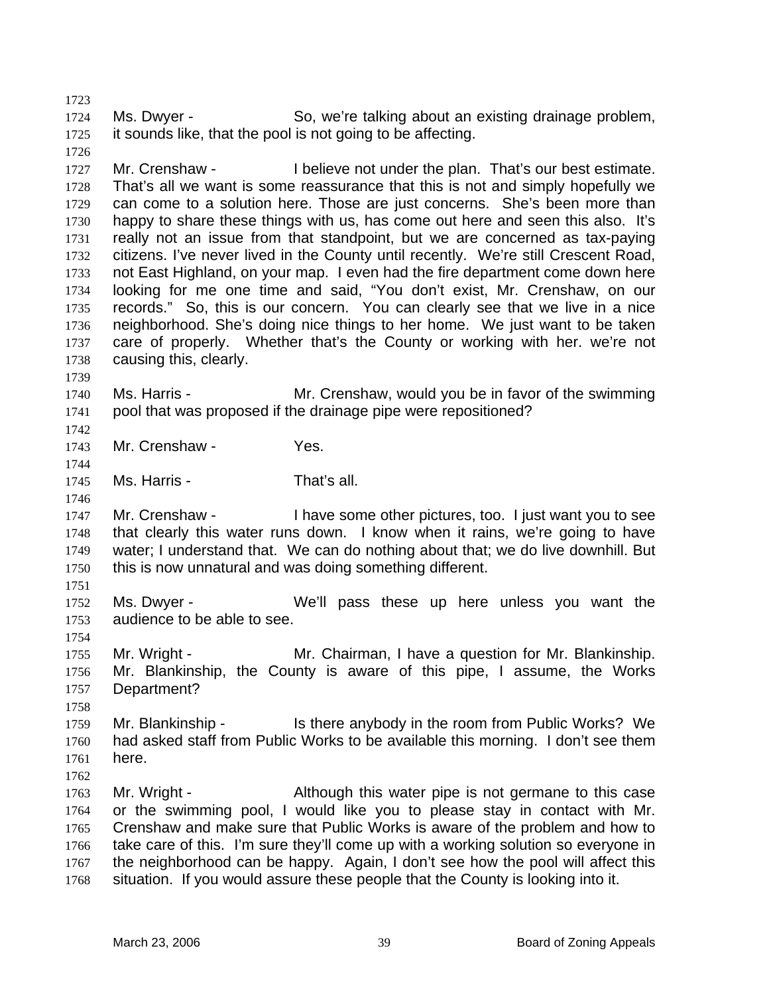1724 1725 Ms. Dwyer - So, we're talking about an existing drainage problem, it sounds like, that the pool is not going to be affecting.

1727 1728 1729 1730 1731 1732 1733 1734 1735 1736 1737 1738 Mr. Crenshaw - I believe not under the plan. That's our best estimate. That's all we want is some reassurance that this is not and simply hopefully we can come to a solution here. Those are just concerns. She's been more than happy to share these things with us, has come out here and seen this also. It's really not an issue from that standpoint, but we are concerned as tax-paying citizens. I've never lived in the County until recently. We're still Crescent Road, not East Highland, on your map. I even had the fire department come down here looking for me one time and said, "You don't exist, Mr. Crenshaw, on our records." So, this is our concern. You can clearly see that we live in a nice neighborhood. She's doing nice things to her home. We just want to be taken care of properly. Whether that's the County or working with her. we're not causing this, clearly.

1740 1741 Ms. Harris - The Mr. Crenshaw, would you be in favor of the swimming pool that was proposed if the drainage pipe were repositioned?

1743 Mr. Crenshaw - Yes.

1745 Ms. Harris - That's all.

1747 1748 1749 1750 Mr. Crenshaw - I have some other pictures, too. I just want you to see that clearly this water runs down. I know when it rains, we're going to have water; I understand that. We can do nothing about that; we do live downhill. But this is now unnatural and was doing something different.

1751

1754

1758

1739

1742

1744

1746

1723

1726

1752 1753 Ms. Dwyer - We'll pass these up here unless you want the audience to be able to see.

1755 1756 1757 Mr. Wright - **Mr. Chairman, I have a question for Mr. Blankinship.** Mr. Blankinship, the County is aware of this pipe, I assume, the Works Department?

1759 1760 1761 1762 Mr. Blankinship - Is there anybody in the room from Public Works? We had asked staff from Public Works to be available this morning. I don't see them here.

1763 1764 1765 1766 1767 1768 Mr. Wright - Although this water pipe is not germane to this case or the swimming pool, I would like you to please stay in contact with Mr. Crenshaw and make sure that Public Works is aware of the problem and how to take care of this. I'm sure they'll come up with a working solution so everyone in the neighborhood can be happy. Again, I don't see how the pool will affect this situation. If you would assure these people that the County is looking into it.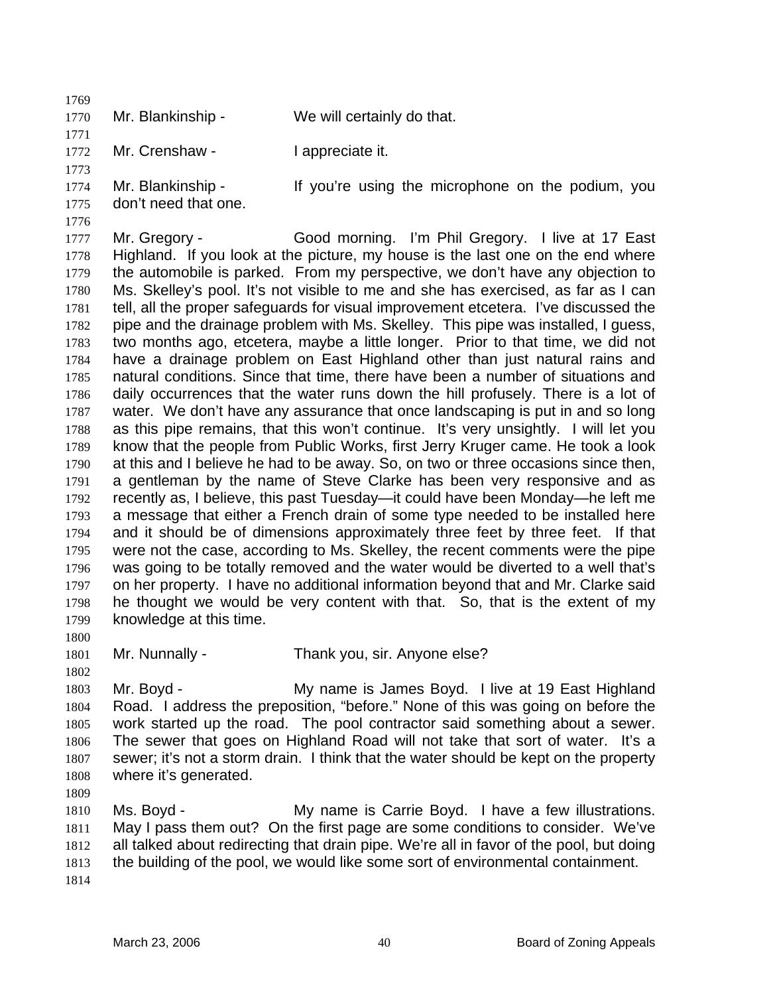1770 Mr. Blankinship - We will certainly do that.

1772 Mr. Crenshaw - I appreciate it.

1773 1774 1775 Mr. Blankinship - If you're using the microphone on the podium, you don't need that one.

1777 1778 1779 1780 1781 1782 1783 1784 1785 1786 1787 1788 1789 1790 1791 1792 1793 1794 1795 1796 1797 1798 1799 Mr. Gregory - Good morning. I'm Phil Gregory. I live at 17 East Highland. If you look at the picture, my house is the last one on the end where the automobile is parked. From my perspective, we don't have any objection to Ms. Skelley's pool. It's not visible to me and she has exercised, as far as I can tell, all the proper safeguards for visual improvement etcetera. I've discussed the pipe and the drainage problem with Ms. Skelley. This pipe was installed, I guess, two months ago, etcetera, maybe a little longer. Prior to that time, we did not have a drainage problem on East Highland other than just natural rains and natural conditions. Since that time, there have been a number of situations and daily occurrences that the water runs down the hill profusely. There is a lot of water. We don't have any assurance that once landscaping is put in and so long as this pipe remains, that this won't continue. It's very unsightly. I will let you know that the people from Public Works, first Jerry Kruger came. He took a look at this and I believe he had to be away. So, on two or three occasions since then, a gentleman by the name of Steve Clarke has been very responsive and as recently as, I believe, this past Tuesday—it could have been Monday—he left me a message that either a French drain of some type needed to be installed here and it should be of dimensions approximately three feet by three feet. If that were not the case, according to Ms. Skelley, the recent comments were the pipe was going to be totally removed and the water would be diverted to a well that's on her property. I have no additional information beyond that and Mr. Clarke said he thought we would be very content with that. So, that is the extent of my knowledge at this time.

1800

1769

1771

1776

1801 1802 Mr. Nunnally - Thank you, sir. Anyone else?

1803 1804 1805 1806 1807 1808 Mr. Boyd - My name is James Boyd. I live at 19 East Highland Road. I address the preposition, "before." None of this was going on before the work started up the road. The pool contractor said something about a sewer. The sewer that goes on Highland Road will not take that sort of water. It's a sewer; it's not a storm drain. I think that the water should be kept on the property where it's generated.

1809

1810 1811 1812 1813 1814 Ms. Boyd - The My name is Carrie Boyd. I have a few illustrations. May I pass them out? On the first page are some conditions to consider. We've all talked about redirecting that drain pipe. We're all in favor of the pool, but doing the building of the pool, we would like some sort of environmental containment.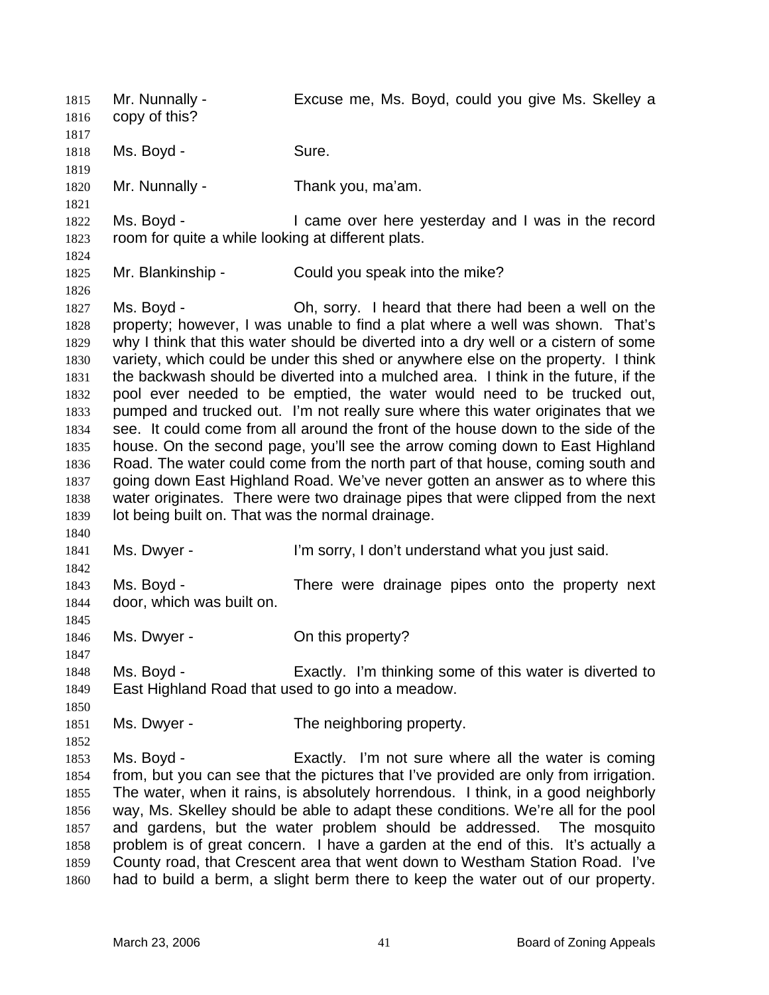Mr. Nunnally - Excuse me, Ms. Boyd, could you give Ms. Skelley a copy of this? 1815 1816 1817 1818 1819 1820 1821 1822 1823 1824 1825 1826 1827 1828 1829 1830 1831 1832 1833 1834 1835 1836 1837 1838 1839 1840 1841 1842 1843 1844 1845 1846 1847 1848 1849 1850 1851 1852 1853 1854 1855 1856 1857 1858 1859 1860 Ms. Boyd - Sure. Mr. Nunnally - Thank you, ma'am. Ms. Boyd - The Came over here yesterday and I was in the record room for quite a while looking at different plats. Mr. Blankinship - Could you speak into the mike? Ms. Boyd - Oh, sorry. I heard that there had been a well on the property; however, I was unable to find a plat where a well was shown. That's why I think that this water should be diverted into a dry well or a cistern of some variety, which could be under this shed or anywhere else on the property. I think the backwash should be diverted into a mulched area. I think in the future, if the pool ever needed to be emptied, the water would need to be trucked out, pumped and trucked out. I'm not really sure where this water originates that we see. It could come from all around the front of the house down to the side of the house. On the second page, you'll see the arrow coming down to East Highland Road. The water could come from the north part of that house, coming south and going down East Highland Road. We've never gotten an answer as to where this water originates. There were two drainage pipes that were clipped from the next lot being built on. That was the normal drainage. Ms. Dwyer - I'm sorry, I don't understand what you just said. Ms. Boyd - There were drainage pipes onto the property next door, which was built on. Ms. Dwyer - Con this property? Ms. Boyd - Exactly. I'm thinking some of this water is diverted to East Highland Road that used to go into a meadow. Ms. Dwyer - The neighboring property. Ms. Boyd - Exactly. I'm not sure where all the water is coming from, but you can see that the pictures that I've provided are only from irrigation. The water, when it rains, is absolutely horrendous. I think, in a good neighborly way, Ms. Skelley should be able to adapt these conditions. We're all for the pool and gardens, but the water problem should be addressed. The mosquito problem is of great concern. I have a garden at the end of this. It's actually a County road, that Crescent area that went down to Westham Station Road. I've had to build a berm, a slight berm there to keep the water out of our property.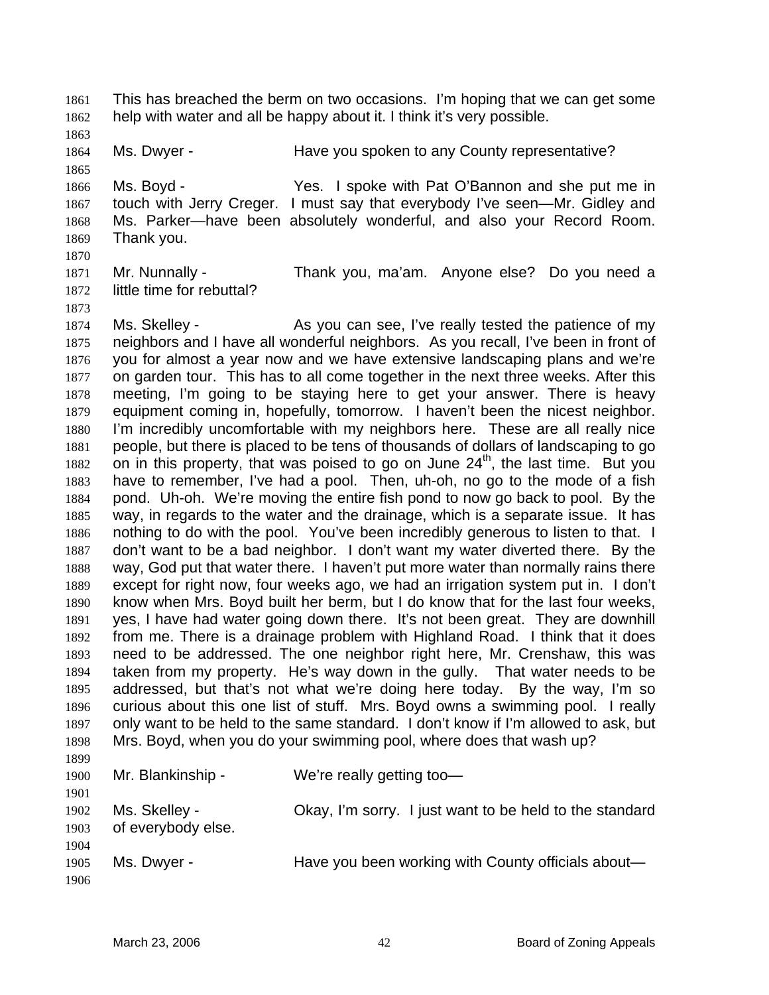This has breached the berm on two occasions. I'm hoping that we can get some help with water and all be happy about it. I think it's very possible. 1861 1862

1864 Ms. Dwyer - The Have you spoken to any County representative?

1866 1867 1868 1869 1870 Ms. Boyd - The Yes. I spoke with Pat O'Bannon and she put me in touch with Jerry Creger. I must say that everybody I've seen—Mr. Gidley and Ms. Parker—have been absolutely wonderful, and also your Record Room. Thank you.

1871 1872 Mr. Nunnally - Thank you, ma'am. Anyone else? Do you need a little time for rebuttal?

1874 1875 1876 1877 1878 1879 1880 1881 1882 1883 1884 1885 1886 1887 1888 1889 1890 1891 1892 1893 1894 1895 1896 1897 1898 1899 1900 Ms. Skelley - As you can see, I've really tested the patience of my neighbors and I have all wonderful neighbors. As you recall, I've been in front of you for almost a year now and we have extensive landscaping plans and we're on garden tour. This has to all come together in the next three weeks. After this meeting, I'm going to be staying here to get your answer. There is heavy equipment coming in, hopefully, tomorrow. I haven't been the nicest neighbor. I'm incredibly uncomfortable with my neighbors here. These are all really nice people, but there is placed to be tens of thousands of dollars of landscaping to go on in this property, that was poised to go on June  $24<sup>th</sup>$ , the last time. But you have to remember, I've had a pool. Then, uh-oh, no go to the mode of a fish pond. Uh-oh. We're moving the entire fish pond to now go back to pool. By the way, in regards to the water and the drainage, which is a separate issue. It has nothing to do with the pool. You've been incredibly generous to listen to that. I don't want to be a bad neighbor. I don't want my water diverted there. By the way, God put that water there. I haven't put more water than normally rains there except for right now, four weeks ago, we had an irrigation system put in. I don't know when Mrs. Boyd built her berm, but I do know that for the last four weeks, yes, I have had water going down there. It's not been great. They are downhill from me. There is a drainage problem with Highland Road. I think that it does need to be addressed. The one neighbor right here, Mr. Crenshaw, this was taken from my property. He's way down in the gully. That water needs to be addressed, but that's not what we're doing here today. By the way, I'm so curious about this one list of stuff. Mrs. Boyd owns a swimming pool. I really only want to be held to the same standard. I don't know if I'm allowed to ask, but Mrs. Boyd, when you do your swimming pool, where does that wash up? Mr. Blankinship - We're really getting too-

1901 1902 1903 1904 1905 1906 Ms. Skelley - Okay, I'm sorry. I just want to be held to the standard of everybody else. Ms. Dwyer - Have you been working with County officials about—

1863

1865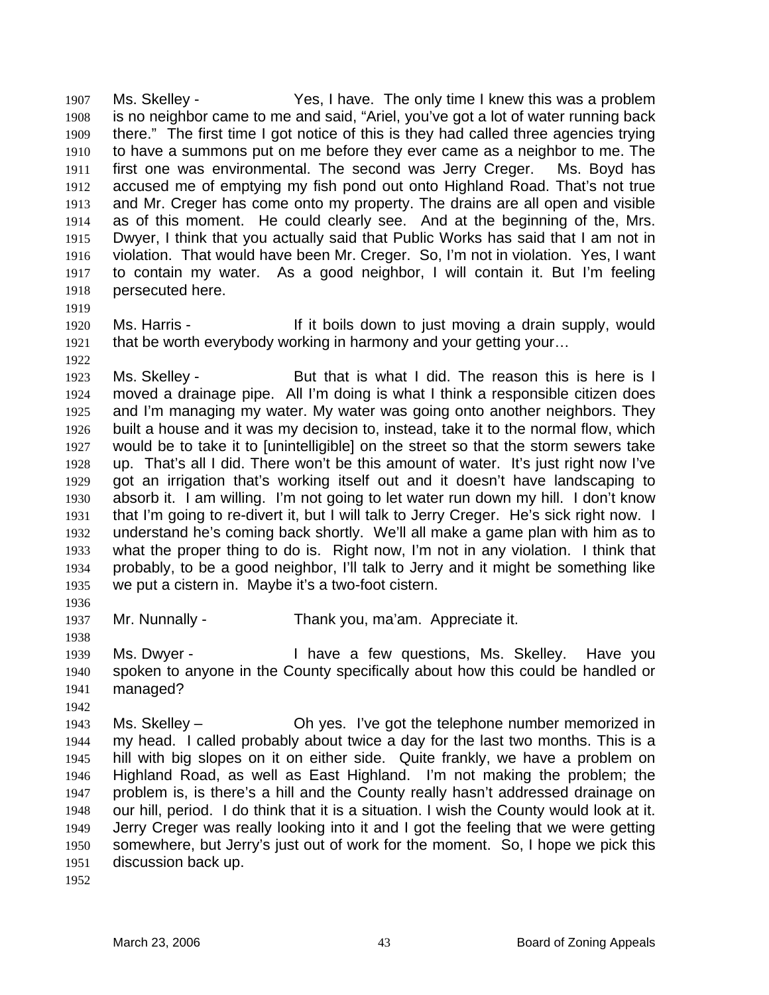Ms. Skelley - The Stephan Yes, I have. The only time I knew this was a problem is no neighbor came to me and said, "Ariel, you've got a lot of water running back there." The first time I got notice of this is they had called three agencies trying to have a summons put on me before they ever came as a neighbor to me. The first one was environmental. The second was Jerry Creger. Ms. Boyd has accused me of emptying my fish pond out onto Highland Road. That's not true and Mr. Creger has come onto my property. The drains are all open and visible as of this moment. He could clearly see. And at the beginning of the, Mrs. Dwyer, I think that you actually said that Public Works has said that I am not in violation. That would have been Mr. Creger. So, I'm not in violation. Yes, I want to contain my water. As a good neighbor, I will contain it. But I'm feeling persecuted here. 1907 1908 1909 1910 1911 1912 1913 1914 1915 1916 1917 1918

- 1919
- 1920

1922

1921 Ms. Harris - The Music of If it boils down to just moving a drain supply, would that be worth everybody working in harmony and your getting your…

1923 1924 1925 1926 1927 1928 1929 1930 1931 1932 1933 1934 1935 Ms. Skelley - The But that is what I did. The reason this is here is I moved a drainage pipe. All I'm doing is what I think a responsible citizen does and I'm managing my water. My water was going onto another neighbors. They built a house and it was my decision to, instead, take it to the normal flow, which would be to take it to [unintelligible] on the street so that the storm sewers take up. That's all I did. There won't be this amount of water. It's just right now I've got an irrigation that's working itself out and it doesn't have landscaping to absorb it. I am willing. I'm not going to let water run down my hill. I don't know that I'm going to re-divert it, but I will talk to Jerry Creger. He's sick right now. I understand he's coming back shortly. We'll all make a game plan with him as to what the proper thing to do is. Right now, I'm not in any violation. I think that probably, to be a good neighbor, I'll talk to Jerry and it might be something like we put a cistern in. Maybe it's a two-foot cistern.

1936

1938

1942

1937 Mr. Nunnally - Thank you, ma'am. Appreciate it.

1939 1940 1941 Ms. Dwyer - I have a few questions, Ms. Skelley. Have you spoken to anyone in the County specifically about how this could be handled or managed?

1943 1944 1945 1946 1947 1948 1949 1950 1951 Ms. Skelley – Ch yes. I've got the telephone number memorized in my head. I called probably about twice a day for the last two months. This is a hill with big slopes on it on either side. Quite frankly, we have a problem on Highland Road, as well as East Highland. I'm not making the problem; the problem is, is there's a hill and the County really hasn't addressed drainage on our hill, period. I do think that it is a situation. I wish the County would look at it. Jerry Creger was really looking into it and I got the feeling that we were getting somewhere, but Jerry's just out of work for the moment. So, I hope we pick this discussion back up.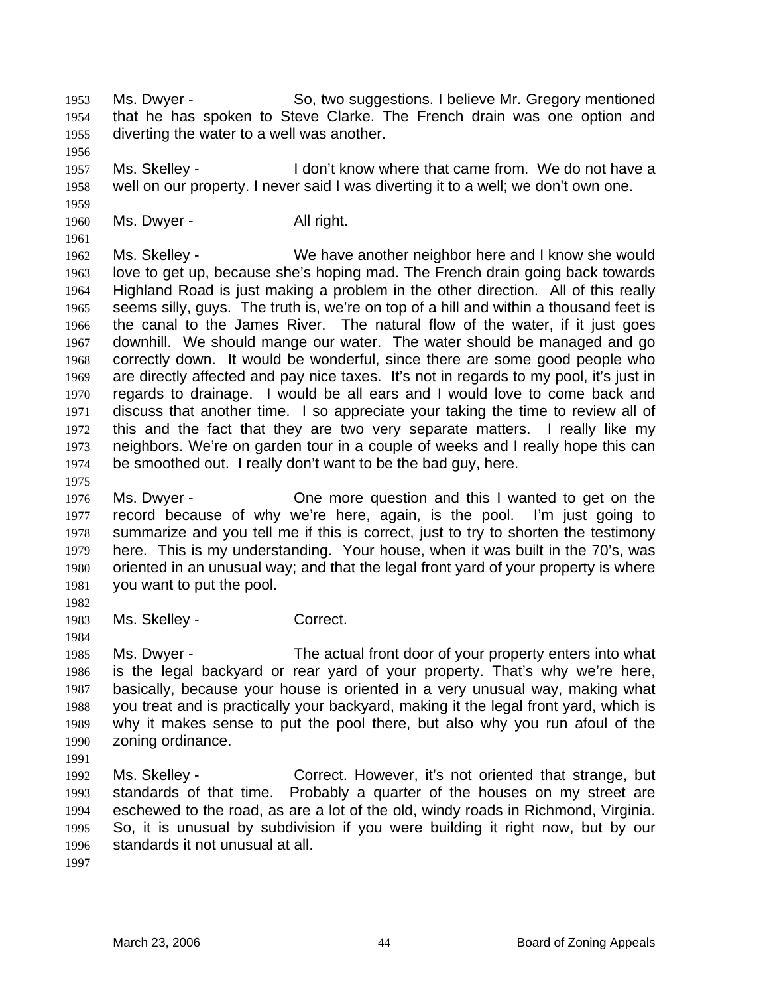Ms. Dwyer - So, two suggestions. I believe Mr. Gregory mentioned that he has spoken to Steve Clarke. The French drain was one option and diverting the water to a well was another. 1953 1954 1955

1957 1958 Ms. Skelley - The I don't know where that came from. We do not have a well on our property. I never said I was diverting it to a well; we don't own one.

1960 Ms. Dwyer - All right.

1962 1963 1964 1965 1966 1967 1968 1969 1970 1971 1972 1973 1974 Ms. Skelley - We have another neighbor here and I know she would love to get up, because she's hoping mad. The French drain going back towards Highland Road is just making a problem in the other direction. All of this really seems silly, guys. The truth is, we're on top of a hill and within a thousand feet is the canal to the James River. The natural flow of the water, if it just goes downhill. We should mange our water. The water should be managed and go correctly down. It would be wonderful, since there are some good people who are directly affected and pay nice taxes. It's not in regards to my pool, it's just in regards to drainage. I would be all ears and I would love to come back and discuss that another time. I so appreciate your taking the time to review all of this and the fact that they are two very separate matters. I really like my neighbors. We're on garden tour in a couple of weeks and I really hope this can be smoothed out. I really don't want to be the bad guy, here.

1976 1977 1978 1979 1980 1981 Ms. Dwyer - Che more question and this I wanted to get on the record because of why we're here, again, is the pool. I'm just going to summarize and you tell me if this is correct, just to try to shorten the testimony here. This is my understanding. Your house, when it was built in the 70's, was oriented in an unusual way; and that the legal front yard of your property is where you want to put the pool.

1982

1984

1975

1956

1959

1961

1983 Ms. Skelley - Correct.

1985 1986 1987 1988 1989 1990 Ms. Dwyer - The actual front door of your property enters into what is the legal backyard or rear yard of your property. That's why we're here, basically, because your house is oriented in a very unusual way, making what you treat and is practically your backyard, making it the legal front yard, which is why it makes sense to put the pool there, but also why you run afoul of the zoning ordinance.

1991

1992 1993 1994 1995 1996 Ms. Skelley - Correct. However, it's not oriented that strange, but standards of that time. Probably a quarter of the houses on my street are eschewed to the road, as are a lot of the old, windy roads in Richmond, Virginia. So, it is unusual by subdivision if you were building it right now, but by our standards it not unusual at all.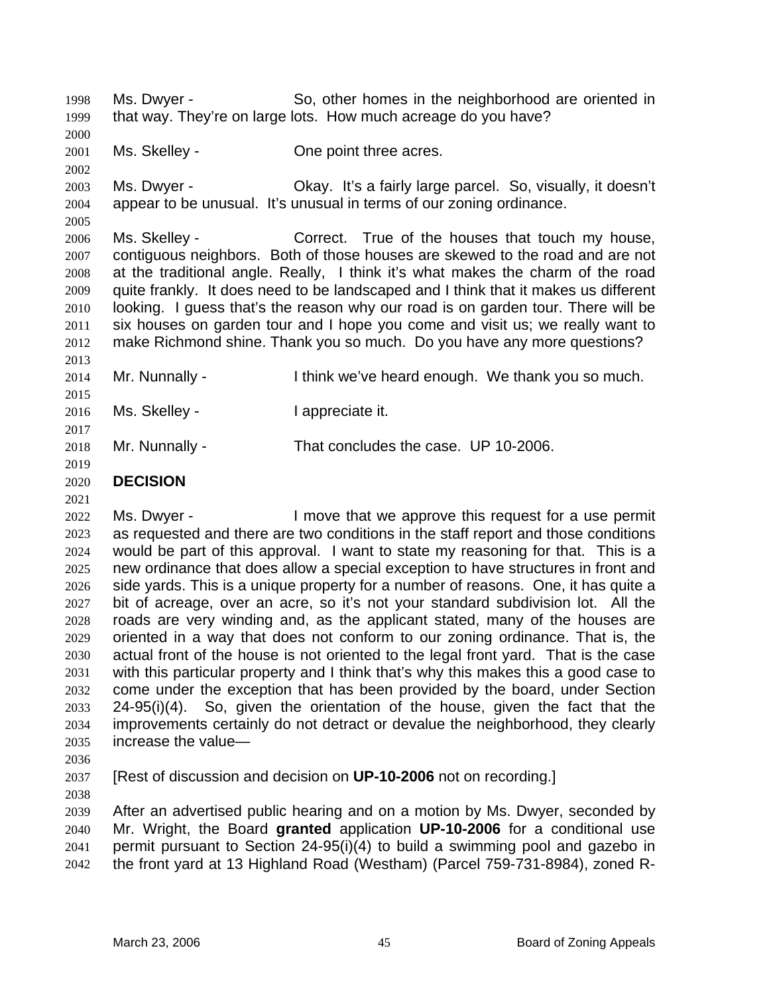Ms. Dwyer - So, other homes in the neighborhood are oriented in that way. They're on large lots. How much acreage do you have? 1998 1999 2000

2001 Ms. Skelley - Che point three acres.

2003 2004 Ms. Dwyer - Okay. It's a fairly large parcel. So, visually, it doesn't appear to be unusual. It's unusual in terms of our zoning ordinance.

2006 2007 2008 2009 2010 2011 2012 Ms. Skelley - Correct. True of the houses that touch my house, contiguous neighbors. Both of those houses are skewed to the road and are not at the traditional angle. Really, I think it's what makes the charm of the road quite frankly. It does need to be landscaped and I think that it makes us different looking. I guess that's the reason why our road is on garden tour. There will be six houses on garden tour and I hope you come and visit us; we really want to make Richmond shine. Thank you so much. Do you have any more questions?

2013 2014 2015 2016 2017 Mr. Nunnally - I think we've heard enough. We thank you so much. Ms. Skelley - The Music enterprise it. Mr. Nunnally - That concludes the case. UP 10-2006.

## 2018 2019

2002

2005

2020 **DECISION** 

2021

2022 2023 2024 2025 2026 2027 2028 2029 2030 2031 2032 2033 2034 2035 Ms. Dwyer - The Move that we approve this request for a use permit as requested and there are two conditions in the staff report and those conditions would be part of this approval. I want to state my reasoning for that. This is a new ordinance that does allow a special exception to have structures in front and side yards. This is a unique property for a number of reasons. One, it has quite a bit of acreage, over an acre, so it's not your standard subdivision lot. All the roads are very winding and, as the applicant stated, many of the houses are oriented in a way that does not conform to our zoning ordinance. That is, the actual front of the house is not oriented to the legal front yard. That is the case with this particular property and I think that's why this makes this a good case to come under the exception that has been provided by the board, under Section  $24-95(i)(4)$ . So, given the orientation of the house, given the fact that the improvements certainly do not detract or devalue the neighborhood, they clearly increase the value—

2036

2037 [Rest of discussion and decision on **UP-10-2006** not on recording.]

2038

2039 2040 2041 2042 After an advertised public hearing and on a motion by Ms. Dwyer, seconded by Mr. Wright, the Board **granted** application **UP-10-2006** for a conditional use permit pursuant to Section 24-95(i)(4) to build a swimming pool and gazebo in the front yard at 13 Highland Road (Westham) (Parcel 759-731-8984), zoned R-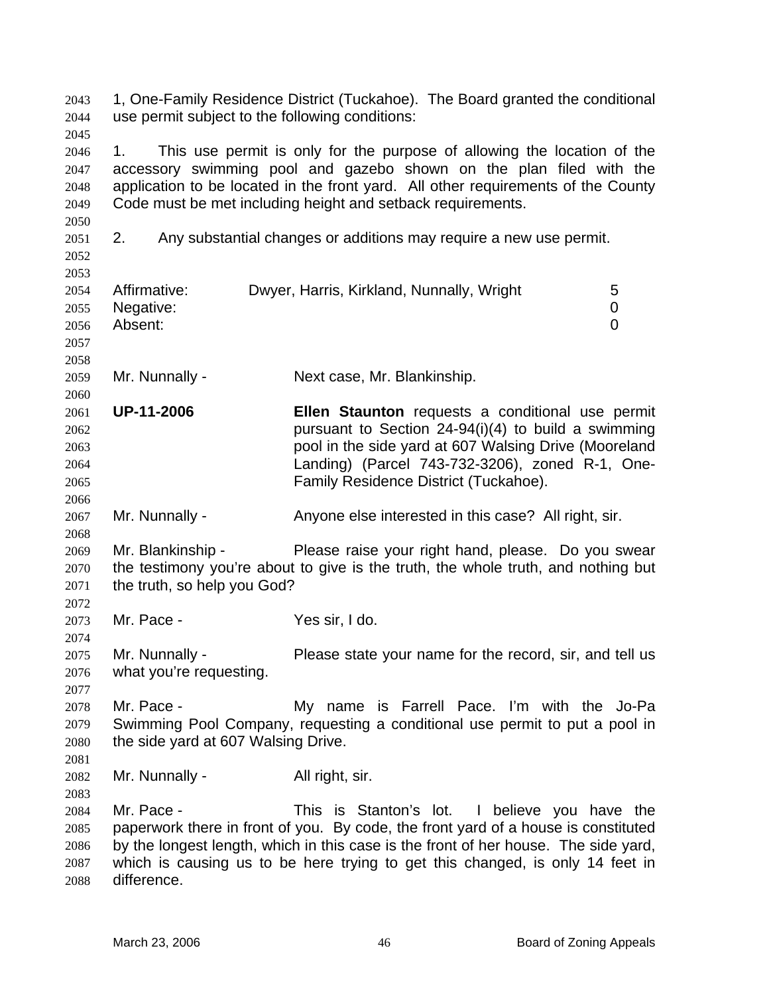1, One-Family Residence District (Tuckahoe). The Board granted the conditional use permit subject to the following conditions: 2043 2044 2045 2046 2047 2048 2049 2050 2051 2052 2053 2054 2055 2056 2057 2058 2059 2060 2061 2062 2063 2064 2065 2066 2067 2068 2069 2070 2071 2072 2073 2074 2075 2076 2077 2078 2079 2080 2081 2082 2083 2084 2085 2086 2087 2088 1. This use permit is only for the purpose of allowing the location of the accessory swimming pool and gazebo shown on the plan filed with the application to be located in the front yard. All other requirements of the County Code must be met including height and setback requirements. 2. Any substantial changes or additions may require a new use permit. Affirmative: Dwyer, Harris, Kirkland, Nunnally, Wright 5 Negative: 0 Absent: 0 Mr. Nunnally - Next case, Mr. Blankinship. **UP-11-2006 Ellen Staunton** requests a conditional use permit pursuant to Section 24-94(i)(4) to build a swimming pool in the side yard at 607 Walsing Drive (Mooreland Landing) (Parcel 743-732-3206), zoned R-1, One-Family Residence District (Tuckahoe). Mr. Nunnally - Anyone else interested in this case? All right, sir. Mr. Blankinship - Please raise your right hand, please. Do you swear the testimony you're about to give is the truth, the whole truth, and nothing but the truth, so help you God? Mr. Pace - Yes sir, I do. Mr. Nunnally - Please state your name for the record, sir, and tell us what you're requesting. Mr. Pace - My name is Farrell Pace. I'm with the Jo-Pa Swimming Pool Company, requesting a conditional use permit to put a pool in the side yard at 607 Walsing Drive. Mr. Nunnally - All right, sir. Mr. Pace - This is Stanton's lot. I believe you have the paperwork there in front of you. By code, the front yard of a house is constituted by the longest length, which in this case is the front of her house. The side yard, which is causing us to be here trying to get this changed, is only 14 feet in difference.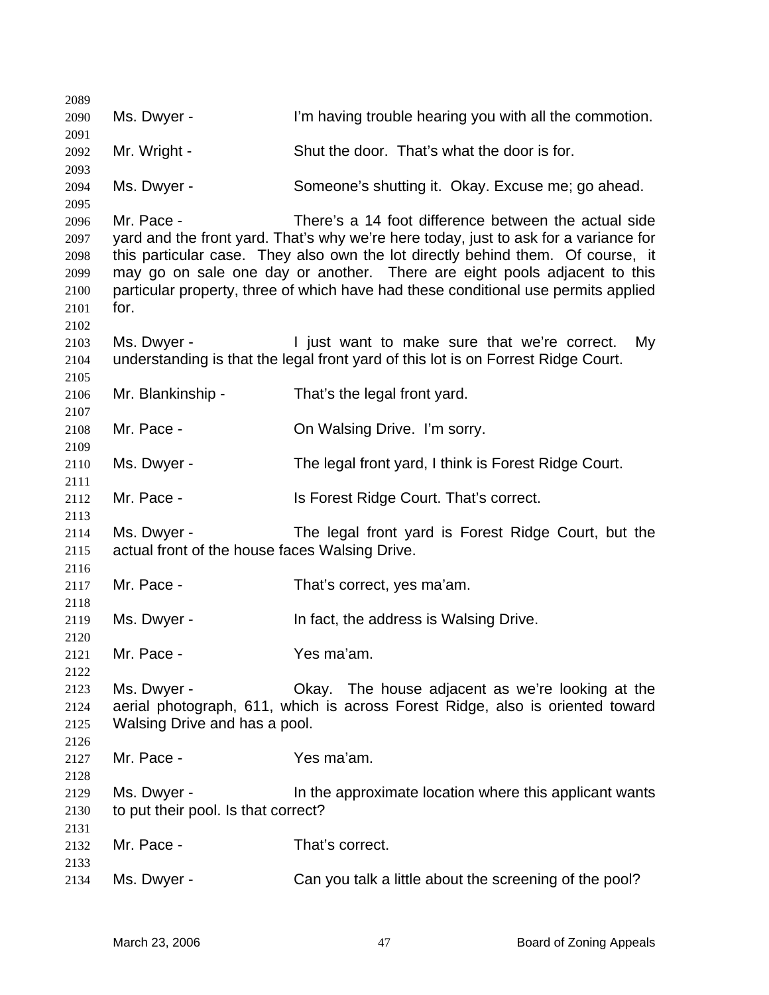| 2089         |                                                |                                                                                                                                         |
|--------------|------------------------------------------------|-----------------------------------------------------------------------------------------------------------------------------------------|
| 2090         | Ms. Dwyer -                                    | I'm having trouble hearing you with all the commotion.                                                                                  |
| 2091         |                                                |                                                                                                                                         |
| 2092         | Mr. Wright -                                   | Shut the door. That's what the door is for.                                                                                             |
| 2093<br>2094 | Ms. Dwyer -                                    | Someone's shutting it. Okay. Excuse me; go ahead.                                                                                       |
| 2095         |                                                |                                                                                                                                         |
| 2096         | Mr. Pace -                                     | There's a 14 foot difference between the actual side                                                                                    |
| 2097         |                                                | yard and the front yard. That's why we're here today, just to ask for a variance for                                                    |
| 2098         |                                                | this particular case. They also own the lot directly behind them. Of course, it                                                         |
| 2099         |                                                | may go on sale one day or another. There are eight pools adjacent to this                                                               |
| 2100         |                                                | particular property, three of which have had these conditional use permits applied                                                      |
| 2101         | for.                                           |                                                                                                                                         |
| 2102         |                                                |                                                                                                                                         |
| 2103         | Ms. Dwyer -                                    | I just want to make sure that we're correct.<br>My<br>understanding is that the legal front yard of this lot is on Forrest Ridge Court. |
| 2104<br>2105 |                                                |                                                                                                                                         |
| 2106         | Mr. Blankinship -                              | That's the legal front yard.                                                                                                            |
| 2107         |                                                |                                                                                                                                         |
| 2108         | Mr. Pace -                                     | On Walsing Drive. I'm sorry.                                                                                                            |
| 2109         |                                                |                                                                                                                                         |
| 2110         | Ms. Dwyer -                                    | The legal front yard, I think is Forest Ridge Court.                                                                                    |
| 2111         |                                                |                                                                                                                                         |
| 2112         | Mr. Pace -                                     | Is Forest Ridge Court. That's correct.                                                                                                  |
| 2113         |                                                |                                                                                                                                         |
| 2114         | Ms. Dwyer -                                    | The legal front yard is Forest Ridge Court, but the                                                                                     |
| 2115         | actual front of the house faces Walsing Drive. |                                                                                                                                         |
| 2116         |                                                |                                                                                                                                         |
| 2117         | Mr. Pace -                                     | That's correct, yes ma'am.                                                                                                              |
| 2118         |                                                |                                                                                                                                         |
| 2119         | Ms. Dwyer -                                    | In fact, the address is Walsing Drive.                                                                                                  |
| 2120         |                                                |                                                                                                                                         |
| 2121<br>2122 | Mr. Pace -                                     | Yes ma'am.                                                                                                                              |
| 2123         | Ms. Dwyer -                                    | Okay. The house adjacent as we're looking at the                                                                                        |
| 2124         |                                                | aerial photograph, 611, which is across Forest Ridge, also is oriented toward                                                           |
| 2125         | Walsing Drive and has a pool.                  |                                                                                                                                         |
| 2126         |                                                |                                                                                                                                         |
| 2127         | Mr. Pace -                                     | Yes ma'am.                                                                                                                              |
| 2128         |                                                |                                                                                                                                         |
| 2129         | Ms. Dwyer -                                    | In the approximate location where this applicant wants                                                                                  |
| 2130         | to put their pool. Is that correct?            |                                                                                                                                         |
| 2131         |                                                |                                                                                                                                         |
| 2132         | Mr. Pace -                                     | That's correct.                                                                                                                         |
| 2133         |                                                |                                                                                                                                         |
| 2134         | Ms. Dwyer -                                    | Can you talk a little about the screening of the pool?                                                                                  |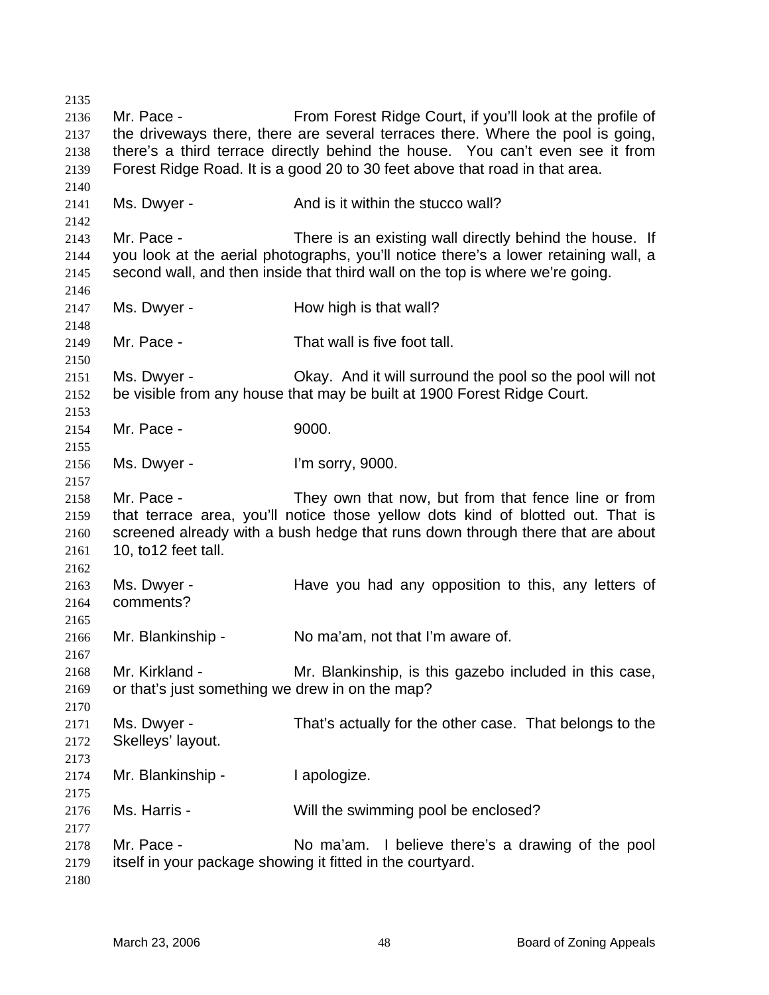Mr. Pace - From Forest Ridge Court, if you'll look at the profile of the driveways there, there are several terraces there. Where the pool is going, there's a third terrace directly behind the house. You can't even see it from Forest Ridge Road. It is a good 20 to 30 feet above that road in that area. Ms. Dwyer - The And is it within the stucco wall? Mr. Pace - There is an existing wall directly behind the house. If you look at the aerial photographs, you'll notice there's a lower retaining wall, a second wall, and then inside that third wall on the top is where we're going. Ms. Dwyer - The How high is that wall? Mr. Pace - That wall is five foot tall. Ms. Dwyer - Okay. And it will surround the pool so the pool will not be visible from any house that may be built at 1900 Forest Ridge Court. Mr. Pace - 9000. Ms. Dwyer - I'm sorry, 9000. Mr. Pace - They own that now, but from that fence line or from that terrace area, you'll notice those yellow dots kind of blotted out. That is screened already with a bush hedge that runs down through there that are about 10, to12 feet tall. Ms. Dwyer - The Have you had any opposition to this, any letters of comments? Mr. Blankinship - No ma'am, not that I'm aware of. Mr. Kirkland - The Mr. Blankinship, is this gazebo included in this case, or that's just something we drew in on the map? Ms. Dwyer - That's actually for the other case. That belongs to the Skelleys' layout. Mr. Blankinship - I apologize. Ms. Harris - Will the swimming pool be enclosed? Mr. Pace - No ma'am. I believe there's a drawing of the pool itself in your package showing it fitted in the courtyard.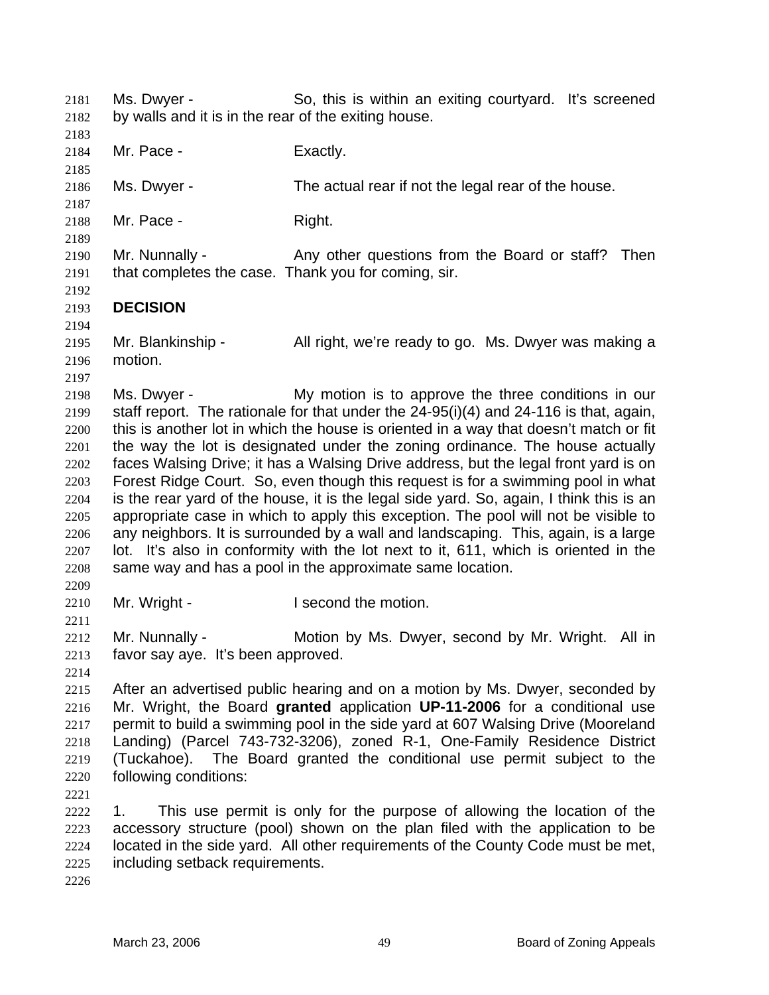Ms. Dwyer - So, this is within an exiting courtyard. It's screened by walls and it is in the rear of the exiting house. 2181 2182 2183 2184 2185 2186 2187 2188 2189 2190 2191 2192 2193 2194 2195 2196 2197 2198 2199 2200 2201 2202 2203 2204 2205 2206 2207 2208 2209 2210 2211 2212 2213 2214 2215 2216 2217 2218 2219 2220 2221 2222 2223 2224 2225 2226 Mr. Pace - Exactly. Ms. Dwyer - The actual rear if not the legal rear of the house. Mr. Pace - Right. Mr. Nunnally - Any other questions from the Board or staff? Then that completes the case. Thank you for coming, sir. **DECISION**  Mr. Blankinship - All right, we're ready to go. Ms. Dwyer was making a motion. Ms. Dwyer - The My motion is to approve the three conditions in our staff report. The rationale for that under the 24-95(i)(4) and 24-116 is that, again, this is another lot in which the house is oriented in a way that doesn't match or fit the way the lot is designated under the zoning ordinance. The house actually faces Walsing Drive; it has a Walsing Drive address, but the legal front yard is on Forest Ridge Court. So, even though this request is for a swimming pool in what is the rear yard of the house, it is the legal side yard. So, again, I think this is an appropriate case in which to apply this exception. The pool will not be visible to any neighbors. It is surrounded by a wall and landscaping. This, again, is a large lot. It's also in conformity with the lot next to it, 611, which is oriented in the same way and has a pool in the approximate same location. Mr. Wright - The Muslim Second the motion. Mr. Nunnally - **Motion by Ms. Dwyer, second by Mr. Wright.** All in favor say aye. It's been approved. After an advertised public hearing and on a motion by Ms. Dwyer, seconded by Mr. Wright, the Board **granted** application **UP-11-2006** for a conditional use permit to build a swimming pool in the side yard at 607 Walsing Drive (Mooreland Landing) (Parcel 743-732-3206), zoned R-1, One-Family Residence District (Tuckahoe). The Board granted the conditional use permit subject to the following conditions: 1. This use permit is only for the purpose of allowing the location of the accessory structure (pool) shown on the plan filed with the application to be located in the side yard. All other requirements of the County Code must be met, including setback requirements.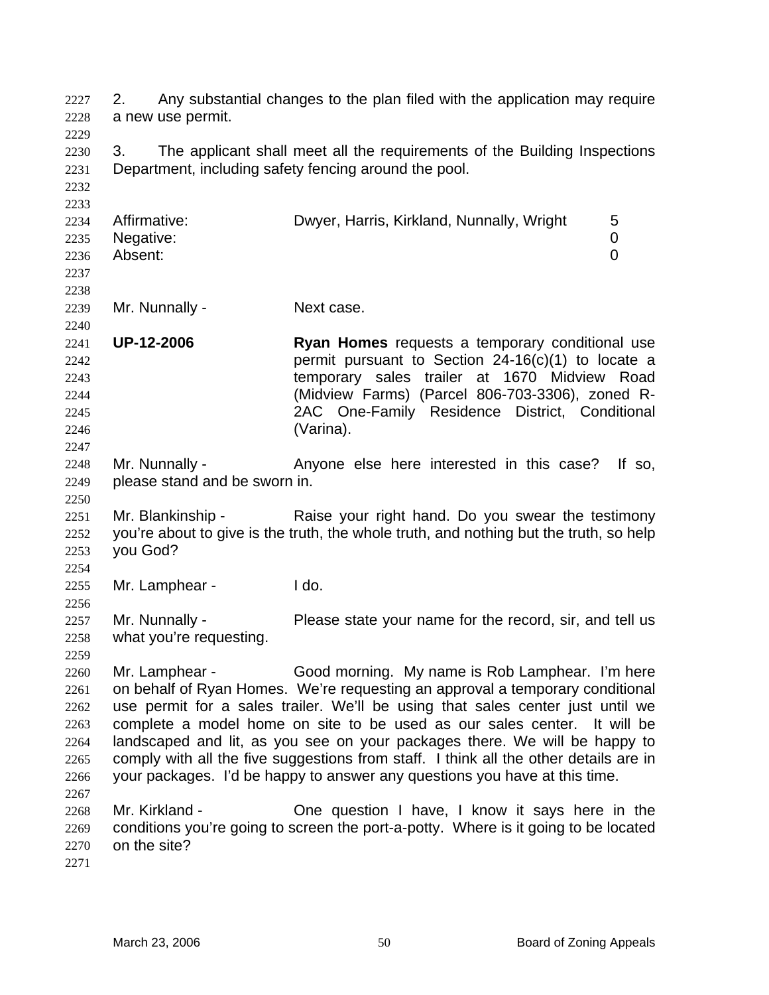2. Any substantial changes to the plan filed with the application may require a new use permit. 2227 2228 2229 2230 2231 2232 2233 2234 2235 2236 2237 2238 2239 2240 2241 2242 2243 2244 2245 2246 2247 2248 2249 2250 2251 2252 2253 2254 2255 2256 2257 2258 2259 2260 2261 2262 2263 2264 2265 2266 2267 2268 2269 2270 2271 3. The applicant shall meet all the requirements of the Building Inspections Department, including safety fencing around the pool. Affirmative: **Dwyer, Harris, Kirkland, Nunnally, Wright** 5 Negative: 0 Absent: 0 Mr. Nunnally - Next case. **UP-12-2006 Ryan Homes** requests a temporary conditional use permit pursuant to Section 24-16(c)(1) to locate a temporary sales trailer at 1670 Midview Road (Midview Farms) (Parcel 806-703-3306), zoned R-2AC One-Family Residence District, Conditional (Varina). Mr. Nunnally - Anyone else here interested in this case? If so, please stand and be sworn in. Mr. Blankinship - Raise your right hand. Do you swear the testimony you're about to give is the truth, the whole truth, and nothing but the truth, so help you God? Mr. Lamphear - I do. Mr. Nunnally - Please state your name for the record, sir, and tell us what you're requesting. Mr. Lamphear - Good morning. My name is Rob Lamphear. I'm here on behalf of Ryan Homes. We're requesting an approval a temporary conditional use permit for a sales trailer. We'll be using that sales center just until we complete a model home on site to be used as our sales center. It will be landscaped and lit, as you see on your packages there. We will be happy to comply with all the five suggestions from staff. I think all the other details are in your packages. I'd be happy to answer any questions you have at this time. Mr. Kirkland - Che question I have, I know it says here in the conditions you're going to screen the port-a-potty. Where is it going to be located on the site?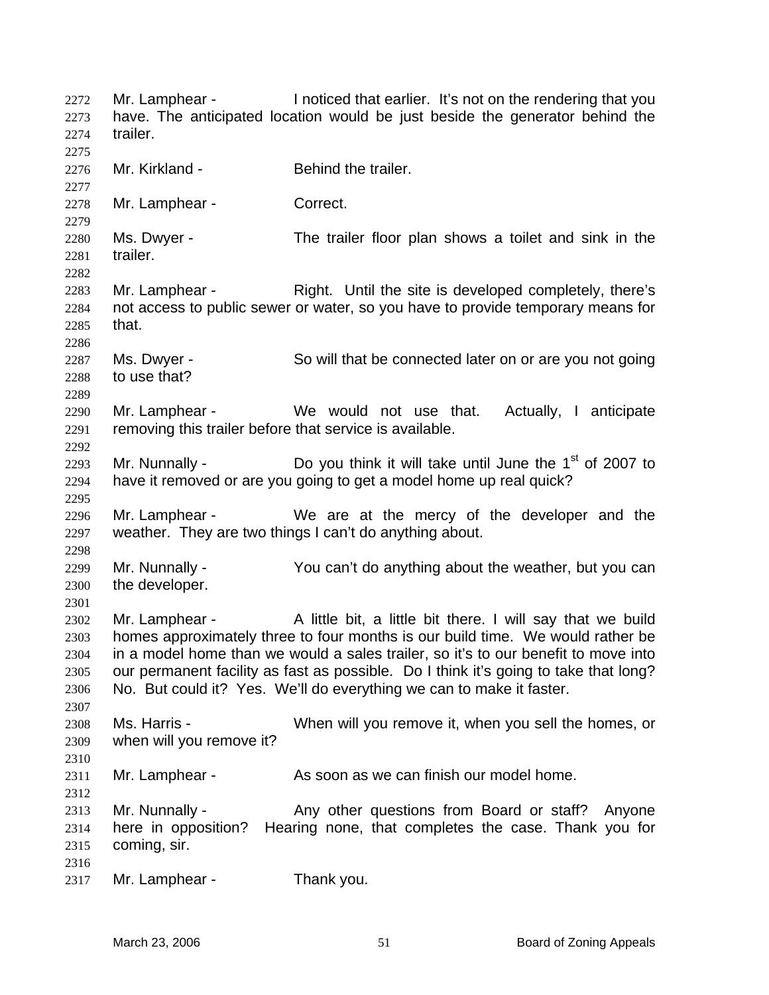Mr. Lamphear - I noticed that earlier. It's not on the rendering that you have. The anticipated location would be just beside the generator behind the trailer. 2272 2273 2274 2275 2276 2277 2278 2279 2280 2281 2282 2283 2284 2285 2286 2287 2288 2289 2290 2291 2292 2293 2294 2295 2296 2297 2298 2299 2300 2301 2302 2303 2304 2305 2306 2307 2308 2309 2310 2311 2312 2313 2314 2315 2316 2317 Mr. Kirkland - **Behind the trailer.** Mr. Lamphear - Correct. Ms. Dwyer - The trailer floor plan shows a toilet and sink in the trailer. Mr. Lamphear - Right. Until the site is developed completely, there's not access to public sewer or water, so you have to provide temporary means for that. Ms. Dwyer - So will that be connected later on or are you not going to use that? Mr. Lamphear - We would not use that. Actually, I anticipate removing this trailer before that service is available. Mr. Nunnally -  $\Box$  Do you think it will take until June the 1<sup>st</sup> of 2007 to have it removed or are you going to get a model home up real quick? Mr. Lamphear - We are at the mercy of the developer and the weather. They are two things I can't do anything about. Mr. Nunnally - You can't do anything about the weather, but you can the developer. Mr. Lamphear - A little bit, a little bit there. I will say that we build homes approximately three to four months is our build time. We would rather be in a model home than we would a sales trailer, so it's to our benefit to move into our permanent facility as fast as possible. Do I think it's going to take that long? No. But could it? Yes. We'll do everything we can to make it faster. Ms. Harris - When will you remove it, when you sell the homes, or when will you remove it? Mr. Lamphear - As soon as we can finish our model home. Mr. Nunnally - Any other questions from Board or staff? Anyone here in opposition? Hearing none, that completes the case. Thank you for coming, sir. Mr. Lamphear - Thank you.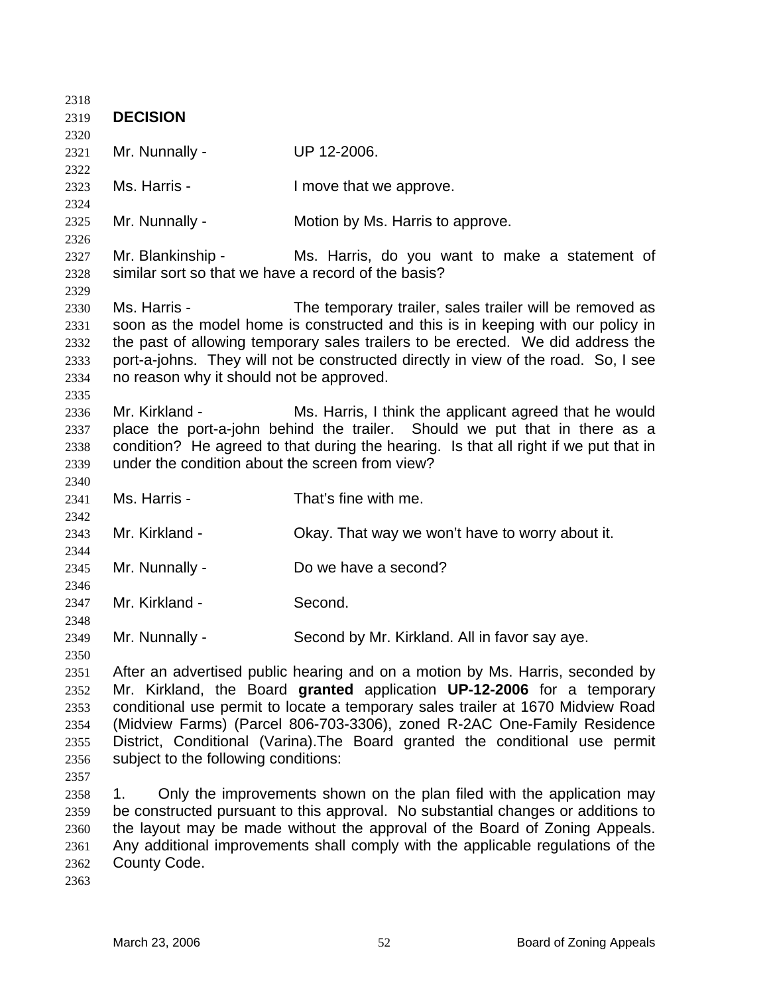| 2318         |                                                                                  |                                                                                                                                                                       |
|--------------|----------------------------------------------------------------------------------|-----------------------------------------------------------------------------------------------------------------------------------------------------------------------|
| 2319         | <b>DECISION</b>                                                                  |                                                                                                                                                                       |
| 2320         |                                                                                  |                                                                                                                                                                       |
| 2321         | Mr. Nunnally -                                                                   | UP 12-2006.                                                                                                                                                           |
| 2322         |                                                                                  |                                                                                                                                                                       |
| 2323         | Ms. Harris -                                                                     | I move that we approve.                                                                                                                                               |
| 2324         |                                                                                  |                                                                                                                                                                       |
| 2325         | Mr. Nunnally -                                                                   | Motion by Ms. Harris to approve.                                                                                                                                      |
| 2326         |                                                                                  |                                                                                                                                                                       |
| 2327         | Mr. Blankinship -                                                                | Ms. Harris, do you want to make a statement of                                                                                                                        |
| 2328         | similar sort so that we have a record of the basis?                              |                                                                                                                                                                       |
| 2329         |                                                                                  |                                                                                                                                                                       |
| 2330         | Ms. Harris -                                                                     | The temporary trailer, sales trailer will be removed as                                                                                                               |
| 2331         |                                                                                  | soon as the model home is constructed and this is in keeping with our policy in                                                                                       |
| 2332         |                                                                                  | the past of allowing temporary sales trailers to be erected. We did address the<br>port-a-johns. They will not be constructed directly in view of the road. So, I see |
| 2333<br>2334 | no reason why it should not be approved.                                         |                                                                                                                                                                       |
| 2335         |                                                                                  |                                                                                                                                                                       |
| 2336         | Mr. Kirkland -                                                                   | Ms. Harris, I think the applicant agreed that he would                                                                                                                |
| 2337         |                                                                                  | place the port-a-john behind the trailer. Should we put that in there as a                                                                                            |
| 2338         |                                                                                  | condition? He agreed to that during the hearing. Is that all right if we put that in                                                                                  |
| 2339         | under the condition about the screen from view?                                  |                                                                                                                                                                       |
| 2340         |                                                                                  |                                                                                                                                                                       |
| 2341         | Ms. Harris -                                                                     | That's fine with me.                                                                                                                                                  |
| 2342         |                                                                                  |                                                                                                                                                                       |
| 2343         | Mr. Kirkland -                                                                   | Okay. That way we won't have to worry about it.                                                                                                                       |
| 2344         |                                                                                  |                                                                                                                                                                       |
| 2345         | Mr. Nunnally -                                                                   | Do we have a second?                                                                                                                                                  |
| 2346         |                                                                                  |                                                                                                                                                                       |
| 2347         | Mr. Kirkland -                                                                   | Second.                                                                                                                                                               |
| 2348         |                                                                                  |                                                                                                                                                                       |
| 2349         | Mr. Nunnally -                                                                   | Second by Mr. Kirkland. All in favor say aye.                                                                                                                         |
| 2350         |                                                                                  |                                                                                                                                                                       |
| 2351         |                                                                                  | After an advertised public hearing and on a motion by Ms. Harris, seconded by                                                                                         |
| 2352         | Mr. Kirkland, the Board granted application UP-12-2006 for a temporary           |                                                                                                                                                                       |
| 2353         |                                                                                  | conditional use permit to locate a temporary sales trailer at 1670 Midview Road                                                                                       |
| 2354         | (Midview Farms) (Parcel 806-703-3306), zoned R-2AC One-Family Residence          |                                                                                                                                                                       |
| 2355         |                                                                                  | District, Conditional (Varina). The Board granted the conditional use permit                                                                                          |
| 2356         | subject to the following conditions:                                             |                                                                                                                                                                       |
| 2357         |                                                                                  |                                                                                                                                                                       |
| 2358         | 1.                                                                               | Only the improvements shown on the plan filed with the application may                                                                                                |
| 2359         | be constructed pursuant to this approval. No substantial changes or additions to |                                                                                                                                                                       |
| 2360         | the layout may be made without the approval of the Board of Zoning Appeals.      |                                                                                                                                                                       |
| 2361         |                                                                                  | Any additional improvements shall comply with the applicable regulations of the                                                                                       |
| 2362         | County Code.                                                                     |                                                                                                                                                                       |
| 2363         |                                                                                  |                                                                                                                                                                       |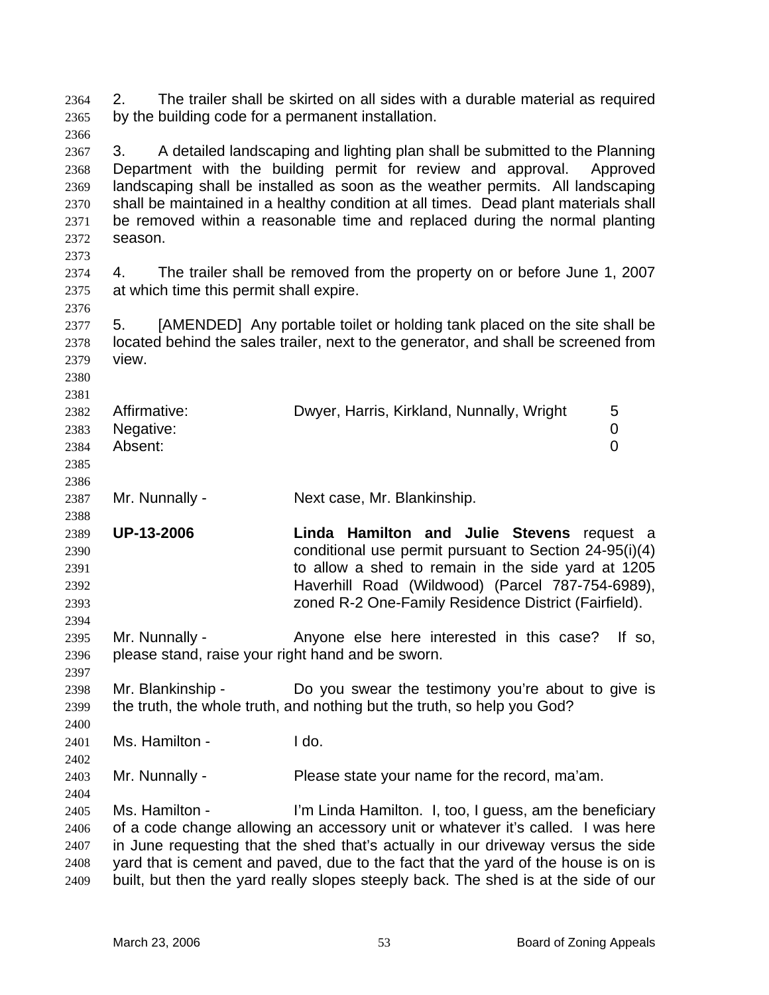2. The trailer shall be skirted on all sides with a durable material as required by the building code for a permanent installation. 2364 2365

2366 2367 2368 2369 2370 2371 2372 3. A detailed landscaping and lighting plan shall be submitted to the Planning Department with the building permit for review and approval. Approved landscaping shall be installed as soon as the weather permits. All landscaping shall be maintained in a healthy condition at all times. Dead plant materials shall be removed within a reasonable time and replaced during the normal planting season.

2374 2375 4. The trailer shall be removed from the property on or before June 1, 2007 at which time this permit shall expire.

2377 2378 2379 5. [AMENDED] Any portable toilet or holding tank placed on the site shall be located behind the sales trailer, next to the generator, and shall be screened from view.

| _ _ _ _ _ _ |                |                                           |   |
|-------------|----------------|-------------------------------------------|---|
| 2382        | Affirmative:   | Dwyer, Harris, Kirkland, Nunnally, Wright | 5 |
|             | 2383 Negative: |                                           |   |
| 2384        | Absent:        |                                           |   |
| 2385        |                |                                           |   |
| 2386        |                |                                           |   |

2387 Mr. Nunnally - Next case, Mr. Blankinship.

2389 2390 2391 2392 2393 **UP-13-2006 Linda Hamilton and Julie Stevens** request a conditional use permit pursuant to Section 24-95(i)(4) to allow a shed to remain in the side yard at 1205 Haverhill Road (Wildwood) (Parcel 787-754-6989), zoned R-2 One-Family Residence District (Fairfield).

2395 2396 Mr. Nunnally - Anyone else here interested in this case? If so, please stand, raise your right hand and be sworn.

2398 2399 Mr. Blankinship - Do you swear the testimony you're about to give is the truth, the whole truth, and nothing but the truth, so help you God?

2401 Ms. Hamilton - I do.

2373

2376

2380 2381

2388

2394

2397

2400

2402

2404

2403 Mr. Nunnally - Please state your name for the record, ma'am.

2405 2406 2407 2408 2409 Ms. Hamilton - I'm Linda Hamilton. I, too, I guess, am the beneficiary of a code change allowing an accessory unit or whatever it's called. I was here in June requesting that the shed that's actually in our driveway versus the side yard that is cement and paved, due to the fact that the yard of the house is on is built, but then the yard really slopes steeply back. The shed is at the side of our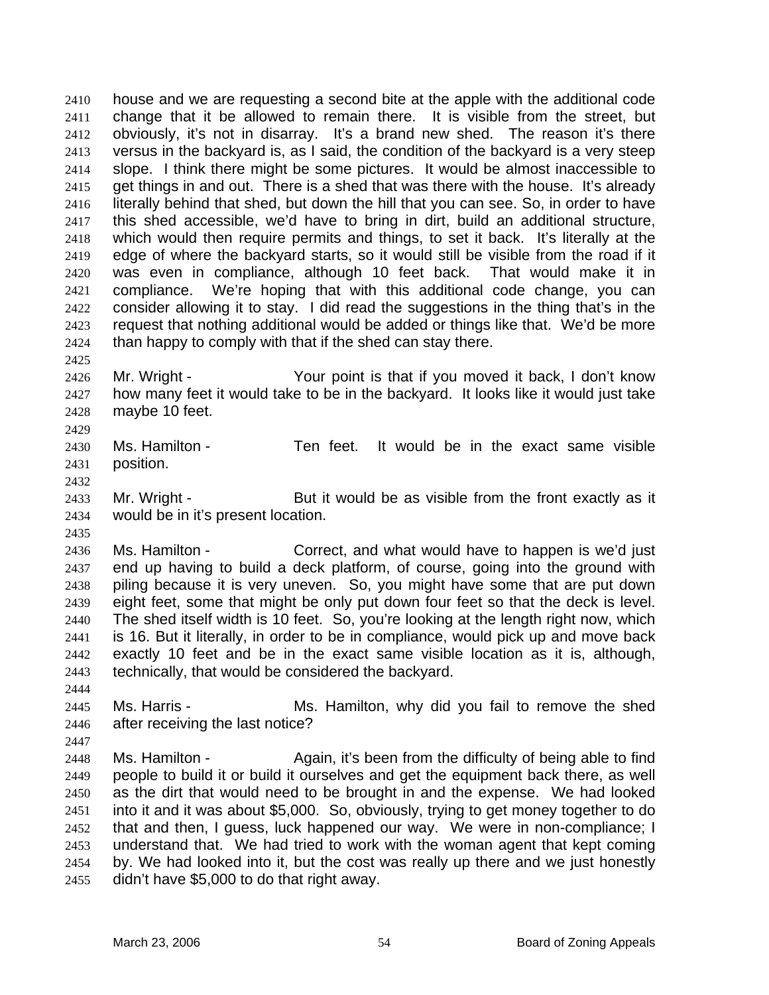house and we are requesting a second bite at the apple with the additional code change that it be allowed to remain there. It is visible from the street, but obviously, it's not in disarray. It's a brand new shed. The reason it's there versus in the backyard is, as I said, the condition of the backyard is a very steep slope. I think there might be some pictures. It would be almost inaccessible to get things in and out. There is a shed that was there with the house. It's already literally behind that shed, but down the hill that you can see. So, in order to have this shed accessible, we'd have to bring in dirt, build an additional structure, which would then require permits and things, to set it back. It's literally at the edge of where the backyard starts, so it would still be visible from the road if it was even in compliance, although 10 feet back. That would make it in compliance. We're hoping that with this additional code change, you can consider allowing it to stay. I did read the suggestions in the thing that's in the request that nothing additional would be added or things like that. We'd be more than happy to comply with that if the shed can stay there. 2410 2411 2412 2413 2414 2415 2416 2417 2418 2419 2420 2421 2422 2423 2424

2426 2427 2428 2429 Mr. Wright - Your point is that if you moved it back, I don't know how many feet it would take to be in the backyard. It looks like it would just take maybe 10 feet.

2430 2431 Ms. Hamilton - Ten feet. It would be in the exact same visible position.

2433 2434 Mr. Wright - But it would be as visible from the front exactly as it would be in it's present location.

2436 2437 2438 2439 2440 2441 2442 2443 Ms. Hamilton - Correct, and what would have to happen is we'd just end up having to build a deck platform, of course, going into the ground with piling because it is very uneven. So, you might have some that are put down eight feet, some that might be only put down four feet so that the deck is level. The shed itself width is 10 feet. So, you're looking at the length right now, which is 16. But it literally, in order to be in compliance, would pick up and move back exactly 10 feet and be in the exact same visible location as it is, although, technically, that would be considered the backyard.

2445

2425

2432

2435

2444

2446 2447

Ms. Harris - The Ms. Hamilton, why did you fail to remove the shed after receiving the last notice?

2448 2449 2450 2451 2452 2453 2454 2455 Ms. Hamilton - Again, it's been from the difficulty of being able to find people to build it or build it ourselves and get the equipment back there, as well as the dirt that would need to be brought in and the expense. We had looked into it and it was about \$5,000. So, obviously, trying to get money together to do that and then, I guess, luck happened our way. We were in non-compliance; I understand that. We had tried to work with the woman agent that kept coming by. We had looked into it, but the cost was really up there and we just honestly didn't have \$5,000 to do that right away.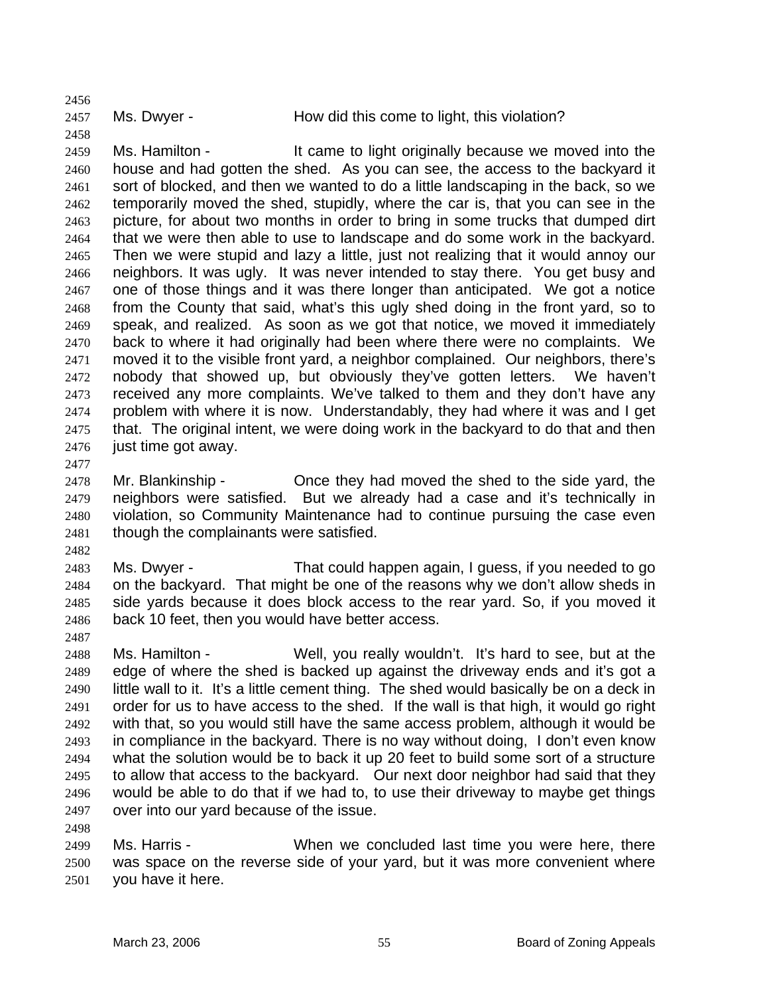2457

2456

2458

2459 2460 2461 2462 2463 2464 2465 2466 2467 2468 2469 2470 2471 2472 2473 2474 2475 2476 Ms. Hamilton - The same to light originally because we moved into the house and had gotten the shed. As you can see, the access to the backyard it sort of blocked, and then we wanted to do a little landscaping in the back, so we temporarily moved the shed, stupidly, where the car is, that you can see in the picture, for about two months in order to bring in some trucks that dumped dirt that we were then able to use to landscape and do some work in the backyard. Then we were stupid and lazy a little, just not realizing that it would annoy our neighbors. It was ugly. It was never intended to stay there. You get busy and one of those things and it was there longer than anticipated. We got a notice from the County that said, what's this ugly shed doing in the front yard, so to speak, and realized. As soon as we got that notice, we moved it immediately back to where it had originally had been where there were no complaints. We moved it to the visible front yard, a neighbor complained. Our neighbors, there's nobody that showed up, but obviously they've gotten letters. We haven't received any more complaints. We've talked to them and they don't have any problem with where it is now. Understandably, they had where it was and I get that. The original intent, we were doing work in the backyard to do that and then just time got away.

2477

2478 2479 2480 2481 Mr. Blankinship - Once they had moved the shed to the side yard, the neighbors were satisfied. But we already had a case and it's technically in violation, so Community Maintenance had to continue pursuing the case even though the complainants were satisfied.

2482

2487

2498

2483 2484 2485 2486 Ms. Dwyer - That could happen again, I guess, if you needed to go on the backyard. That might be one of the reasons why we don't allow sheds in side yards because it does block access to the rear yard. So, if you moved it back 10 feet, then you would have better access.

2488 2489 2490 2491 2492 2493 2494 2495 2496 2497 Ms. Hamilton - Well, you really wouldn't. It's hard to see, but at the edge of where the shed is backed up against the driveway ends and it's got a little wall to it. It's a little cement thing. The shed would basically be on a deck in order for us to have access to the shed. If the wall is that high, it would go right with that, so you would still have the same access problem, although it would be in compliance in the backyard. There is no way without doing, I don't even know what the solution would be to back it up 20 feet to build some sort of a structure to allow that access to the backyard. Our next door neighbor had said that they would be able to do that if we had to, to use their driveway to maybe get things over into our yard because of the issue.

2499 2500 2501 Ms. Harris - When we concluded last time you were here, there was space on the reverse side of your yard, but it was more convenient where you have it here.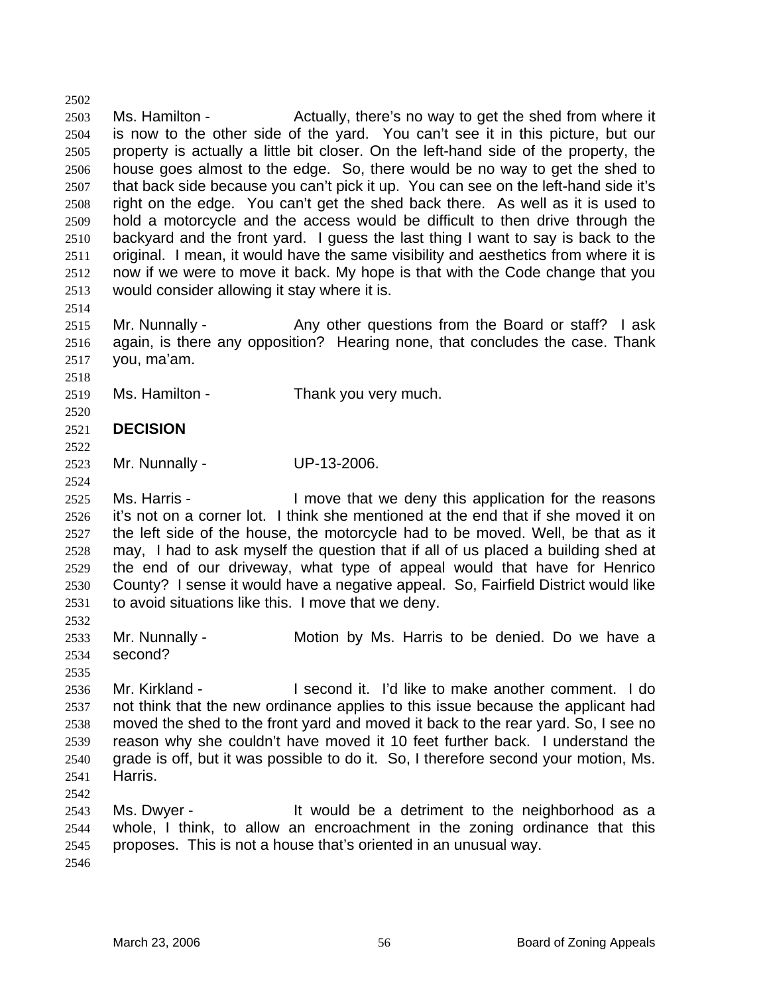2503 2504 2505 2506 2507 2508 2509 2510 2511 2512 2513 Ms. Hamilton - Actually, there's no way to get the shed from where it is now to the other side of the yard. You can't see it in this picture, but our property is actually a little bit closer. On the left-hand side of the property, the house goes almost to the edge. So, there would be no way to get the shed to that back side because you can't pick it up. You can see on the left-hand side it's right on the edge. You can't get the shed back there. As well as it is used to hold a motorcycle and the access would be difficult to then drive through the backyard and the front yard. I guess the last thing I want to say is back to the original. I mean, it would have the same visibility and aesthetics from where it is now if we were to move it back. My hope is that with the Code change that you would consider allowing it stay where it is.

2515 2516 2517 Mr. Nunnally - Any other questions from the Board or staff? I ask again, is there any opposition? Hearing none, that concludes the case. Thank you, ma'am.

2519 Ms. Hamilton - Thank you very much.

## 2521 **DECISION**

2522 2523

2502

2514

2518

2520

2524

2532

2535

2542

Mr. Nunnally - UP-13-2006.

2525 2526 2527 2528 2529 2530 2531 Ms. Harris - I move that we deny this application for the reasons it's not on a corner lot. I think she mentioned at the end that if she moved it on the left side of the house, the motorcycle had to be moved. Well, be that as it may, I had to ask myself the question that if all of us placed a building shed at the end of our driveway, what type of appeal would that have for Henrico County? I sense it would have a negative appeal. So, Fairfield District would like to avoid situations like this. I move that we deny.

2533 2534 Mr. Nunnally - Motion by Ms. Harris to be denied. Do we have a second?

2536 2537 2538 2539 2540 2541 Mr. Kirkland - I second it. I'd like to make another comment. I do not think that the new ordinance applies to this issue because the applicant had moved the shed to the front yard and moved it back to the rear yard. So, I see no reason why she couldn't have moved it 10 feet further back. I understand the grade is off, but it was possible to do it. So, I therefore second your motion, Ms. Harris.

2543 2544 2545 2546 Ms. Dwyer - It would be a detriment to the neighborhood as a whole, I think, to allow an encroachment in the zoning ordinance that this proposes. This is not a house that's oriented in an unusual way.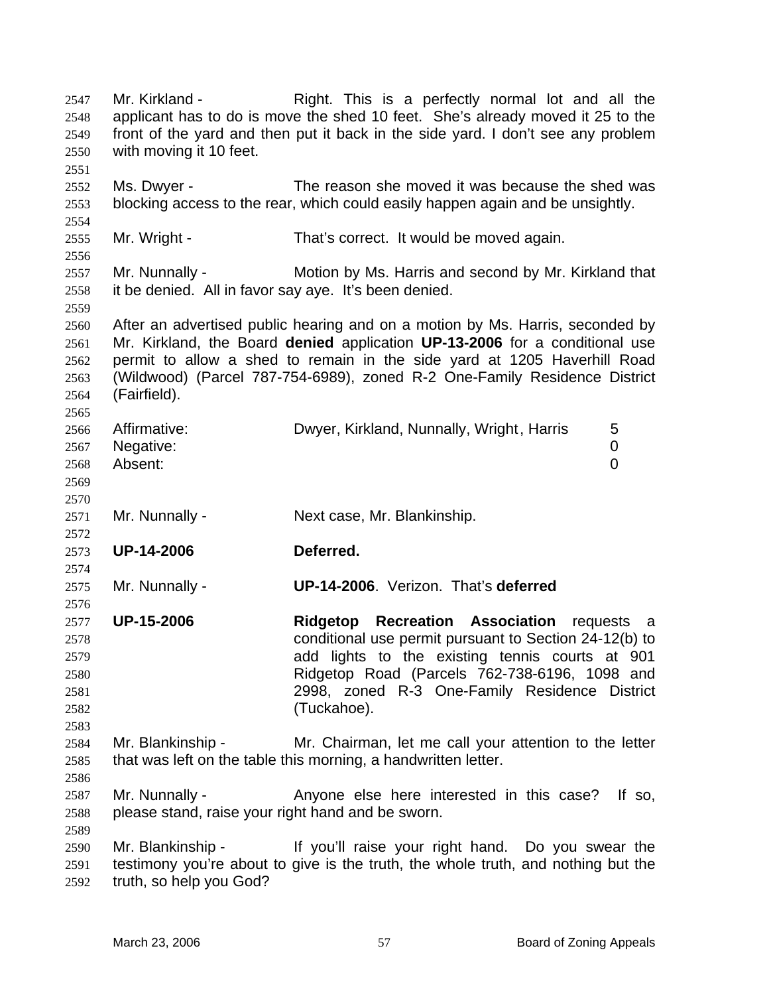Mr. Kirkland - This is a perfectly normal lot and all the applicant has to do is move the shed 10 feet. She's already moved it 25 to the front of the yard and then put it back in the side yard. I don't see any problem with moving it 10 feet. 2547 2548 2549 2550 2551 2552 2553 2554 2555 2556 2557 2558 2559 2560 2561 2562 2563 2564 2565 2566 2567 2568 2569 2570 2571 2572 2573 2574 2575 2576 2577 2578 2579 2580 2581 2582 2583 2584 2585 2586 2587 2588 2589 2590 2591 2592 Ms. Dwyer - The reason she moved it was because the shed was blocking access to the rear, which could easily happen again and be unsightly. Mr. Wright - That's correct. It would be moved again. Mr. Nunnally - Motion by Ms. Harris and second by Mr. Kirkland that it be denied. All in favor say aye. It's been denied. After an advertised public hearing and on a motion by Ms. Harris, seconded by Mr. Kirkland, the Board **denied** application **UP-13-2006** for a conditional use permit to allow a shed to remain in the side yard at 1205 Haverhill Road (Wildwood) (Parcel 787-754-6989), zoned R-2 One-Family Residence District (Fairfield). Affirmative: Dwyer, Kirkland, Nunnally, Wright, Harris 5 Negative: 0 Absent: 0 Mr. Nunnally - Next case, Mr. Blankinship. **UP-14-2006 Deferred.**  Mr. Nunnally - **UP-14-2006**. Verizon. That's **deferred UP-15-2006 Ridgetop Recreation Association** requests a conditional use permit pursuant to Section 24-12(b) to add lights to the existing tennis courts at 901 Ridgetop Road (Parcels 762-738-6196, 1098 and 2998, zoned R-3 One-Family Residence District (Tuckahoe). Mr. Blankinship - Mr. Chairman, let me call your attention to the letter that was left on the table this morning, a handwritten letter. Mr. Nunnally - Anyone else here interested in this case? If so, please stand, raise your right hand and be sworn. Mr. Blankinship - If you'll raise your right hand. Do you swear the testimony you're about to give is the truth, the whole truth, and nothing but the truth, so help you God?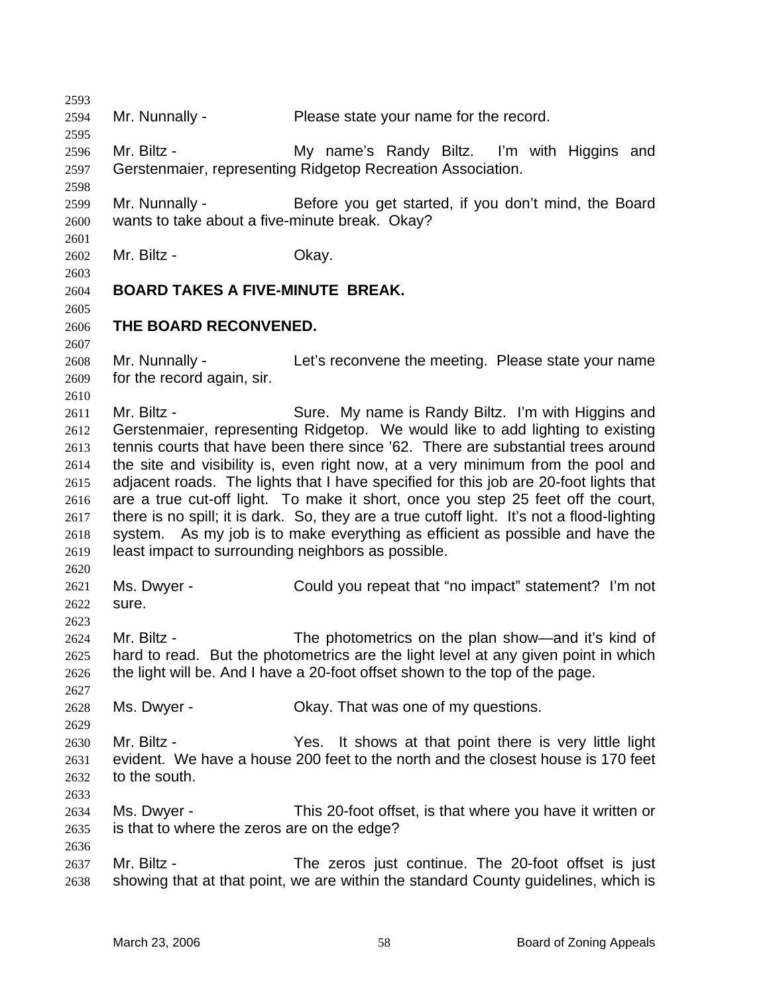2594 Mr. Nunnally - Please state your name for the record.

2596 2597 Mr. Biltz - **My name's Randy Biltz.** I'm with Higgins and Gerstenmaier, representing Ridgetop Recreation Association.

2599 2600 Mr. Nunnally - Before you get started, if you don't mind, the Board wants to take about a five-minute break. Okay?

2602 Mr. Biltz - Ckay.

## 2603

2601

2593

2595

2598

2604 **BOARD TAKES A FIVE-MINUTE BREAK.** 

2605 2606 2607

2610

2620

2623

2627

2629

2633

2636

**THE BOARD RECONVENED.** 

2608 2609 Mr. Nunnally - Let's reconvene the meeting. Please state your name for the record again, sir.

2611 2612 2613 2614 2615 2616 2617 2618 2619 Mr. Biltz - Sure. My name is Randy Biltz. I'm with Higgins and Gerstenmaier, representing Ridgetop. We would like to add lighting to existing tennis courts that have been there since '62. There are substantial trees around the site and visibility is, even right now, at a very minimum from the pool and adjacent roads. The lights that I have specified for this job are 20-foot lights that are a true cut-off light. To make it short, once you step 25 feet off the court, there is no spill; it is dark. So, they are a true cutoff light. It's not a flood-lighting system. As my job is to make everything as efficient as possible and have the least impact to surrounding neighbors as possible.

2621 2622 Ms. Dwyer - Could you repeat that "no impact" statement? I'm not sure.

2624 2625 2626 Mr. Biltz - The photometrics on the plan show—and it's kind of hard to read. But the photometrics are the light level at any given point in which the light will be. And I have a 20-foot offset shown to the top of the page.

2628 Ms. Dwyer - Ckay. That was one of my questions.

2630 2631 2632 Mr. Biltz - The Yes. It shows at that point there is very little light evident. We have a house 200 feet to the north and the closest house is 170 feet to the south.

2634 2635 Ms. Dwyer - This 20-foot offset, is that where you have it written or is that to where the zeros are on the edge?

2637 2638 Mr. Biltz - The zeros just continue. The 20-foot offset is just showing that at that point, we are within the standard County guidelines, which is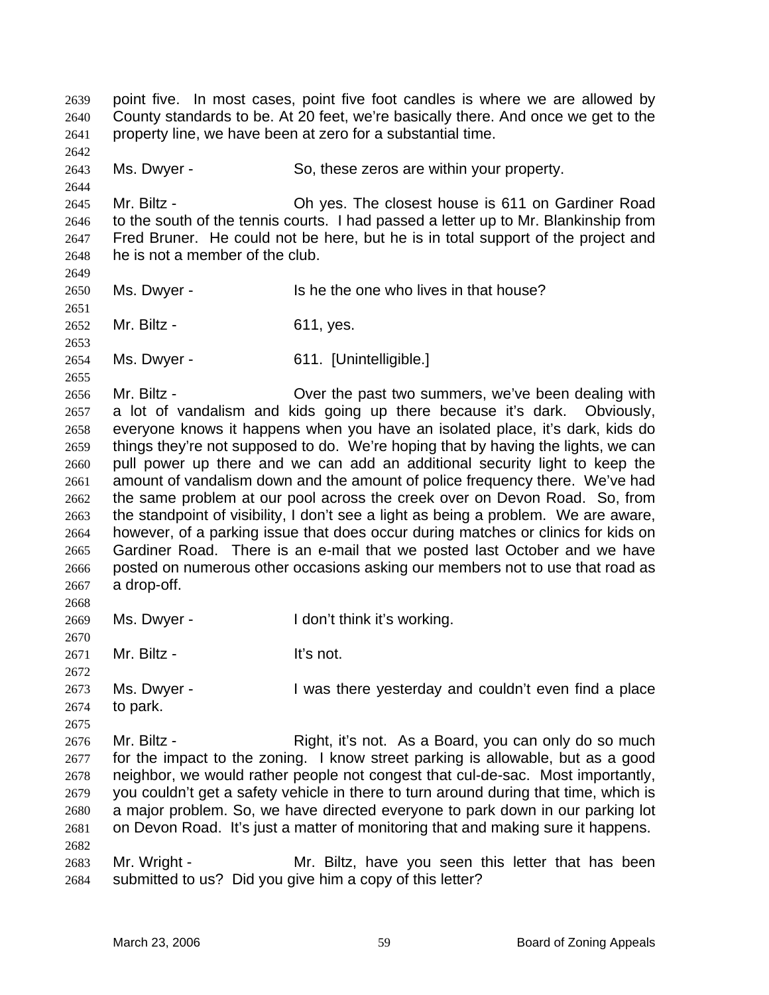point five. In most cases, point five foot candles is where we are allowed by County standards to be. At 20 feet, we're basically there. And once we get to the property line, we have been at zero for a substantial time. 2639 2640 2641 2642 2643 2644 2645 2646 2647 2648 2649 2650 2651 2652 2653 2654 2655 2656 2657 2658 2659 2660 2661 2662 2663 2664 2665 2666 2667 2668 2669 2670 2671 2672 2673 2674 2675 2676 2677 2678 2679 2680 2681 2682 2683 2684 Ms. Dwyer - So, these zeros are within your property. Mr. Biltz - Oh yes. The closest house is 611 on Gardiner Road to the south of the tennis courts. I had passed a letter up to Mr. Blankinship from Fred Bruner. He could not be here, but he is in total support of the project and he is not a member of the club. Ms. Dwyer - Is he the one who lives in that house? Mr. Biltz - 611, yes. Ms. Dwyer - 611. [Unintelligible.] Mr. Biltz - Cover the past two summers, we've been dealing with a lot of vandalism and kids going up there because it's dark. Obviously, everyone knows it happens when you have an isolated place, it's dark, kids do things they're not supposed to do. We're hoping that by having the lights, we can pull power up there and we can add an additional security light to keep the amount of vandalism down and the amount of police frequency there. We've had the same problem at our pool across the creek over on Devon Road. So, from the standpoint of visibility, I don't see a light as being a problem. We are aware, however, of a parking issue that does occur during matches or clinics for kids on Gardiner Road. There is an e-mail that we posted last October and we have posted on numerous other occasions asking our members not to use that road as a drop-off. Ms. Dwyer - I don't think it's working. Mr. Biltz - It's not. Ms. Dwyer - I was there yesterday and couldn't even find a place to park. Mr. Biltz - Right, it's not. As a Board, you can only do so much for the impact to the zoning. I know street parking is allowable, but as a good neighbor, we would rather people not congest that cul-de-sac. Most importantly, you couldn't get a safety vehicle in there to turn around during that time, which is a major problem. So, we have directed everyone to park down in our parking lot on Devon Road. It's just a matter of monitoring that and making sure it happens. Mr. Wright - The Mr. Biltz, have you seen this letter that has been submitted to us? Did you give him a copy of this letter?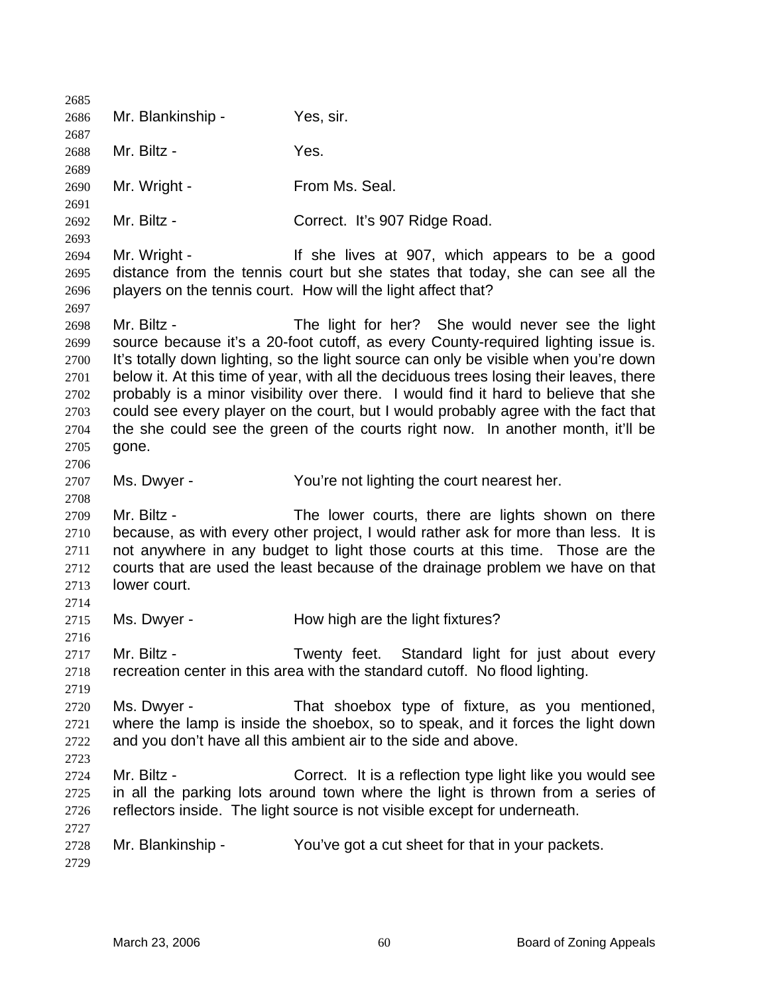| 2685         |                   |                                                                                                                                                                |
|--------------|-------------------|----------------------------------------------------------------------------------------------------------------------------------------------------------------|
| 2686         | Mr. Blankinship - | Yes, sir.                                                                                                                                                      |
| 2687         |                   |                                                                                                                                                                |
| 2688         | Mr. Biltz -       | Yes.                                                                                                                                                           |
| 2689         |                   |                                                                                                                                                                |
| 2690         | Mr. Wright -      | From Ms. Seal.                                                                                                                                                 |
| 2691         | Mr. Biltz -       | Correct. It's 907 Ridge Road.                                                                                                                                  |
| 2692<br>2693 |                   |                                                                                                                                                                |
| 2694         | Mr. Wright -      | If she lives at 907, which appears to be a good                                                                                                                |
| 2695         |                   | distance from the tennis court but she states that today, she can see all the                                                                                  |
| 2696         |                   | players on the tennis court. How will the light affect that?                                                                                                   |
| 2697         |                   |                                                                                                                                                                |
| 2698         | Mr. Biltz -       | The light for her? She would never see the light                                                                                                               |
| 2699         |                   | source because it's a 20-foot cutoff, as every County-required lighting issue is.                                                                              |
| 2700         |                   | It's totally down lighting, so the light source can only be visible when you're down                                                                           |
| 2701         |                   | below it. At this time of year, with all the deciduous trees losing their leaves, there                                                                        |
| 2702         |                   | probably is a minor visibility over there. I would find it hard to believe that she                                                                            |
| 2703         |                   | could see every player on the court, but I would probably agree with the fact that                                                                             |
| 2704         |                   | the she could see the green of the courts right now. In another month, it'll be                                                                                |
| 2705         | gone.             |                                                                                                                                                                |
| 2706         |                   |                                                                                                                                                                |
| 2707         | Ms. Dwyer -       | You're not lighting the court nearest her.                                                                                                                     |
| 2708         |                   |                                                                                                                                                                |
| 2709         | Mr. Biltz -       | The lower courts, there are lights shown on there                                                                                                              |
| 2710         |                   | because, as with every other project, I would rather ask for more than less. It is                                                                             |
| 2711<br>2712 |                   | not anywhere in any budget to light those courts at this time. Those are the<br>courts that are used the least because of the drainage problem we have on that |
| 2713         | lower court.      |                                                                                                                                                                |
| 2714         |                   |                                                                                                                                                                |
| 2715         | Ms. Dwyer -       | How high are the light fixtures?                                                                                                                               |
| 2716         |                   |                                                                                                                                                                |
| 2717         | Mr. Biltz -       | Standard light for just about every<br>Twenty feet.                                                                                                            |
| 2718         |                   | recreation center in this area with the standard cutoff. No flood lighting.                                                                                    |
| 2719         |                   |                                                                                                                                                                |
| 2720         | Ms. Dwyer -       | That shoebox type of fixture, as you mentioned,                                                                                                                |
| 2721         |                   | where the lamp is inside the shoebox, so to speak, and it forces the light down                                                                                |
| 2722         |                   | and you don't have all this ambient air to the side and above.                                                                                                 |
| 2723         |                   |                                                                                                                                                                |
| 2724         | Mr. Biltz -       | Correct. It is a reflection type light like you would see                                                                                                      |
| 2725         |                   | in all the parking lots around town where the light is thrown from a series of                                                                                 |
| 2726         |                   | reflectors inside. The light source is not visible except for underneath.                                                                                      |
| 2727         |                   |                                                                                                                                                                |
| 2728         | Mr. Blankinship - | You've got a cut sheet for that in your packets.                                                                                                               |
| 2729         |                   |                                                                                                                                                                |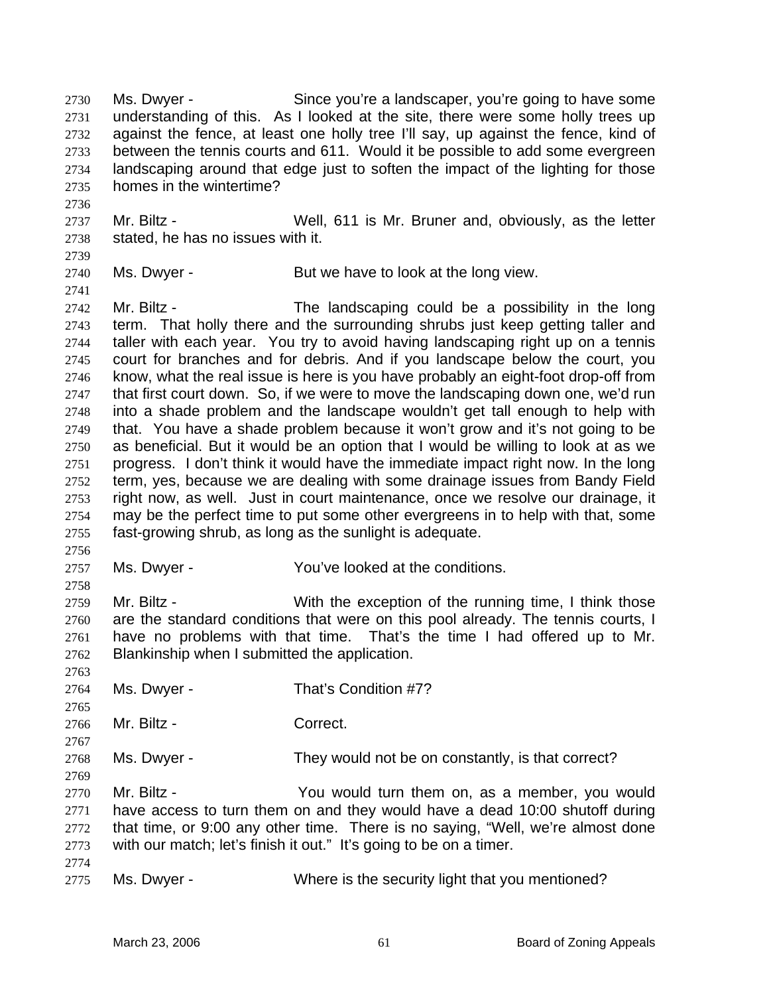Ms. Dwyer - Since you're a landscaper, you're going to have some understanding of this. As I looked at the site, there were some holly trees up against the fence, at least one holly tree I'll say, up against the fence, kind of between the tennis courts and 611. Would it be possible to add some evergreen landscaping around that edge just to soften the impact of the lighting for those homes in the wintertime? 2730 2731 2732 2733 2734 2735

2737 2738 Mr. Biltz - Well, 611 is Mr. Bruner and, obviously, as the letter stated, he has no issues with it.

2739

2736

2740 Ms. Dwyer - But we have to look at the long view.

2741 2742 2743 2744 2745 2746 2747 2748 2749 2750 2751 2752 2753 2754 2755 Mr. Biltz - The landscaping could be a possibility in the long term. That holly there and the surrounding shrubs just keep getting taller and taller with each year. You try to avoid having landscaping right up on a tennis court for branches and for debris. And if you landscape below the court, you know, what the real issue is here is you have probably an eight-foot drop-off from that first court down. So, if we were to move the landscaping down one, we'd run into a shade problem and the landscape wouldn't get tall enough to help with that. You have a shade problem because it won't grow and it's not going to be as beneficial. But it would be an option that I would be willing to look at as we progress. I don't think it would have the immediate impact right now. In the long term, yes, because we are dealing with some drainage issues from Bandy Field right now, as well. Just in court maintenance, once we resolve our drainage, it may be the perfect time to put some other evergreens in to help with that, some fast-growing shrub, as long as the sunlight is adequate.

2756 2757

2758

2763

2765

2767

2769

Ms. Dwyer - You've looked at the conditions.

2759 2760 2761 2762 Mr. Biltz - With the exception of the running time, I think those are the standard conditions that were on this pool already. The tennis courts, I have no problems with that time. That's the time I had offered up to Mr. Blankinship when I submitted the application.

2764 Ms. Dwyer - That's Condition #7?

2766 Mr. Biltz - Correct.

2768 Ms. Dwyer - They would not be on constantly, is that correct?

2770 2771 2772 2773 Mr. Biltz - You would turn them on, as a member, you would have access to turn them on and they would have a dead 10:00 shutoff during that time, or 9:00 any other time. There is no saying, "Well, we're almost done with our match; let's finish it out." It's going to be on a timer.

2774

2775

Ms. Dwyer - Where is the security light that you mentioned?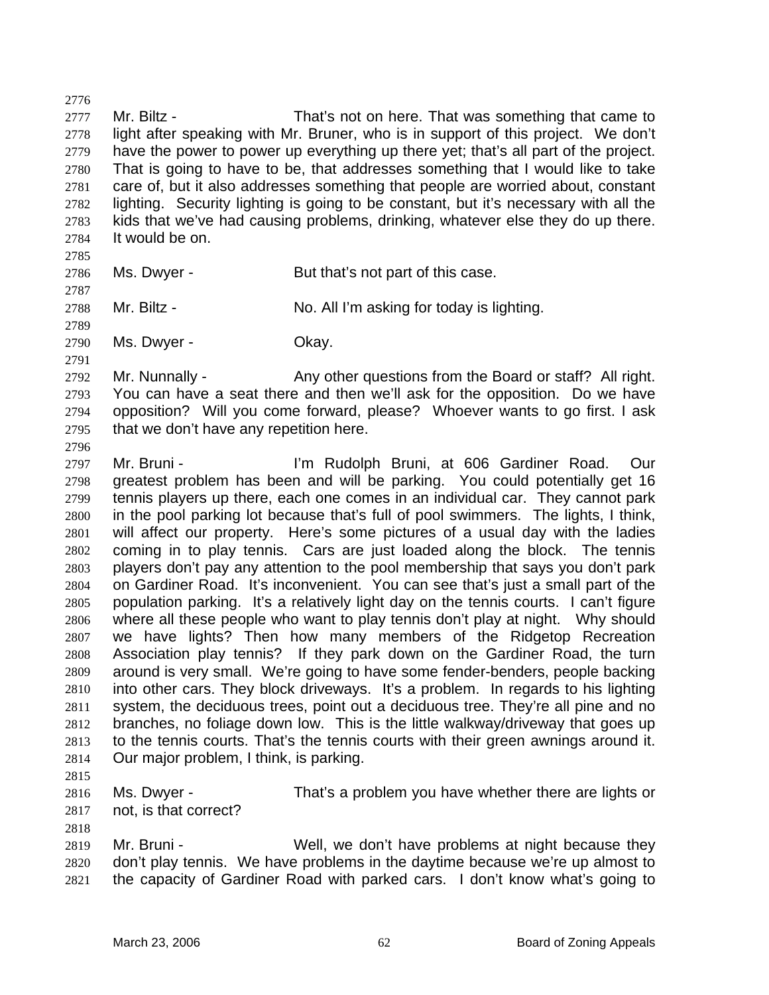2778 2779 2780 2781 2782 2783 2784 2785 2786 2787 2788 2789 2790 2791 2792 2793 2794 2795 2796 2797 2798 2799 2800 2801 2802 2803 2804 2805 2806 2807 2808 2809 2810 2811 2812 2813 2814 2815 2816 2817 2818 light after speaking with Mr. Bruner, who is in support of this project. We don't have the power to power up everything up there yet; that's all part of the project. That is going to have to be, that addresses something that I would like to take care of, but it also addresses something that people are worried about, constant lighting. Security lighting is going to be constant, but it's necessary with all the kids that we've had causing problems, drinking, whatever else they do up there. It would be on. Ms. Dwyer - But that's not part of this case. Mr. Biltz - No. All I'm asking for today is lighting. Ms. Dwyer - Chay. Mr. Nunnally - Any other questions from the Board or staff? All right. You can have a seat there and then we'll ask for the opposition. Do we have opposition? Will you come forward, please? Whoever wants to go first. I ask that we don't have any repetition here. Mr. Bruni - **I'm Rudolph Bruni, at 606 Gardiner Road.** Our greatest problem has been and will be parking. You could potentially get 16 tennis players up there, each one comes in an individual car. They cannot park in the pool parking lot because that's full of pool swimmers. The lights, I think, will affect our property. Here's some pictures of a usual day with the ladies coming in to play tennis. Cars are just loaded along the block. The tennis players don't pay any attention to the pool membership that says you don't park on Gardiner Road. It's inconvenient. You can see that's just a small part of the population parking. It's a relatively light day on the tennis courts. I can't figure where all these people who want to play tennis don't play at night. Why should we have lights? Then how many members of the Ridgetop Recreation Association play tennis? If they park down on the Gardiner Road, the turn around is very small. We're going to have some fender-benders, people backing into other cars. They block driveways. It's a problem. In regards to his lighting system, the deciduous trees, point out a deciduous tree. They're all pine and no branches, no foliage down low. This is the little walkway/driveway that goes up to the tennis courts. That's the tennis courts with their green awnings around it. Our major problem, I think, is parking. Ms. Dwyer - That's a problem you have whether there are lights or not, is that correct? Mr. Bruni - Well, we don't have problems at night because they

Mr. Biltz - That's not on here. That was something that came to

2819 2820 2821 don't play tennis. We have problems in the daytime because we're up almost to the capacity of Gardiner Road with parked cars. I don't know what's going to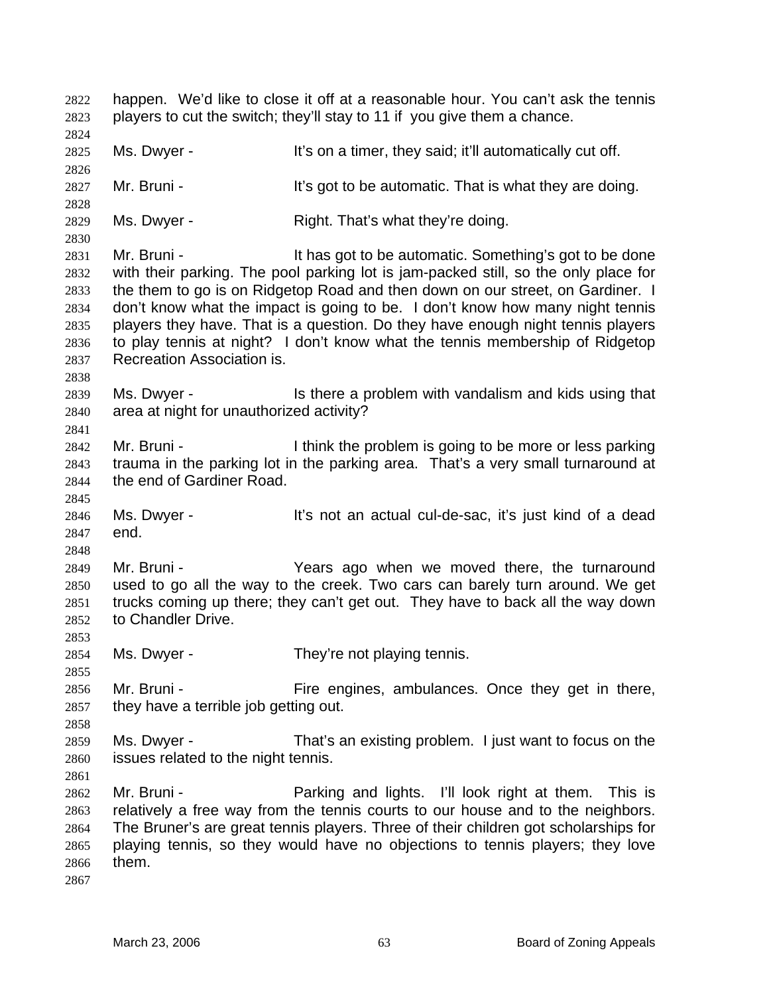happen. We'd like to close it off at a reasonable hour. You can't ask the tennis players to cut the switch; they'll stay to 11 if you give them a chance. 2822 2823 2824 2825 2826 2827 2828 2829 2830 2831 2832 2833 2834 2835 2836 2837 2838 2839 2840 2841 2842 2843 2844 2845 2846 2847 2848 2849 2850 2851 2852 2853 2854 2855 2856 2857 2858 2859 2860 2861 2862 2863 2864 2865 2866 2867 Ms. Dwyer - The State of the It's on a timer, they said; it'll automatically cut off. Mr. Bruni - It's got to be automatic. That is what they are doing. Ms. Dwyer - Right. That's what they're doing. Mr. Bruni - It has got to be automatic. Something's got to be done with their parking. The pool parking lot is jam-packed still, so the only place for the them to go is on Ridgetop Road and then down on our street, on Gardiner. I don't know what the impact is going to be. I don't know how many night tennis players they have. That is a question. Do they have enough night tennis players to play tennis at night? I don't know what the tennis membership of Ridgetop Recreation Association is. Ms. Dwyer - Is there a problem with vandalism and kids using that area at night for unauthorized activity? Mr. Bruni - Think the problem is going to be more or less parking trauma in the parking lot in the parking area. That's a very small turnaround at the end of Gardiner Road. Ms. Dwyer - It's not an actual cul-de-sac, it's just kind of a dead end. Mr. Bruni - The Years ago when we moved there, the turnaround used to go all the way to the creek. Two cars can barely turn around. We get trucks coming up there; they can't get out. They have to back all the way down to Chandler Drive. Ms. Dwyer - They're not playing tennis. Mr. Bruni - Fire engines, ambulances. Once they get in there, they have a terrible job getting out. Ms. Dwyer - That's an existing problem. I just want to focus on the issues related to the night tennis. Mr. Bruni - This is reaching and lights. I'll look right at them. This is relatively a free way from the tennis courts to our house and to the neighbors. The Bruner's are great tennis players. Three of their children got scholarships for playing tennis, so they would have no objections to tennis players; they love them.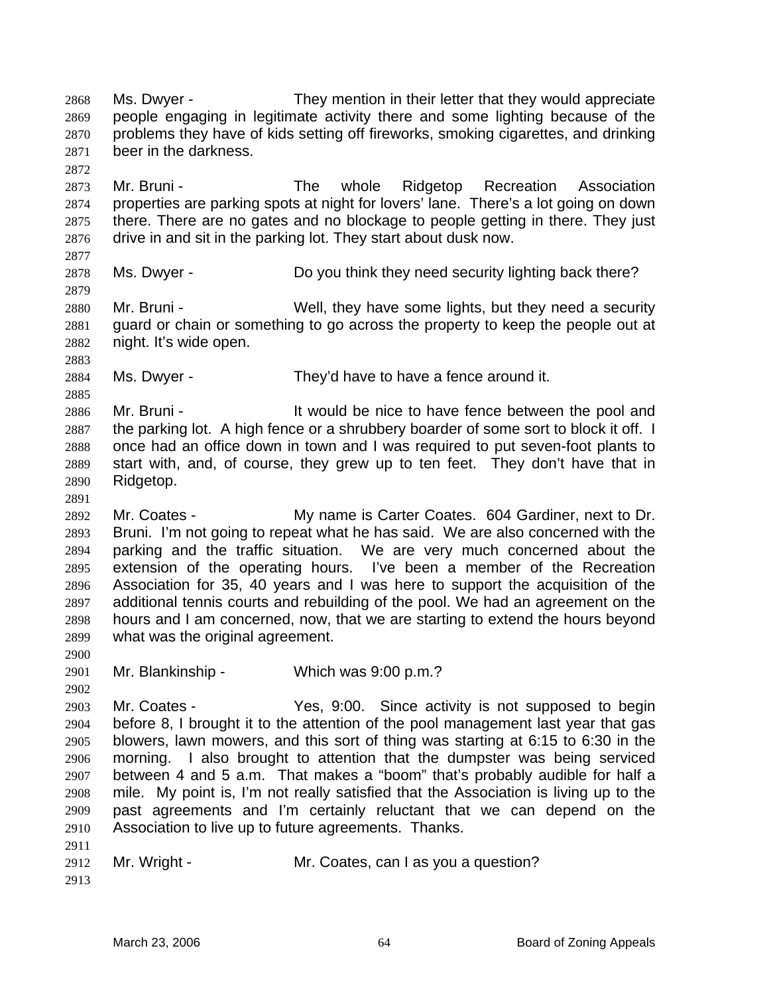Ms. Dwyer - They mention in their letter that they would appreciate people engaging in legitimate activity there and some lighting because of the problems they have of kids setting off fireworks, smoking cigarettes, and drinking beer in the darkness. 2868 2869 2870 2871 2872

2873 2874 2875 2876 Mr. Bruni - The whole Ridgetop Recreation Association properties are parking spots at night for lovers' lane. There's a lot going on down there. There are no gates and no blockage to people getting in there. They just drive in and sit in the parking lot. They start about dusk now.

2877

2879

2878

Ms. Dwyer - Do you think they need security lighting back there?

2880 2881 2882 Mr. Bruni - Well, they have some lights, but they need a security guard or chain or something to go across the property to keep the people out at night. It's wide open.

2883 2884

2885

2891

2900

Ms. Dwyer - They'd have to have a fence around it.

2886 2887 2888 2889 2890 Mr. Bruni - The State of the New Mr. Bruni - It would be nice to have fence between the pool and the parking lot. A high fence or a shrubbery boarder of some sort to block it off. I once had an office down in town and I was required to put seven-foot plants to start with, and, of course, they grew up to ten feet. They don't have that in Ridgetop.

2892 2893 2894 2895 2896 2897 2898 2899 Mr. Coates - My name is Carter Coates. 604 Gardiner, next to Dr. Bruni. I'm not going to repeat what he has said. We are also concerned with the parking and the traffic situation. We are very much concerned about the extension of the operating hours. I've been a member of the Recreation Association for 35, 40 years and I was here to support the acquisition of the additional tennis courts and rebuilding of the pool. We had an agreement on the hours and I am concerned, now, that we are starting to extend the hours beyond what was the original agreement.

2901 Mr. Blankinship - Which was 9:00 p.m.?

2902 2903 2904 2905 2906 2907 2908 2909 2910 2911 Mr. Coates - Yes, 9:00. Since activity is not supposed to begin before 8, I brought it to the attention of the pool management last year that gas blowers, lawn mowers, and this sort of thing was starting at 6:15 to 6:30 in the morning. I also brought to attention that the dumpster was being serviced between 4 and 5 a.m. That makes a "boom" that's probably audible for half a mile. My point is, I'm not really satisfied that the Association is living up to the past agreements and I'm certainly reluctant that we can depend on the Association to live up to future agreements. Thanks.

|  | 2912 Mr. Wright - | Mr. Coates, can I as you a question? |
|--|-------------------|--------------------------------------|
|--|-------------------|--------------------------------------|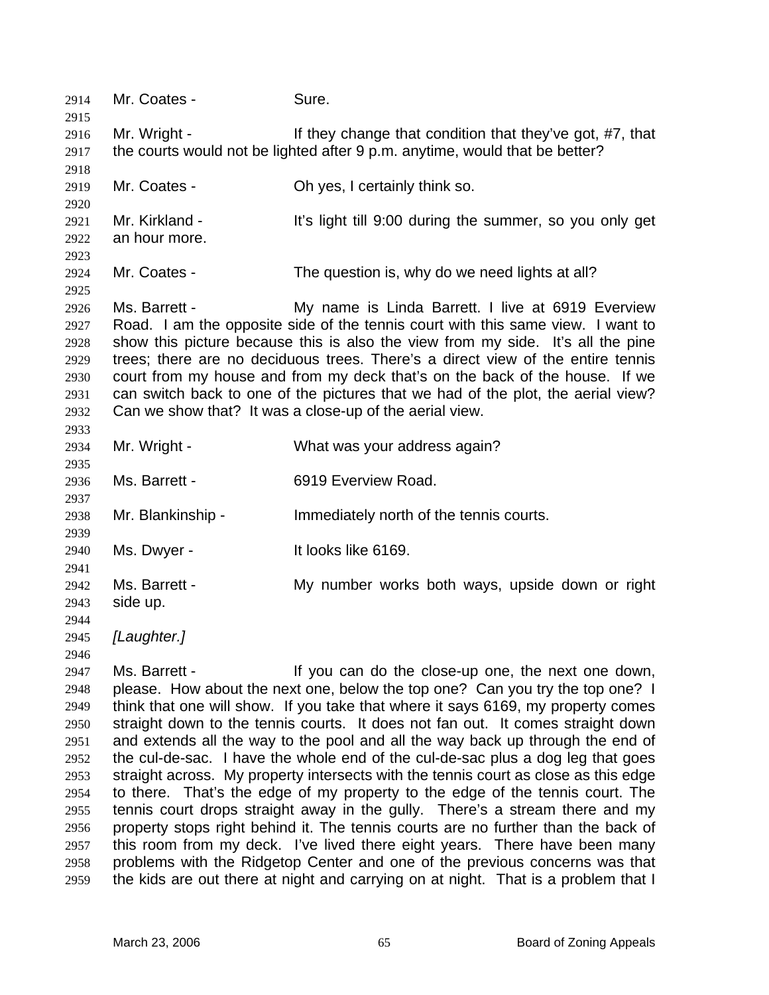2914 Mr. Coates - Sure. 2915 2916 2917 2918 2919 2920 2921 2922 2923 2924 2925 2926 2927 2928 2929 2930 2931 2932 2933 2934 2935 2936 2937 2938 2939 2940 2941 2942 2943 2944 2945 2946 2947 2948 2949 2950 2951 2952 2953 2954 2955 2956 2957 2958 2959 Mr. Wright - If they change that condition that they've got, #7, that the courts would not be lighted after 9 p.m. anytime, would that be better? Mr. Coates - Chives, I certainly think so. Mr. Kirkland - It's light till 9:00 during the summer, so you only get an hour more. Mr. Coates - The question is, why do we need lights at all? Ms. Barrett - My name is Linda Barrett. I live at 6919 Everview Road. I am the opposite side of the tennis court with this same view. I want to show this picture because this is also the view from my side. It's all the pine trees; there are no deciduous trees. There's a direct view of the entire tennis court from my house and from my deck that's on the back of the house. If we can switch back to one of the pictures that we had of the plot, the aerial view? Can we show that? It was a close-up of the aerial view. Mr. Wright - What was your address again? Ms. Barrett - 6919 Everview Road. Mr. Blankinship - The Immediately north of the tennis courts. Ms. Dwyer - It looks like 6169. Ms. Barrett - **My number works both ways, upside down or right** side up. *[Laughter.]* Ms. Barrett - If you can do the close-up one, the next one down, please. How about the next one, below the top one? Can you try the top one? I think that one will show. If you take that where it says 6169, my property comes straight down to the tennis courts. It does not fan out. It comes straight down and extends all the way to the pool and all the way back up through the end of the cul-de-sac. I have the whole end of the cul-de-sac plus a dog leg that goes straight across. My property intersects with the tennis court as close as this edge to there. That's the edge of my property to the edge of the tennis court. The tennis court drops straight away in the gully. There's a stream there and my property stops right behind it. The tennis courts are no further than the back of this room from my deck. I've lived there eight years. There have been many problems with the Ridgetop Center and one of the previous concerns was that the kids are out there at night and carrying on at night. That is a problem that I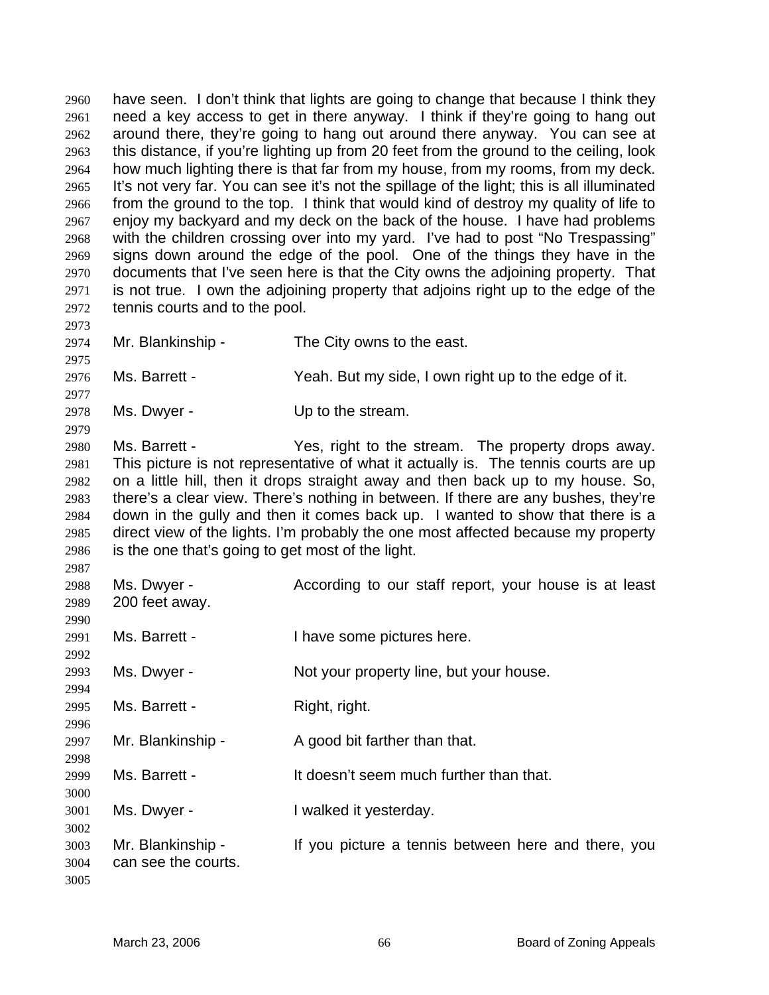have seen. I don't think that lights are going to change that because I think they need a key access to get in there anyway. I think if they're going to hang out around there, they're going to hang out around there anyway. You can see at this distance, if you're lighting up from 20 feet from the ground to the ceiling, look how much lighting there is that far from my house, from my rooms, from my deck. It's not very far. You can see it's not the spillage of the light; this is all illuminated from the ground to the top. I think that would kind of destroy my quality of life to enjoy my backyard and my deck on the back of the house. I have had problems with the children crossing over into my yard. I've had to post "No Trespassing" signs down around the edge of the pool. One of the things they have in the documents that I've seen here is that the City owns the adjoining property. That is not true. I own the adjoining property that adjoins right up to the edge of the tennis courts and to the pool. 2960 2961 2962 2963 2964 2965 2966 2967 2968 2969 2970 2971 2972 2973 2974 2975 2976 2977 2978 2979 2980 2981 2982 2983 2984 2985 2986 2987 2988 2989 2990 2991 2992 2993 2994 2995 2996 2997 2998 2999 3000 3001 3002 3003 3004 3005 Mr. Blankinship - The City owns to the east. Ms. Barrett - Yeah. But my side, I own right up to the edge of it. Ms. Dwyer - Up to the stream. Ms. Barrett - The Yes, right to the stream. The property drops away. This picture is not representative of what it actually is. The tennis courts are up on a little hill, then it drops straight away and then back up to my house. So, there's a clear view. There's nothing in between. If there are any bushes, they're down in the gully and then it comes back up. I wanted to show that there is a direct view of the lights. I'm probably the one most affected because my property is the one that's going to get most of the light. Ms. Dwyer - **According to our staff report, your house is at least** 200 feet away. Ms. Barrett - Thave some pictures here. Ms. Dwyer - Not your property line, but your house. Ms. Barrett - Right, right. Mr. Blankinship - A good bit farther than that. Ms. Barrett - The It doesn't seem much further than that. Ms. Dwyer - Twalked it yesterday. Mr. Blankinship - If you picture a tennis between here and there, you can see the courts.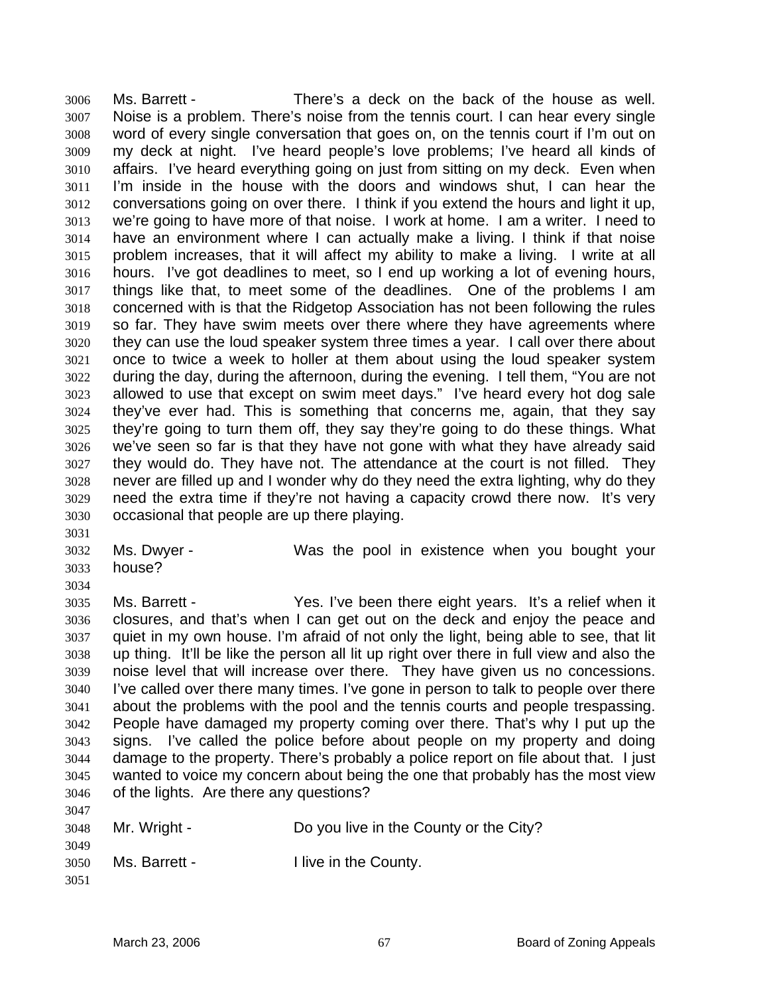Ms. Barrett - There's a deck on the back of the house as well. Noise is a problem. There's noise from the tennis court. I can hear every single word of every single conversation that goes on, on the tennis court if I'm out on my deck at night. I've heard people's love problems; I've heard all kinds of affairs. I've heard everything going on just from sitting on my deck. Even when I'm inside in the house with the doors and windows shut, I can hear the conversations going on over there. I think if you extend the hours and light it up, we're going to have more of that noise. I work at home. I am a writer. I need to have an environment where I can actually make a living. I think if that noise problem increases, that it will affect my ability to make a living. I write at all hours. I've got deadlines to meet, so I end up working a lot of evening hours, things like that, to meet some of the deadlines. One of the problems I am concerned with is that the Ridgetop Association has not been following the rules so far. They have swim meets over there where they have agreements where they can use the loud speaker system three times a year. I call over there about once to twice a week to holler at them about using the loud speaker system during the day, during the afternoon, during the evening. I tell them, "You are not allowed to use that except on swim meet days." I've heard every hot dog sale they've ever had. This is something that concerns me, again, that they say they're going to turn them off, they say they're going to do these things. What we've seen so far is that they have not gone with what they have already said they would do. They have not. The attendance at the court is not filled. They never are filled up and I wonder why do they need the extra lighting, why do they need the extra time if they're not having a capacity crowd there now. It's very occasional that people are up there playing. 3006 3007 3008 3009 3010 3011 3012 3013 3014 3015 3016 3017 3018 3019 3020 3021 3022 3023 3024 3025 3026 3027 3028 3029 3030

- 3031
- 3032 house?
- 3033 3034

Ms. Dwyer - Was the pool in existence when you bought your

3035 3036 3037 3038 3039 3040 3041 3042 3043 3044 3045 3046 3047 Ms. Barrett - The Yes. I've been there eight years. It's a relief when it closures, and that's when I can get out on the deck and enjoy the peace and quiet in my own house. I'm afraid of not only the light, being able to see, that lit up thing. It'll be like the person all lit up right over there in full view and also the noise level that will increase over there. They have given us no concessions. I've called over there many times. I've gone in person to talk to people over there about the problems with the pool and the tennis courts and people trespassing. People have damaged my property coming over there. That's why I put up the signs. I've called the police before about people on my property and doing damage to the property. There's probably a police report on file about that. I just wanted to voice my concern about being the one that probably has the most view of the lights. Are there any questions?

| 3048 | Mr. Wright -  | Do you live in the County or the City? |
|------|---------------|----------------------------------------|
| 3049 |               |                                        |
| 3050 | Ms. Barrett - | I live in the County.                  |
| 3051 |               |                                        |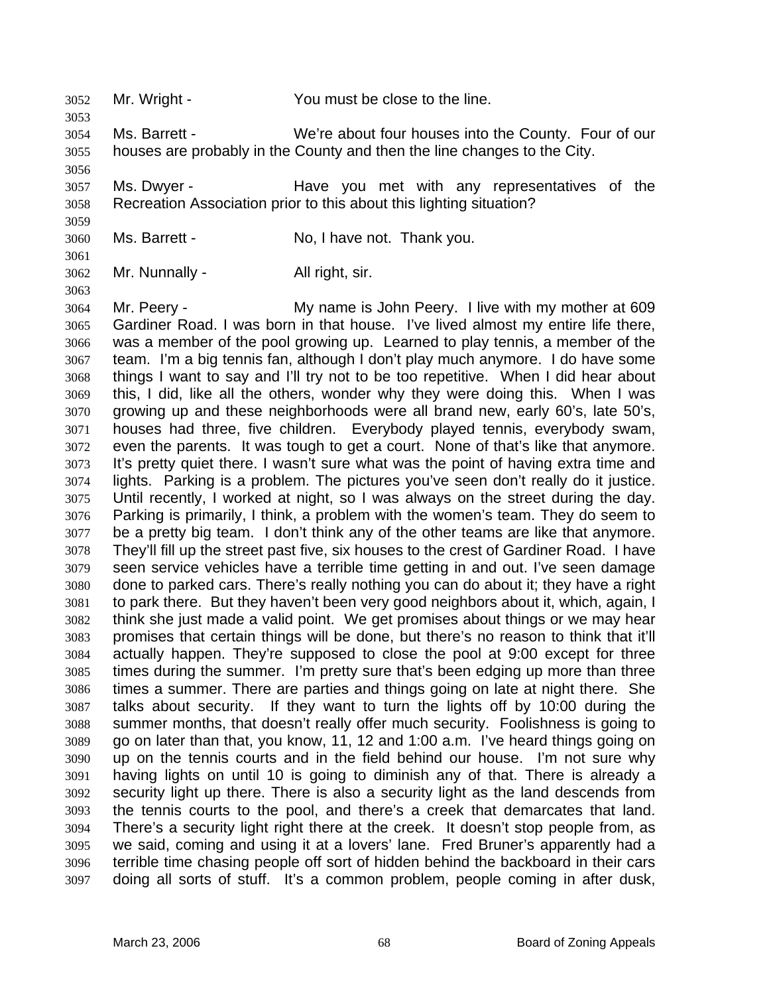3052 Mr. Wright - You must be close to the line.

3054 3055 Ms. Barrett - We're about four houses into the County. Four of our houses are probably in the County and then the line changes to the City.

3057 3058 Ms. Dwyer - The Have you met with any representatives of the Recreation Association prior to this about this lighting situation?

3060 Ms. Barrett - No, I have not. Thank you.

3062 Mr. Nunnally - All right, sir.

3053

3056

3059

3061

3063

3064 3065 3066 3067 3068 3069 3070 3071 3072 3073 3074 3075 3076 3077 3078 3079 3080 3081 3082 3083 3084 3085 3086 3087 3088 3089 3090 3091 3092 3093 3094 3095 3096 3097 Mr. Peery - **My name is John Peery.** I live with my mother at 609 Gardiner Road. I was born in that house. I've lived almost my entire life there, was a member of the pool growing up. Learned to play tennis, a member of the team. I'm a big tennis fan, although I don't play much anymore. I do have some things I want to say and I'll try not to be too repetitive. When I did hear about this, I did, like all the others, wonder why they were doing this. When I was growing up and these neighborhoods were all brand new, early 60's, late 50's, houses had three, five children. Everybody played tennis, everybody swam, even the parents. It was tough to get a court. None of that's like that anymore. It's pretty quiet there. I wasn't sure what was the point of having extra time and lights. Parking is a problem. The pictures you've seen don't really do it justice. Until recently, I worked at night, so I was always on the street during the day. Parking is primarily, I think, a problem with the women's team. They do seem to be a pretty big team. I don't think any of the other teams are like that anymore. They'll fill up the street past five, six houses to the crest of Gardiner Road. I have seen service vehicles have a terrible time getting in and out. I've seen damage done to parked cars. There's really nothing you can do about it; they have a right to park there. But they haven't been very good neighbors about it, which, again, I think she just made a valid point. We get promises about things or we may hear promises that certain things will be done, but there's no reason to think that it'll actually happen. They're supposed to close the pool at 9:00 except for three times during the summer. I'm pretty sure that's been edging up more than three times a summer. There are parties and things going on late at night there. She talks about security. If they want to turn the lights off by 10:00 during the summer months, that doesn't really offer much security. Foolishness is going to go on later than that, you know, 11, 12 and 1:00 a.m. I've heard things going on up on the tennis courts and in the field behind our house. I'm not sure why having lights on until 10 is going to diminish any of that. There is already a security light up there. There is also a security light as the land descends from the tennis courts to the pool, and there's a creek that demarcates that land. There's a security light right there at the creek. It doesn't stop people from, as we said, coming and using it at a lovers' lane. Fred Bruner's apparently had a terrible time chasing people off sort of hidden behind the backboard in their cars doing all sorts of stuff. It's a common problem, people coming in after dusk,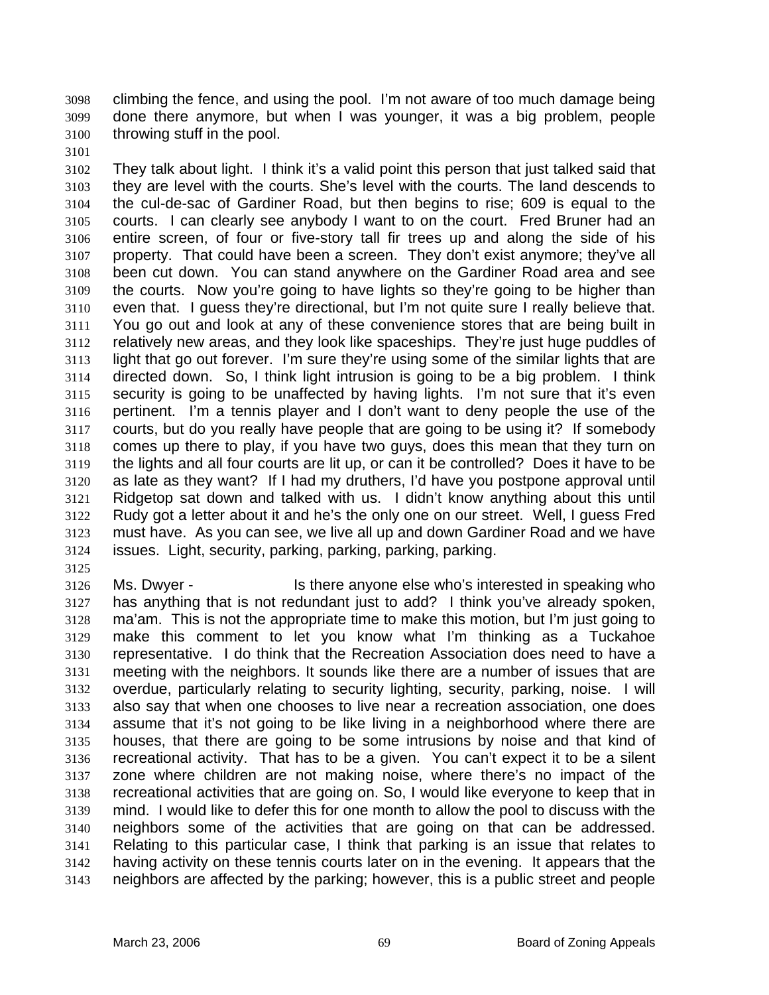climbing the fence, and using the pool. I'm not aware of too much damage being done there anymore, but when I was younger, it was a big problem, people throwing stuff in the pool. 3098 3099 3100

3102 3103 3104 3105 3106 3107 3108 3109 3110 3111 3112 3113 3114 3115 3116 3117 3118 3119 3120 3121 3122 3123 3124 They talk about light. I think it's a valid point this person that just talked said that they are level with the courts. She's level with the courts. The land descends to the cul-de-sac of Gardiner Road, but then begins to rise; 609 is equal to the courts. I can clearly see anybody I want to on the court. Fred Bruner had an entire screen, of four or five-story tall fir trees up and along the side of his property. That could have been a screen. They don't exist anymore; they've all been cut down. You can stand anywhere on the Gardiner Road area and see the courts. Now you're going to have lights so they're going to be higher than even that. I guess they're directional, but I'm not quite sure I really believe that. You go out and look at any of these convenience stores that are being built in relatively new areas, and they look like spaceships. They're just huge puddles of light that go out forever. I'm sure they're using some of the similar lights that are directed down. So, I think light intrusion is going to be a big problem. I think security is going to be unaffected by having lights. I'm not sure that it's even pertinent. I'm a tennis player and I don't want to deny people the use of the courts, but do you really have people that are going to be using it? If somebody comes up there to play, if you have two guys, does this mean that they turn on the lights and all four courts are lit up, or can it be controlled? Does it have to be as late as they want? If I had my druthers, I'd have you postpone approval until Ridgetop sat down and talked with us. I didn't know anything about this until Rudy got a letter about it and he's the only one on our street. Well, I guess Fred must have. As you can see, we live all up and down Gardiner Road and we have issues. Light, security, parking, parking, parking, parking.

3125

3101

3126 3127 3128 3129 3130 3131 3132 3133 3134 3135 3136 3137 3138 3139 3140 3141 3142 3143 Ms. Dwyer - Is there anyone else who's interested in speaking who has anything that is not redundant just to add? I think you've already spoken, ma'am. This is not the appropriate time to make this motion, but I'm just going to make this comment to let you know what I'm thinking as a Tuckahoe representative. I do think that the Recreation Association does need to have a meeting with the neighbors. It sounds like there are a number of issues that are overdue, particularly relating to security lighting, security, parking, noise. I will also say that when one chooses to live near a recreation association, one does assume that it's not going to be like living in a neighborhood where there are houses, that there are going to be some intrusions by noise and that kind of recreational activity. That has to be a given. You can't expect it to be a silent zone where children are not making noise, where there's no impact of the recreational activities that are going on. So, I would like everyone to keep that in mind. I would like to defer this for one month to allow the pool to discuss with the neighbors some of the activities that are going on that can be addressed. Relating to this particular case, I think that parking is an issue that relates to having activity on these tennis courts later on in the evening. It appears that the neighbors are affected by the parking; however, this is a public street and people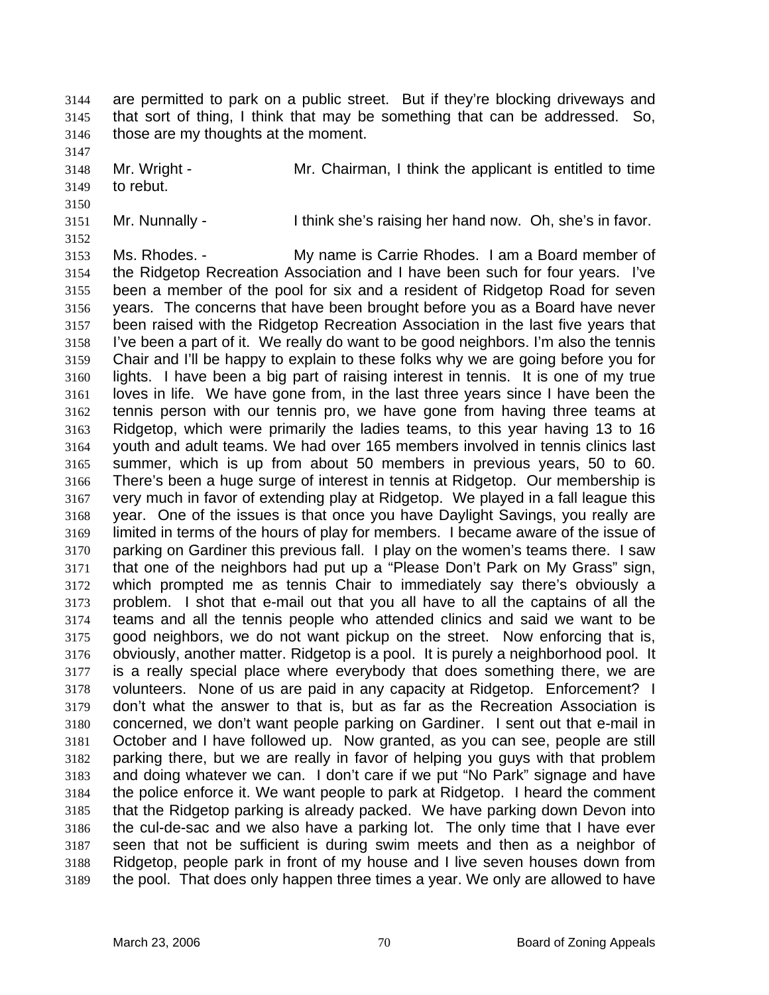are permitted to park on a public street. But if they're blocking driveways and that sort of thing, I think that may be something that can be addressed. So, those are my thoughts at the moment. 3144 3145 3146

3148 Mr. Wright - The Mr. Chairman, I think the applicant is entitled to time to rebut.

3149 3150

3147

3152

3151 Mr. Nunnally - Ithink she's raising her hand now. Oh, she's in favor.

3153 3154 3155 3156 3157 3158 3159 3160 3161 3162 3163 3164 3165 3166 3167 3168 3169 3170 3171 3172 3173 3174 3175 3176 3177 3178 3179 3180 3181 3182 3183 3184 3185 3186 3187 3188 3189 Ms. Rhodes. - My name is Carrie Rhodes. I am a Board member of the Ridgetop Recreation Association and I have been such for four years. I've been a member of the pool for six and a resident of Ridgetop Road for seven years. The concerns that have been brought before you as a Board have never been raised with the Ridgetop Recreation Association in the last five years that I've been a part of it. We really do want to be good neighbors. I'm also the tennis Chair and I'll be happy to explain to these folks why we are going before you for lights. I have been a big part of raising interest in tennis. It is one of my true loves in life. We have gone from, in the last three years since I have been the tennis person with our tennis pro, we have gone from having three teams at Ridgetop, which were primarily the ladies teams, to this year having 13 to 16 youth and adult teams. We had over 165 members involved in tennis clinics last summer, which is up from about 50 members in previous years, 50 to 60. There's been a huge surge of interest in tennis at Ridgetop. Our membership is very much in favor of extending play at Ridgetop. We played in a fall league this year. One of the issues is that once you have Daylight Savings, you really are limited in terms of the hours of play for members. I became aware of the issue of parking on Gardiner this previous fall. I play on the women's teams there. I saw that one of the neighbors had put up a "Please Don't Park on My Grass" sign, which prompted me as tennis Chair to immediately say there's obviously a problem. I shot that e-mail out that you all have to all the captains of all the teams and all the tennis people who attended clinics and said we want to be good neighbors, we do not want pickup on the street. Now enforcing that is, obviously, another matter. Ridgetop is a pool. It is purely a neighborhood pool. It is a really special place where everybody that does something there, we are volunteers. None of us are paid in any capacity at Ridgetop. Enforcement? I don't what the answer to that is, but as far as the Recreation Association is concerned, we don't want people parking on Gardiner. I sent out that e-mail in October and I have followed up. Now granted, as you can see, people are still parking there, but we are really in favor of helping you guys with that problem and doing whatever we can. I don't care if we put "No Park" signage and have the police enforce it. We want people to park at Ridgetop. I heard the comment that the Ridgetop parking is already packed. We have parking down Devon into the cul-de-sac and we also have a parking lot. The only time that I have ever seen that not be sufficient is during swim meets and then as a neighbor of Ridgetop, people park in front of my house and I live seven houses down from the pool. That does only happen three times a year. We only are allowed to have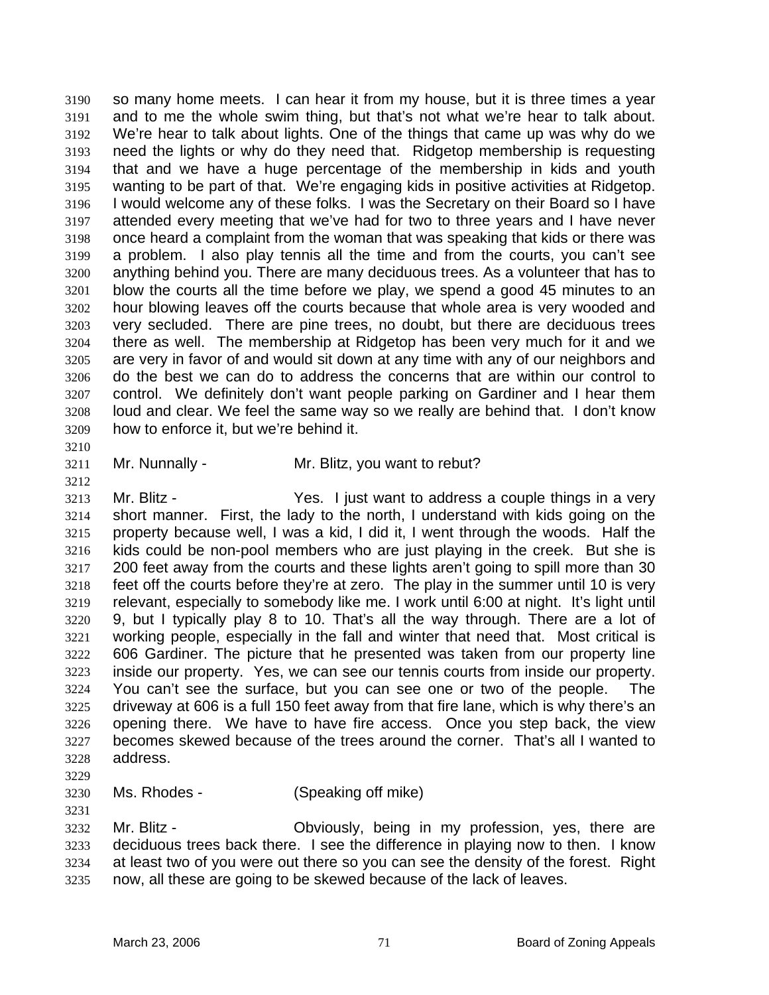so many home meets. I can hear it from my house, but it is three times a year and to me the whole swim thing, but that's not what we're hear to talk about. We're hear to talk about lights. One of the things that came up was why do we need the lights or why do they need that. Ridgetop membership is requesting that and we have a huge percentage of the membership in kids and youth wanting to be part of that. We're engaging kids in positive activities at Ridgetop. I would welcome any of these folks. I was the Secretary on their Board so I have attended every meeting that we've had for two to three years and I have never once heard a complaint from the woman that was speaking that kids or there was a problem. I also play tennis all the time and from the courts, you can't see anything behind you. There are many deciduous trees. As a volunteer that has to blow the courts all the time before we play, we spend a good 45 minutes to an hour blowing leaves off the courts because that whole area is very wooded and very secluded. There are pine trees, no doubt, but there are deciduous trees there as well. The membership at Ridgetop has been very much for it and we are very in favor of and would sit down at any time with any of our neighbors and do the best we can do to address the concerns that are within our control to control. We definitely don't want people parking on Gardiner and I hear them loud and clear. We feel the same way so we really are behind that. I don't know how to enforce it, but we're behind it. 3190 3191 3192 3193 3194 3195 3196 3197 3198 3199 3200 3201 3202 3203 3204 3205 3206 3207 3208 3209

3210

3212

3211 Mr. Nunnally - Mr. Blitz, you want to rebut?

3213 3214 3215 3216 3217 3218 3219 3220 3221 3222 3223 3224 3225 3226 3227 3228 Mr. Blitz - The Yes. I just want to address a couple things in a very short manner. First, the lady to the north, I understand with kids going on the property because well, I was a kid, I did it, I went through the woods. Half the kids could be non-pool members who are just playing in the creek. But she is 200 feet away from the courts and these lights aren't going to spill more than 30 feet off the courts before they're at zero. The play in the summer until 10 is very relevant, especially to somebody like me. I work until 6:00 at night. It's light until 9, but I typically play 8 to 10. That's all the way through. There are a lot of working people, especially in the fall and winter that need that. Most critical is 606 Gardiner. The picture that he presented was taken from our property line inside our property. Yes, we can see our tennis courts from inside our property. You can't see the surface, but you can see one or two of the people. The driveway at 606 is a full 150 feet away from that fire lane, which is why there's an opening there. We have to have fire access. Once you step back, the view becomes skewed because of the trees around the corner. That's all I wanted to address.

3229

## 3230 3231 Ms. Rhodes - (Speaking off mike)

3232 3233 3234 3235 Mr. Blitz - Choviously, being in my profession, yes, there are deciduous trees back there. I see the difference in playing now to then. I know at least two of you were out there so you can see the density of the forest. Right now, all these are going to be skewed because of the lack of leaves.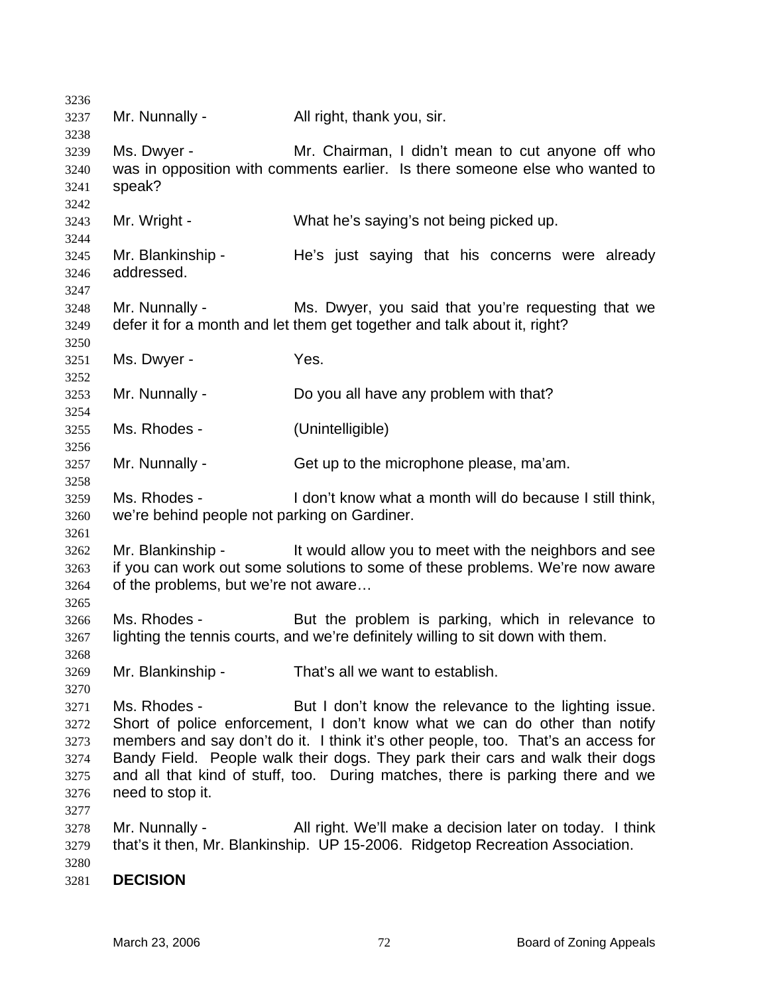| 3236         |                                              |                                                                                   |
|--------------|----------------------------------------------|-----------------------------------------------------------------------------------|
| 3237<br>3238 | Mr. Nunnally -                               | All right, thank you, sir.                                                        |
| 3239         | Ms. Dwyer -                                  | Mr. Chairman, I didn't mean to cut anyone off who                                 |
| 3240         |                                              | was in opposition with comments earlier. Is there someone else who wanted to      |
| 3241         | speak?                                       |                                                                                   |
| 3242         |                                              |                                                                                   |
| 3243<br>3244 | Mr. Wright -                                 | What he's saying's not being picked up.                                           |
| 3245         | Mr. Blankinship -                            | He's just saying that his concerns were already                                   |
| 3246         | addressed.                                   |                                                                                   |
| 3247         |                                              |                                                                                   |
| 3248         | Mr. Nunnally -                               | Ms. Dwyer, you said that you're requesting that we                                |
| 3249         |                                              | defer it for a month and let them get together and talk about it, right?          |
| 3250         |                                              |                                                                                   |
| 3251         | Ms. Dwyer -                                  | Yes.                                                                              |
| 3252         |                                              |                                                                                   |
| 3253         | Mr. Nunnally -                               | Do you all have any problem with that?                                            |
| 3254         |                                              |                                                                                   |
| 3255         | Ms. Rhodes -                                 | (Unintelligible)                                                                  |
| 3256         |                                              |                                                                                   |
| 3257         | Mr. Nunnally -                               | Get up to the microphone please, ma'am.                                           |
| 3258         |                                              |                                                                                   |
| 3259         | Ms. Rhodes -                                 | I don't know what a month will do because I still think,                          |
| 3260         | we're behind people not parking on Gardiner. |                                                                                   |
| 3261         |                                              |                                                                                   |
| 3262         | Mr. Blankinship -                            | It would allow you to meet with the neighbors and see                             |
|              |                                              | if you can work out some solutions to some of these problems. We're now aware     |
| 3263         |                                              |                                                                                   |
| 3264         | of the problems, but we're not aware         |                                                                                   |
| 3265         |                                              |                                                                                   |
| 3266         | Ms. Rhodes -                                 | But the problem is parking, which in relevance to                                 |
| 3267         |                                              | lighting the tennis courts, and we're definitely willing to sit down with them.   |
| 3268         |                                              |                                                                                   |
| 3269         | Mr. Blankinship -                            | That's all we want to establish.                                                  |
| 3270         |                                              |                                                                                   |
| 3271         | Ms. Rhodes -                                 | But I don't know the relevance to the lighting issue.                             |
| 3272         |                                              | Short of police enforcement, I don't know what we can do other than notify        |
| 3273         |                                              | members and say don't do it. I think it's other people, too. That's an access for |
| 3274         |                                              | Bandy Field. People walk their dogs. They park their cars and walk their dogs     |
| 3275         |                                              | and all that kind of stuff, too. During matches, there is parking there and we    |
| 3276         | need to stop it.                             |                                                                                   |
| 3277         |                                              |                                                                                   |
| 3278         | Mr. Nunnally -                               | All right. We'll make a decision later on today. I think                          |
| 3279         |                                              | that's it then, Mr. Blankinship. UP 15-2006. Ridgetop Recreation Association.     |
| 3280         |                                              |                                                                                   |
|              | <b>DECISION</b>                              |                                                                                   |
| 3281         |                                              |                                                                                   |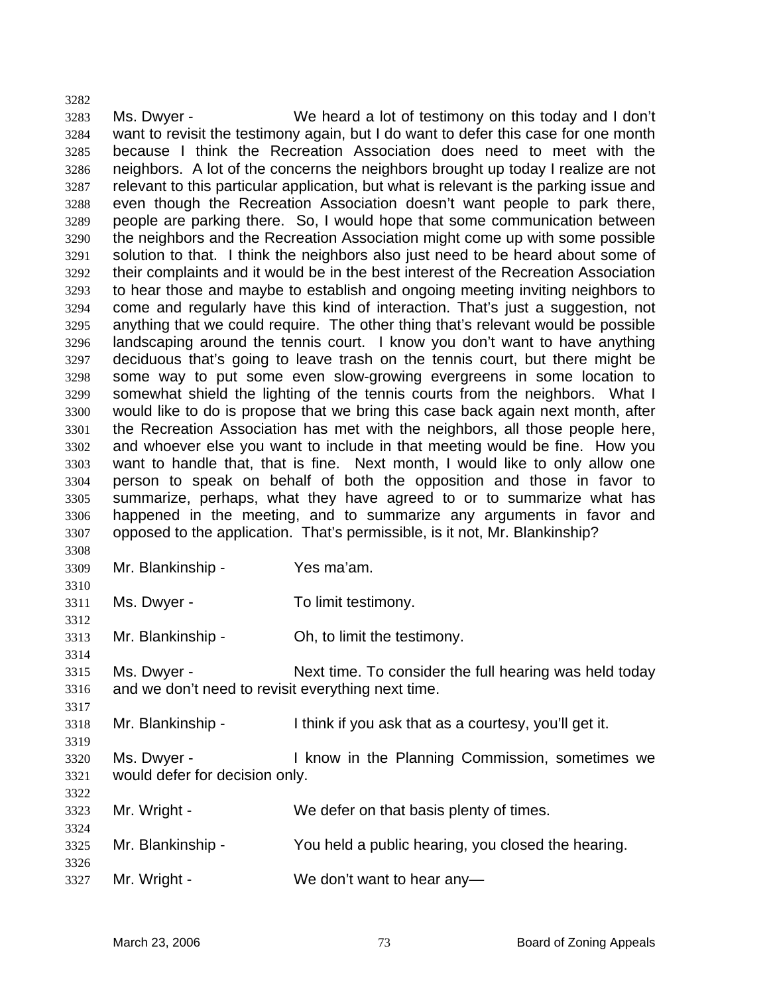3282 3283 3284 3285 3286 3287 3288 3289 3290 3291 3292 3293 3294 3295 3296 3297 3298 3299 3300 3301 3302 3303 3304 3305 3306 3307 3308 Ms. Dwyer - We heard a lot of testimony on this today and I don't want to revisit the testimony again, but I do want to defer this case for one month because I think the Recreation Association does need to meet with the neighbors. A lot of the concerns the neighbors brought up today I realize are not relevant to this particular application, but what is relevant is the parking issue and even though the Recreation Association doesn't want people to park there, people are parking there. So, I would hope that some communication between the neighbors and the Recreation Association might come up with some possible solution to that. I think the neighbors also just need to be heard about some of their complaints and it would be in the best interest of the Recreation Association to hear those and maybe to establish and ongoing meeting inviting neighbors to come and regularly have this kind of interaction. That's just a suggestion, not anything that we could require. The other thing that's relevant would be possible landscaping around the tennis court. I know you don't want to have anything deciduous that's going to leave trash on the tennis court, but there might be some way to put some even slow-growing evergreens in some location to somewhat shield the lighting of the tennis courts from the neighbors. What I would like to do is propose that we bring this case back again next month, after the Recreation Association has met with the neighbors, all those people here, and whoever else you want to include in that meeting would be fine. How you want to handle that, that is fine. Next month, I would like to only allow one person to speak on behalf of both the opposition and those in favor to summarize, perhaps, what they have agreed to or to summarize what has happened in the meeting, and to summarize any arguments in favor and opposed to the application. That's permissible, is it not, Mr. Blankinship?

3309 3310

3312

3314

3317

3319

Mr. Blankinship - Yes ma'am.

3311 Ms. Dwyer - To limit testimony.

3313 Mr. Blankinship - Ch, to limit the testimony.

3315 3316 Ms. Dwyer - Next time. To consider the full hearing was held today and we don't need to revisit everything next time.

3318 Mr. Blankinship - Think if you ask that as a courtesy, you'll get it.

- 3320 3321 Ms. Dwyer - The Rick Commission, sometimes we would defer for decision only.
- 3322 3323 3324 3325 3326 3327 Mr. Wright - We defer on that basis plenty of times. Mr. Blankinship - You held a public hearing, you closed the hearing. Mr. Wright - We don't want to hear any-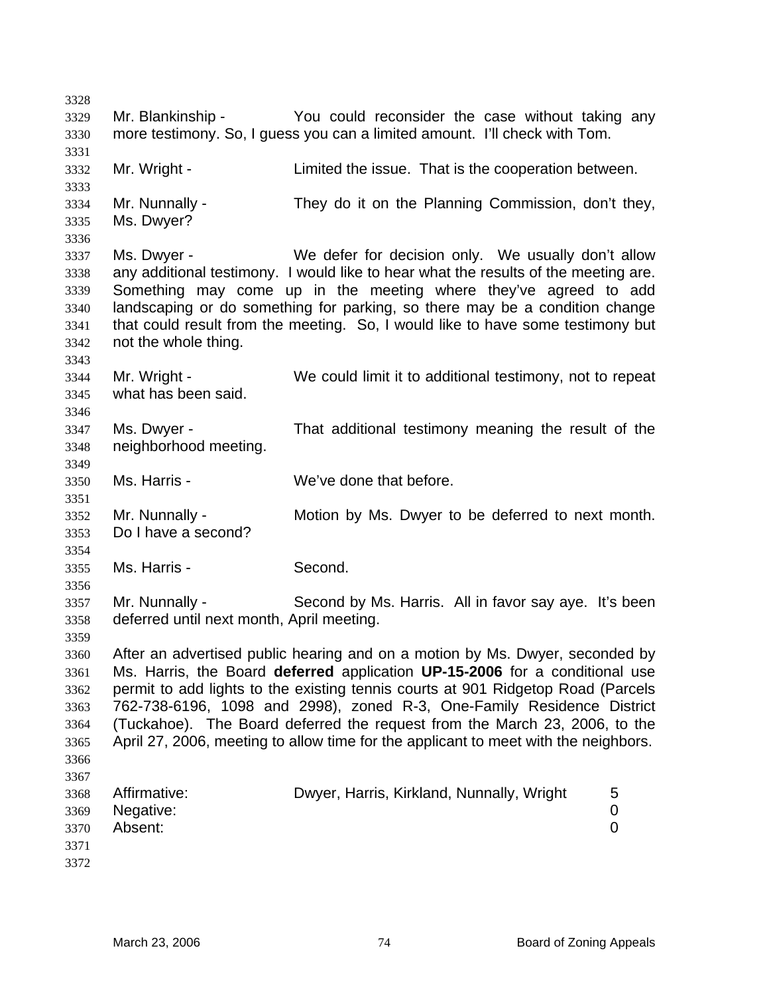3328 3329 3330 3331 3332 3333 3334 3335 3336 3337 3338 3339 3340 3341 3342 3343 3344 3345 3346 3347 3348 3349 3350 3351 3352 3353 3354 3355 3356 3357 3358 3359 3360 3361 3362 3363 3364 3365 3366 3367 3368 3369 3370 3371 3372 Mr. Blankinship - The You could reconsider the case without taking any more testimony. So, I guess you can a limited amount. I'll check with Tom. Mr. Wright - Limited the issue. That is the cooperation between. Mr. Nunnally - They do it on the Planning Commission, don't they, Ms. Dwyer? Ms. Dwyer - We defer for decision only. We usually don't allow any additional testimony. I would like to hear what the results of the meeting are. Something may come up in the meeting where they've agreed to add landscaping or do something for parking, so there may be a condition change that could result from the meeting. So, I would like to have some testimony but not the whole thing. Mr. Wright - We could limit it to additional testimony, not to repeat what has been said. Ms. Dwyer - That additional testimony meaning the result of the neighborhood meeting. Ms. Harris - We've done that before. Mr. Nunnally - Motion by Ms. Dwyer to be deferred to next month. Do I have a second? Ms. Harris - Second. Mr. Nunnally - Second by Ms. Harris. All in favor say ave. It's been deferred until next month, April meeting. After an advertised public hearing and on a motion by Ms. Dwyer, seconded by Ms. Harris, the Board **deferred** application **UP-15-2006** for a conditional use permit to add lights to the existing tennis courts at 901 Ridgetop Road (Parcels 762-738-6196, 1098 and 2998), zoned R-3, One-Family Residence District (Tuckahoe). The Board deferred the request from the March 23, 2006, to the April 27, 2006, meeting to allow time for the applicant to meet with the neighbors. Affirmative: Dwyer, Harris, Kirkland, Nunnally, Wright 5 Negative: 0 Absent: 0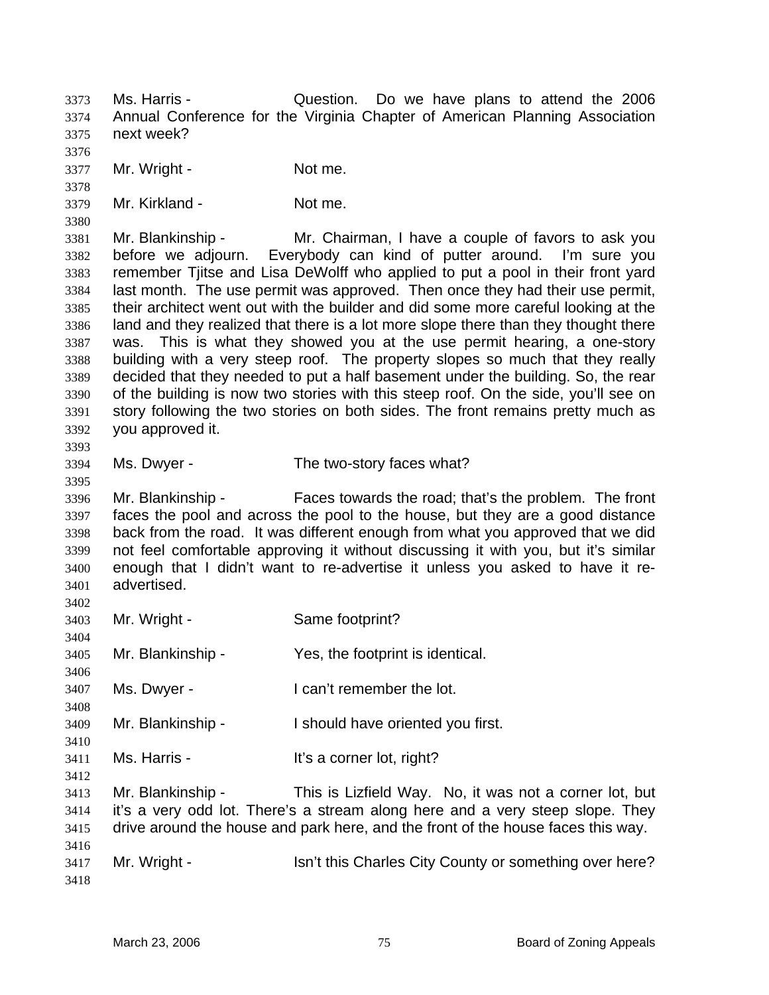Ms. Harris - Question. Do we have plans to attend the 2006 Annual Conference for the Virginia Chapter of American Planning Association next week? 3373 3374 3375

3377 Mr. Wright - Not me.

3376

3378

3380

3393

3395

3404

3406

3408

3410

3412

3379 Mr. Kirkland - Not me.

3381 3382 3383 3384 3385 3386 3387 3388 3389 3390 3391 3392 Mr. Blankinship - Mr. Chairman, I have a couple of favors to ask you before we adjourn. Everybody can kind of putter around. I'm sure you remember Tjitse and Lisa DeWolff who applied to put a pool in their front yard last month. The use permit was approved. Then once they had their use permit, their architect went out with the builder and did some more careful looking at the land and they realized that there is a lot more slope there than they thought there was. This is what they showed you at the use permit hearing, a one-story building with a very steep roof. The property slopes so much that they really decided that they needed to put a half basement under the building. So, the rear of the building is now two stories with this steep roof. On the side, you'll see on story following the two stories on both sides. The front remains pretty much as you approved it.

3394 Ms. Dwyer - The two-story faces what?

3396 3397 3398 3399 3400 3401 3402 Mr. Blankinship - Faces towards the road; that's the problem. The front faces the pool and across the pool to the house, but they are a good distance back from the road. It was different enough from what you approved that we did not feel comfortable approving it without discussing it with you, but it's similar enough that I didn't want to re-advertise it unless you asked to have it readvertised.

3403 Mr. Wright - Same footprint?

3405 Mr. Blankinship - Yes, the footprint is identical.

3407 Ms. Dwyer - The lot is a local that temember the lot.

3409 Mr. Blankinship - The Should have oriented you first.

3411 Ms. Harris - The Music Hit's a corner lot, right?

3413 3414 3415 3416 Mr. Blankinship - This is Lizfield Way. No, it was not a corner lot, but it's a very odd lot. There's a stream along here and a very steep slope. They drive around the house and park here, and the front of the house faces this way.

3417 3418 Mr. Wright - Isn't this Charles City County or something over here?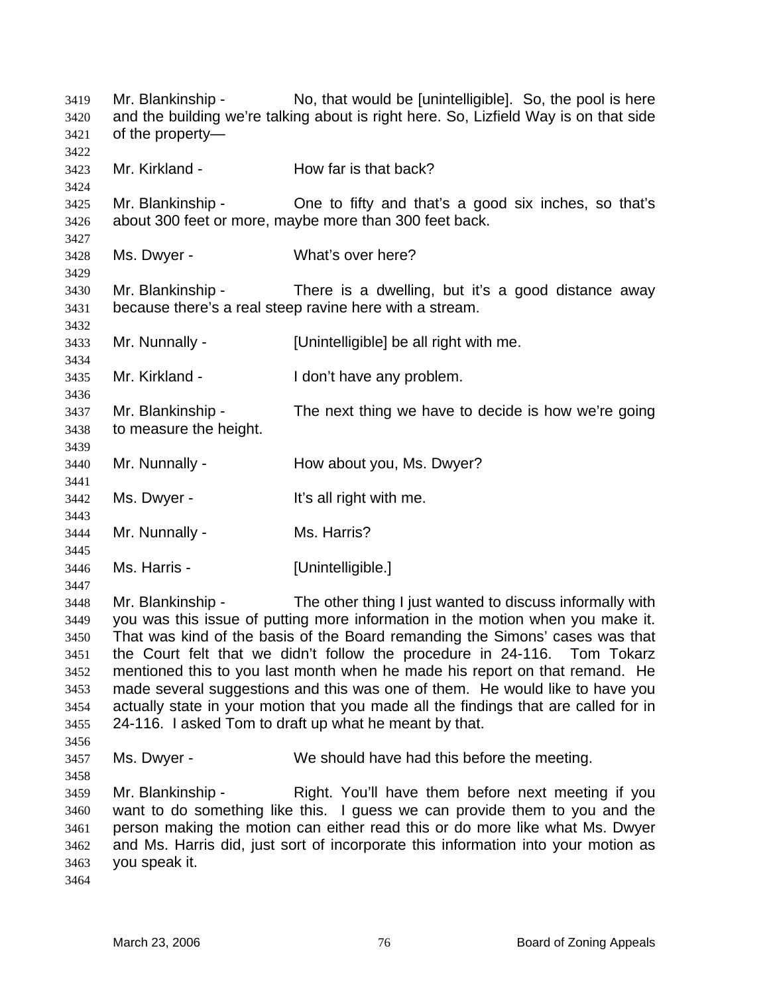Mr. Blankinship - No, that would be [unintelligible]. So, the pool is here and the building we're talking about is right here. So, Lizfield Way is on that side of the property— 3419 3420 3421 3422 3423 3424 3425 3426 3427 3428 3429 3430 3431 3432 3433 3434 3435 3436 3437 3438 3439 3440 3441 3442 3443 3444 3445 3446 3447 3448 3449 3450 3451 3452 3453 3454 3455 3456 3457 3458 3459 3460 3461 3462 3463 3464 Mr. Kirkland - **How far is that back?** Mr. Blankinship - One to fifty and that's a good six inches, so that's about 300 feet or more, maybe more than 300 feet back. Ms. Dwyer - What's over here? Mr. Blankinship - There is a dwelling, but it's a good distance away because there's a real steep ravine here with a stream. Mr. Nunnally - [Unintelligible] be all right with me. Mr. Kirkland - The I don't have any problem. Mr. Blankinship - The next thing we have to decide is how we're going to measure the height. Mr. Nunnally - **How about you, Ms. Dwyer?** Ms. Dwyer - The Music Communities all right with me. Mr. Nunnally - Ms. Harris? Ms. Harris - [Unintelligible.] Mr. Blankinship - The other thing I just wanted to discuss informally with you was this issue of putting more information in the motion when you make it. That was kind of the basis of the Board remanding the Simons' cases was that the Court felt that we didn't follow the procedure in 24-116. Tom Tokarz mentioned this to you last month when he made his report on that remand. He made several suggestions and this was one of them. He would like to have you actually state in your motion that you made all the findings that are called for in 24-116. I asked Tom to draft up what he meant by that. Ms. Dwyer - We should have had this before the meeting. Mr. Blankinship - Right. You'll have them before next meeting if you want to do something like this. I guess we can provide them to you and the person making the motion can either read this or do more like what Ms. Dwyer and Ms. Harris did, just sort of incorporate this information into your motion as you speak it.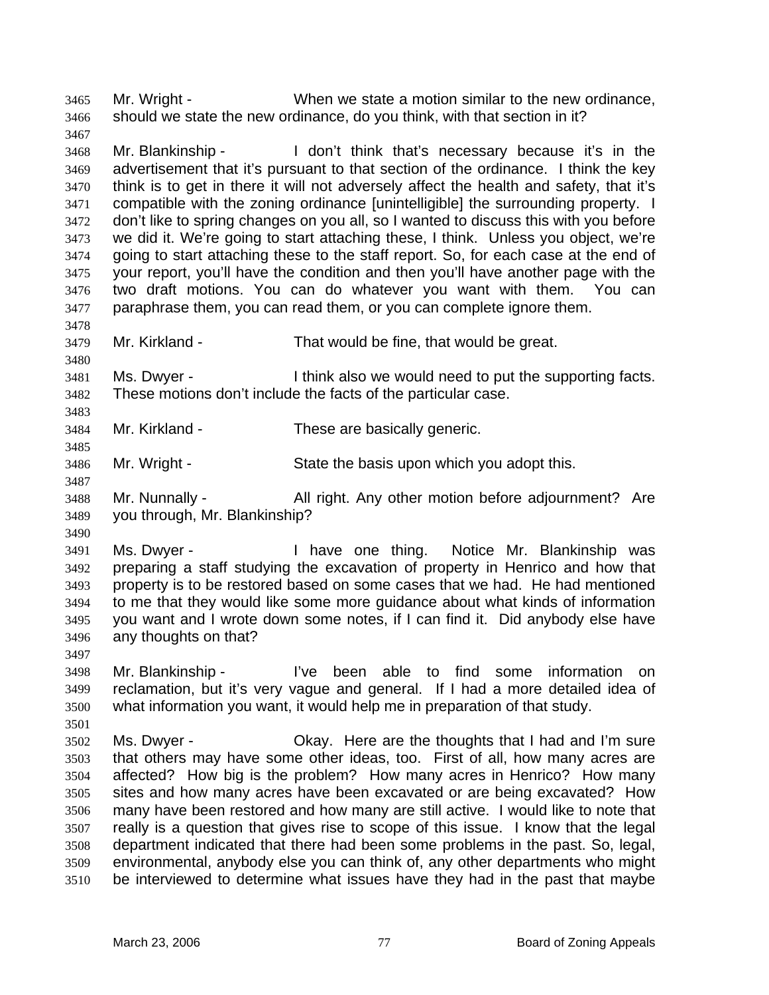Mr. Wright - When we state a motion similar to the new ordinance, should we state the new ordinance, do you think, with that section in it? 3465 3466

3468 3469 3470 3471 3472 3473 3474 3475 3476 3477 Mr. Blankinship - I don't think that's necessary because it's in the advertisement that it's pursuant to that section of the ordinance. I think the key think is to get in there it will not adversely affect the health and safety, that it's compatible with the zoning ordinance [unintelligible] the surrounding property. I don't like to spring changes on you all, so I wanted to discuss this with you before we did it. We're going to start attaching these, I think. Unless you object, we're going to start attaching these to the staff report. So, for each case at the end of your report, you'll have the condition and then you'll have another page with the two draft motions. You can do whatever you want with them. You can paraphrase them, you can read them, or you can complete ignore them.

3479 Mr. Kirkland - That would be fine, that would be great.

3481 3482 Ms. Dwyer - I think also we would need to put the supporting facts. These motions don't include the facts of the particular case.

3484 Mr. Kirkland - These are basically generic.

3486 Mr. Wright - State the basis upon which you adopt this.

3488 3489 Mr. Nunnally - All right. Any other motion before adjournment? Are you through, Mr. Blankinship?

3491 3492 3493 3494 3495 3496 Ms. Dwyer - Thave one thing. Notice Mr. Blankinship was preparing a staff studying the excavation of property in Henrico and how that property is to be restored based on some cases that we had. He had mentioned to me that they would like some more guidance about what kinds of information you want and I wrote down some notes, if I can find it. Did anybody else have any thoughts on that?

3497 3498 Mr. Blankinship - I've been able to find some information on

3499 3500 3501 reclamation, but it's very vague and general. If I had a more detailed idea of what information you want, it would help me in preparation of that study.

3502 3503 3504 3505 3506 3507 3508 3509 3510 Ms. Dwyer - Chay. Here are the thoughts that I had and I'm sure that others may have some other ideas, too. First of all, how many acres are affected? How big is the problem? How many acres in Henrico? How many sites and how many acres have been excavated or are being excavated? How many have been restored and how many are still active. I would like to note that really is a question that gives rise to scope of this issue. I know that the legal department indicated that there had been some problems in the past. So, legal, environmental, anybody else you can think of, any other departments who might be interviewed to determine what issues have they had in the past that maybe

3467

3478

3480

3483

3485

3487

3490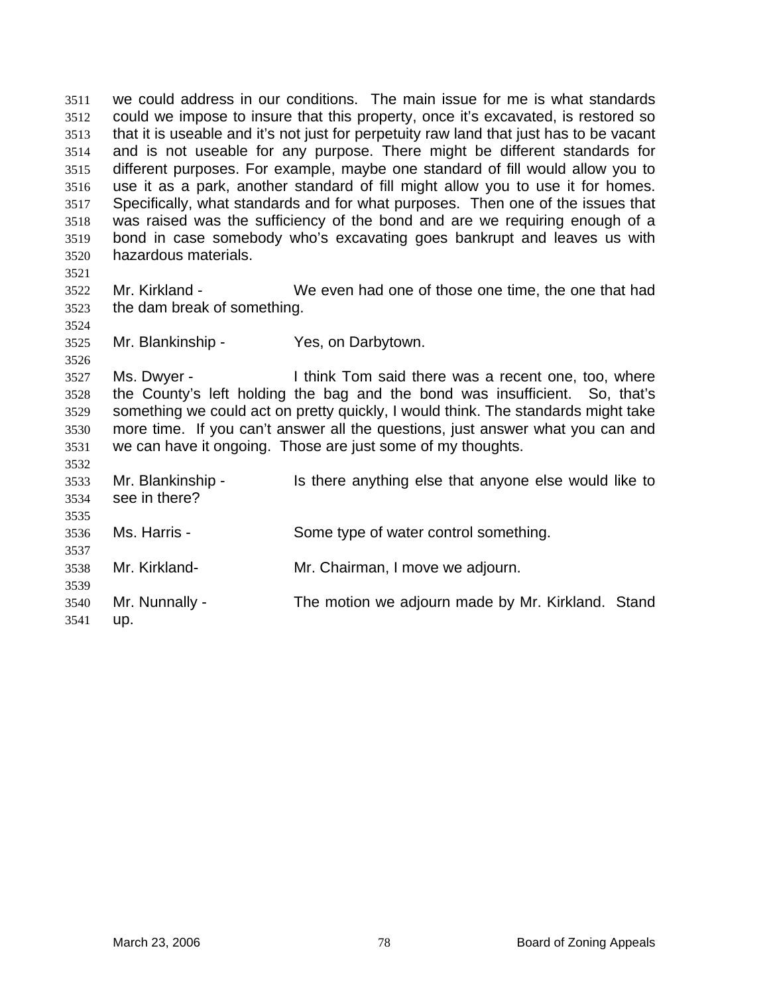we could address in our conditions. The main issue for me is what standards could we impose to insure that this property, once it's excavated, is restored so that it is useable and it's not just for perpetuity raw land that just has to be vacant and is not useable for any purpose. There might be different standards for different purposes. For example, maybe one standard of fill would allow you to use it as a park, another standard of fill might allow you to use it for homes. Specifically, what standards and for what purposes. Then one of the issues that was raised was the sufficiency of the bond and are we requiring enough of a bond in case somebody who's excavating goes bankrupt and leaves us with hazardous materials. 3511 3512 3513 3514 3515 3516 3517 3518 3519 3520 3521 3522 3523 3524 3525 3526 3527 3528 3529 3530 3531 3532 3533 3534 Mr. Kirkland - We even had one of those one time, the one that had the dam break of something. Mr. Blankinship - Yes, on Darbytown. Ms. Dwyer - I think Tom said there was a recent one, too, where the County's left holding the bag and the bond was insufficient. So, that's something we could act on pretty quickly, I would think. The standards might take more time. If you can't answer all the questions, just answer what you can and we can have it ongoing. Those are just some of my thoughts. Mr. Blankinship - Is there anything else that anyone else would like to see in there?

3536 Ms. Harris - Some type of water control something.

3538 Mr. Kirkland- Mr. Chairman, I move we adjourn.

3540 Mr. Nunnally - The motion we adjourn made by Mr. Kirkland. Stand

3541 up.

3535

3537

3539